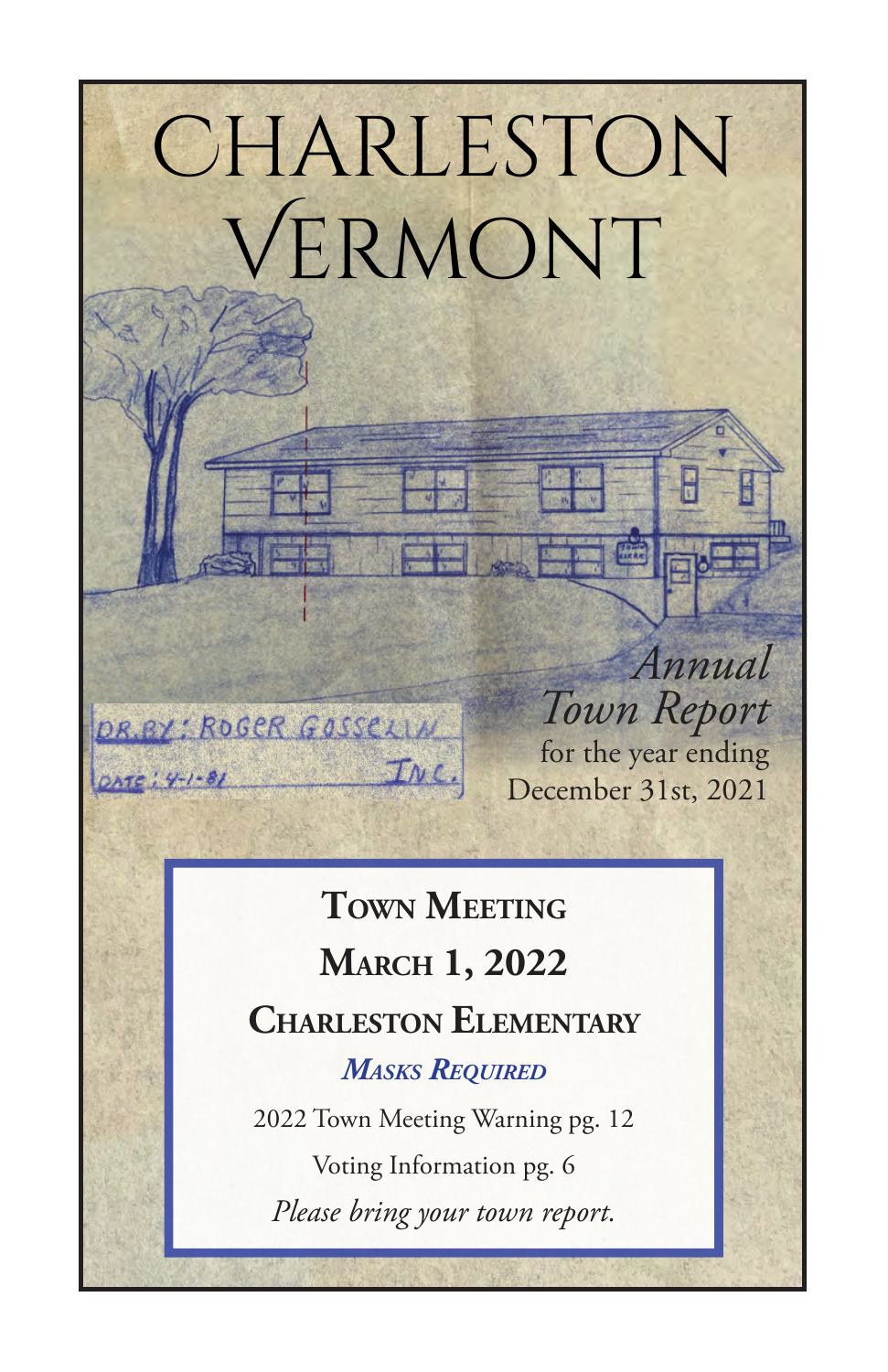# Charleston Vermont

*Annual Town Report* for the year ending December 31st, 2021

# **Town Meeting March 1, 2022 Charleston Elementary**

INC.

DR.BY: ROGER GOSSELIN

*Masks Required*

2022 Town Meeting Warning pg. 12 Voting Information pg. 6 *Please bring your town report.*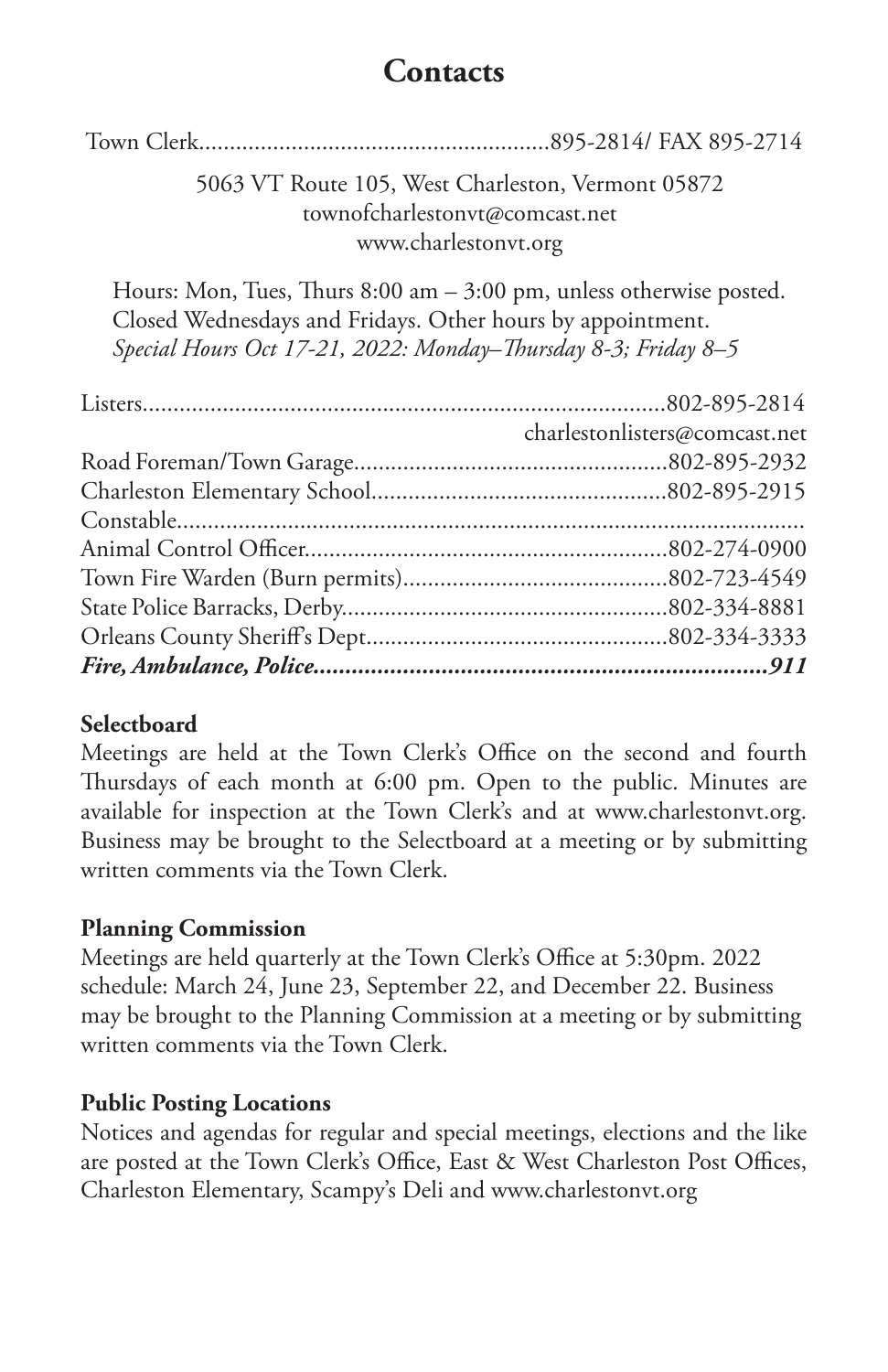### **Contacts**

Town Clerk.........................................................895-2814/ FAX 895-2714

### 5063 VT Route 105, West Charleston, Vermont 05872 townofcharlestonvt@comcast.net www.charlestonvt.org

Hours: Mon, Tues, Thurs 8:00 am – 3:00 pm, unless otherwise posted. Closed Wednesdays and Fridays. Other hours by appointment. *Special Hours Oct 17-21, 2022: Monday–Thursday 8-3; Friday 8–5*

| charlestonlisters@comcast.net |
|-------------------------------|
|                               |
|                               |
|                               |
|                               |
|                               |
|                               |
|                               |
|                               |

### **Selectboard**

Meetings are held at the Town Clerk's Office on the second and fourth Thursdays of each month at 6:00 pm. Open to the public. Minutes are available for inspection at the Town Clerk's and at www.charlestonvt.org. Business may be brought to the Selectboard at a meeting or by submitting written comments via the Town Clerk.

### **Planning Commission**

Meetings are held quarterly at the Town Clerk's Office at 5:30pm. 2022 schedule: March 24, June 23, September 22, and December 22. Business may be brought to the Planning Commission at a meeting or by submitting written comments via the Town Clerk.

### **Public Posting Locations**

Notices and agendas for regular and special meetings, elections and the like are posted at the Town Clerk's Office, East & West Charleston Post Offices, Charleston Elementary, Scampy's Deli and www.charlestonvt.org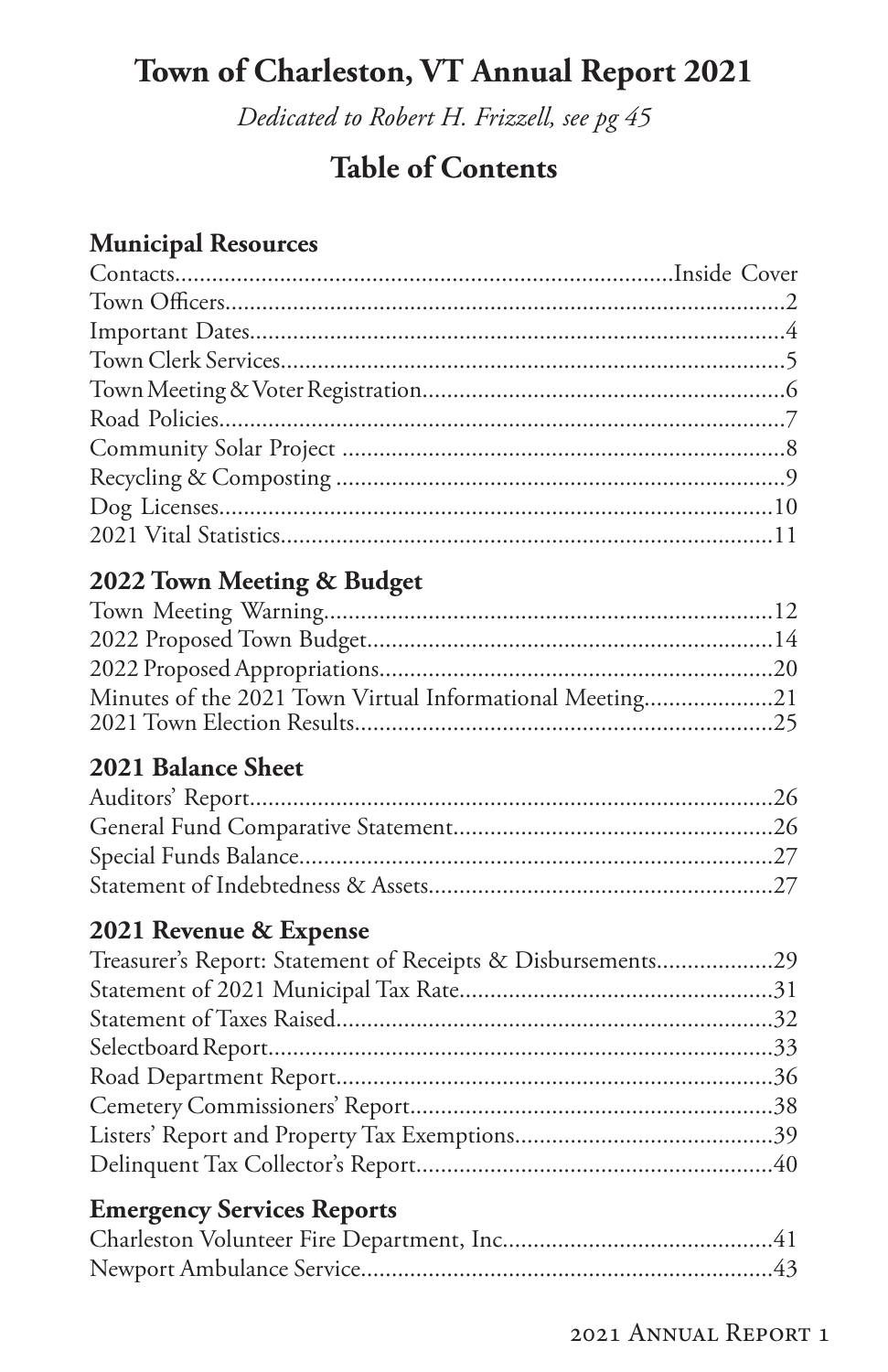# **Town of Charleston, VT Annual Report 2021**

*Dedicated to Robert H. Frizzell, see pg 45*

### **Table of Contents**

### **Municipal Resources**

### **2022 Town Meeting & Budget**

| Minutes of the 2021 Town Virtual Informational Meeting21 |  |
|----------------------------------------------------------|--|
|                                                          |  |
|                                                          |  |

### **2021 Balance Sheet**

### **2021 Revenue & Expense**

| Treasurer's Report: Statement of Receipts & Disbursements29 |  |
|-------------------------------------------------------------|--|
|                                                             |  |
|                                                             |  |
|                                                             |  |
|                                                             |  |
|                                                             |  |
|                                                             |  |
|                                                             |  |
|                                                             |  |

### **Emergency Services Reports**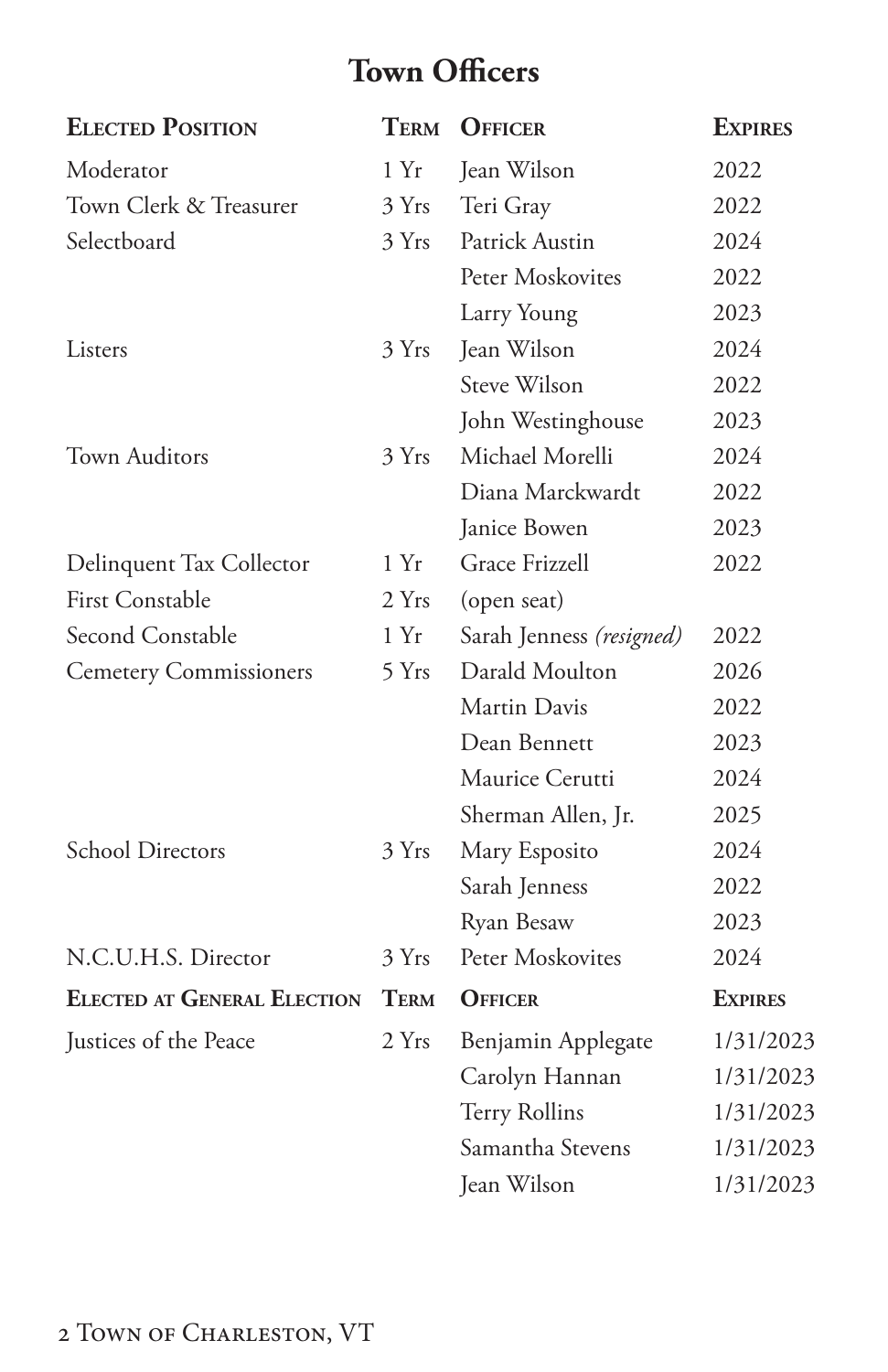# **Town Officers**

<span id="page-3-0"></span>

| <b>ELECTED POSITION</b>            | <b>TERM</b> | <b>OFFICER</b>           | <b>EXPIRES</b> |
|------------------------------------|-------------|--------------------------|----------------|
| Moderator                          | 1 Yr        | Jean Wilson              | 2022           |
| Town Clerk & Treasurer             | 3 Yrs       | Teri Gray                | 2022           |
| Selectboard                        | 3 Yrs       | Patrick Austin           | 2024           |
|                                    |             | Peter Moskovites         | 2022           |
|                                    |             | Larry Young              | 2023           |
| Listers                            | 3 Yrs       | Jean Wilson              | 2024           |
|                                    |             | Steve Wilson             | 2022           |
|                                    |             | John Westinghouse        | 2023           |
| <b>Town Auditors</b>               | 3 Yrs       | Michael Morelli          | 2024           |
|                                    |             | Diana Marckwardt         | 2022           |
|                                    |             | Janice Bowen             | 2023           |
| Delinquent Tax Collector           | 1 Yr        | <b>Grace Frizzell</b>    | 2022           |
| <b>First Constable</b>             | 2 Yrs       | (open seat)              |                |
| Second Constable                   | 1 Yr        | Sarah Jenness (resigned) | 2022           |
| <b>Cemetery Commissioners</b>      | 5 Yrs       | Darald Moulton           | 2026           |
|                                    |             | Martin Davis             | 2022           |
|                                    |             | Dean Bennett             | 2023           |
|                                    |             | Maurice Cerutti          | 2024           |
|                                    |             | Sherman Allen, Jr.       | 2025           |
| <b>School Directors</b>            | 3 Yrs       | Mary Esposito            | 2024           |
|                                    |             | Sarah Jenness            | 2022           |
|                                    |             | Ryan Besaw               | 2023           |
| N.C.U.H.S. Director                | 3 Yrs       | Peter Moskovites         | 2024           |
| <b>ELECTED AT GENERAL ELECTION</b> | <b>TERM</b> | <b>OFFICER</b>           | <b>EXPIRES</b> |
| Justices of the Peace              | 2 Yrs       | Benjamin Applegate       | 1/31/2023      |
|                                    |             | Carolyn Hannan           | 1/31/2023      |
|                                    |             | <b>Terry Rollins</b>     | 1/31/2023      |
|                                    |             | Samantha Stevens         | 1/31/2023      |
|                                    |             | Jean Wilson              | 1/31/2023      |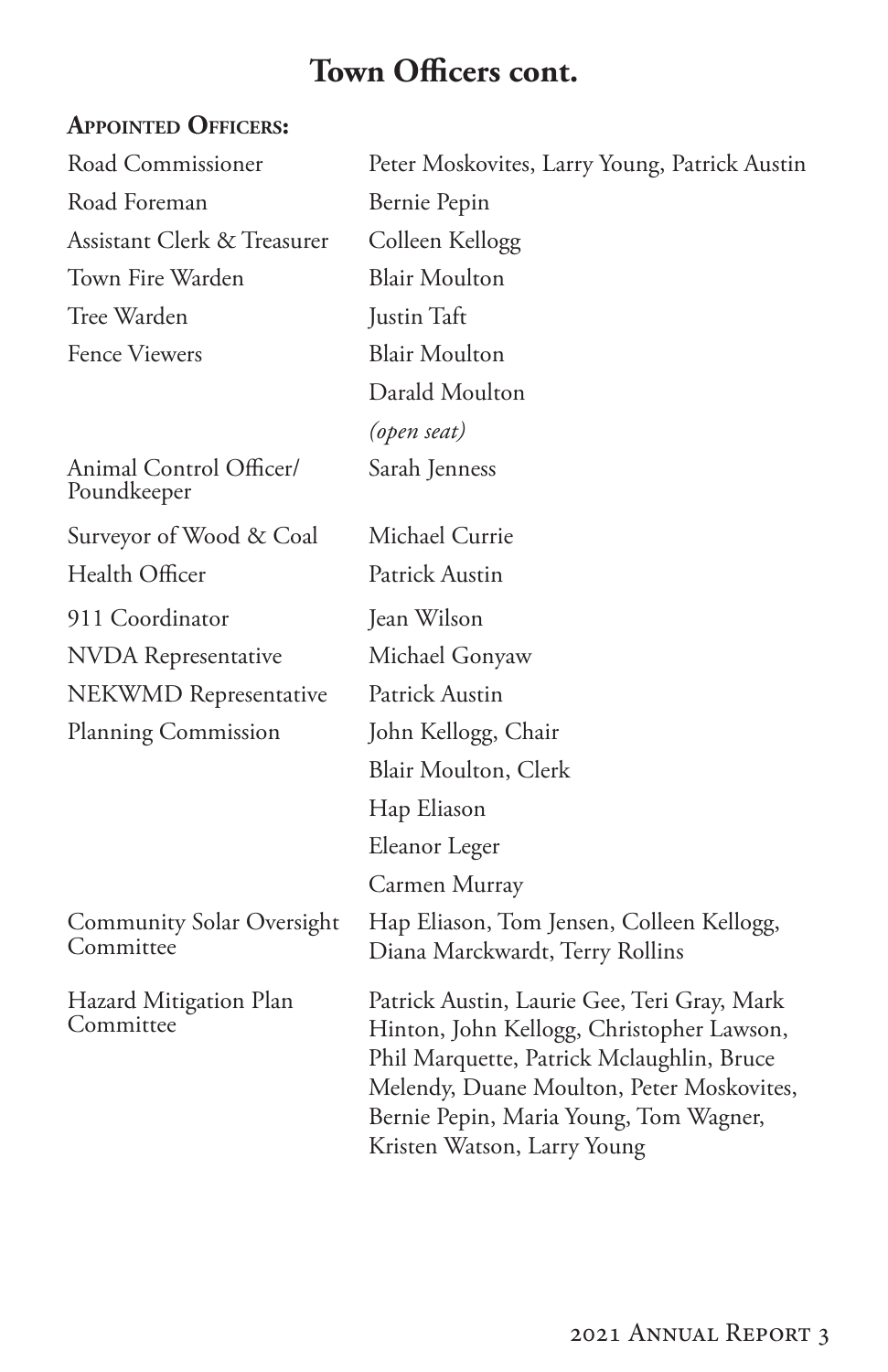# **Town Officers cont.**

### **Appointed Officers:**

| Road Commissioner                             | Peter Moskovites, Larry Young, Patrick Austin                                                                                                                                                                                                               |
|-----------------------------------------------|-------------------------------------------------------------------------------------------------------------------------------------------------------------------------------------------------------------------------------------------------------------|
| Road Foreman                                  | Bernie Pepin                                                                                                                                                                                                                                                |
| Assistant Clerk & Treasurer                   | Colleen Kellogg                                                                                                                                                                                                                                             |
| Town Fire Warden                              | <b>Blair Moulton</b>                                                                                                                                                                                                                                        |
| Tree Warden                                   | Justin Taft                                                                                                                                                                                                                                                 |
| <b>Fence Viewers</b>                          | <b>Blair Moulton</b>                                                                                                                                                                                                                                        |
|                                               | Darald Moulton                                                                                                                                                                                                                                              |
|                                               | (open seat)                                                                                                                                                                                                                                                 |
| Animal Control Officer/<br>Poundkeeper        | Sarah Jenness                                                                                                                                                                                                                                               |
| Surveyor of Wood & Coal                       | Michael Currie                                                                                                                                                                                                                                              |
| Health Officer                                | Patrick Austin                                                                                                                                                                                                                                              |
| 911 Coordinator                               | Jean Wilson                                                                                                                                                                                                                                                 |
| <b>NVDA</b> Representative                    | Michael Gonyaw                                                                                                                                                                                                                                              |
| NEKWMD Representative                         | Patrick Austin                                                                                                                                                                                                                                              |
| Planning Commission                           | John Kellogg, Chair                                                                                                                                                                                                                                         |
|                                               | Blair Moulton, Clerk                                                                                                                                                                                                                                        |
|                                               | Hap Eliason                                                                                                                                                                                                                                                 |
|                                               | Eleanor Leger                                                                                                                                                                                                                                               |
|                                               | Carmen Murray                                                                                                                                                                                                                                               |
| <b>Community Solar Oversight</b><br>Committee | Hap Eliason, Tom Jensen, Colleen Kellogg,<br>Diana Marckwardt, Terry Rollins                                                                                                                                                                                |
| Hazard Mitigation Plan<br>Committee           | Patrick Austin, Laurie Gee, Teri Gray, Mark<br>Hinton, John Kellogg, Christopher Lawson,<br>Phil Marquette, Patrick Mclaughlin, Bruce<br>Melendy, Duane Moulton, Peter Moskovites,<br>Bernie Pepin, Maria Young, Tom Wagner,<br>Kristen Watson, Larry Young |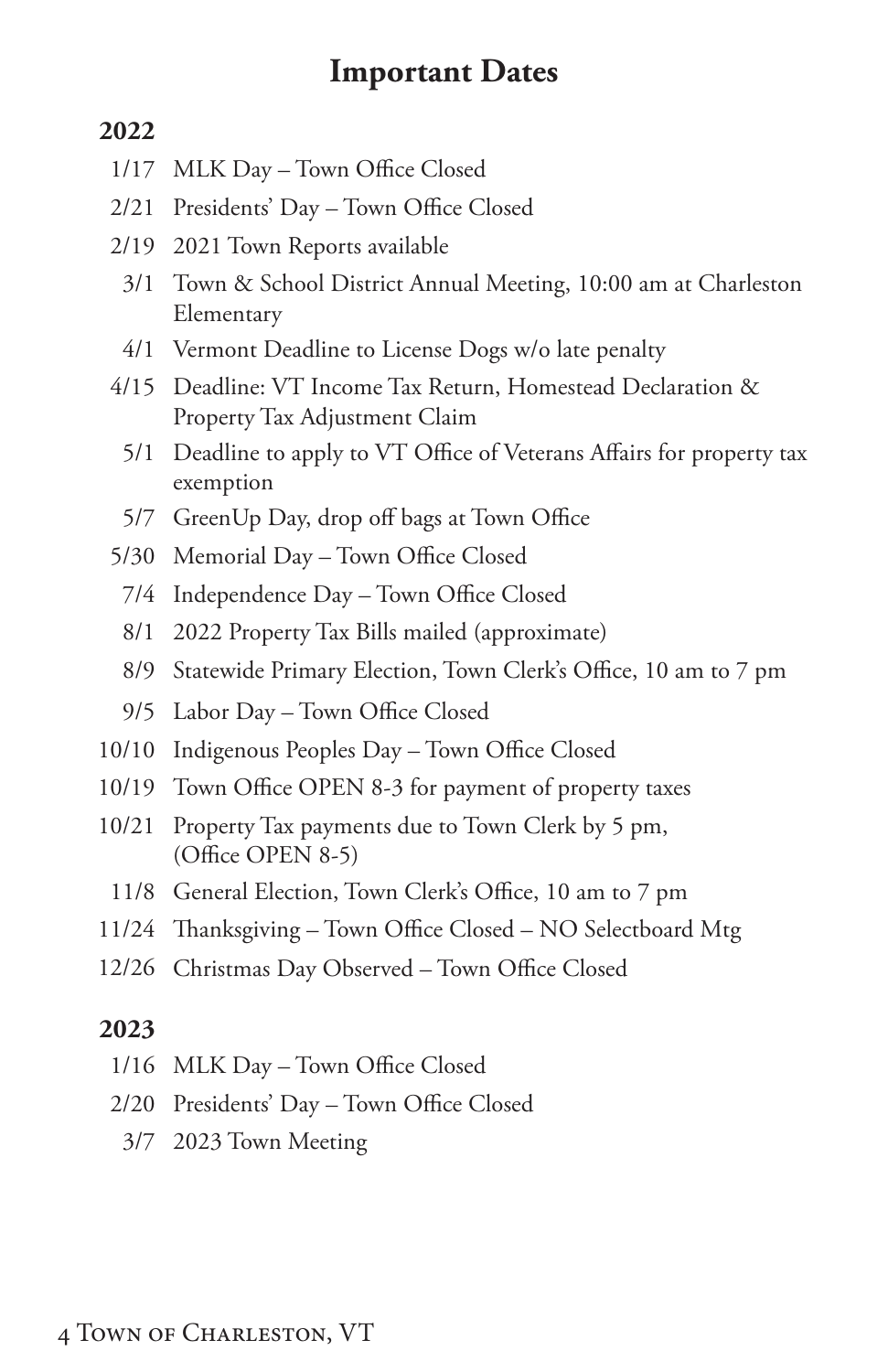### **Important Dates**

### <span id="page-5-0"></span>**2022**

- 1/17 MLK Day Town Office Closed
- 2/21 Presidents' Day Town Office Closed
- 2/19 2021 Town Reports available
	- 3/1 Town & School District Annual Meeting, 10:00 am at Charleston Elementary
	- 4/1 Vermont Deadline to License Dogs w/o late penalty
- 4/15 Deadline: VT Income Tax Return, Homestead Declaration & Property Tax Adjustment Claim
	- 5/1 Deadline to apply to VT Office of Veterans Affairs for property tax exemption
	- 5/7 GreenUp Day, drop off bags at Town Office
- 5/30 Memorial Day Town Office Closed
	- 7/4 Independence Day Town Office Closed
	- 8/1 2022 Property Tax Bills mailed (approximate)
	- 8/9 Statewide Primary Election, Town Clerk's Office, 10 am to 7 pm
	- 9/5 Labor Day Town Office Closed
- 10/10 Indigenous Peoples Day Town Office Closed
- 10/19 Town Office OPEN 8-3 for payment of property taxes
- 10/21 Property Tax payments due to Town Clerk by 5 pm, (Office OPEN 8-5)
	- 11/8 General Election, Town Clerk's Office, 10 am to 7 pm
- 11/24 Thanksgiving Town Office Closed NO Selectboard Mtg
- 12/26 Christmas Day Observed Town Office Closed

### **2023**

- 1/16 MLK Day Town Office Closed
- 2/20 Presidents' Day Town Office Closed
	- 3/7 2023 Town Meeting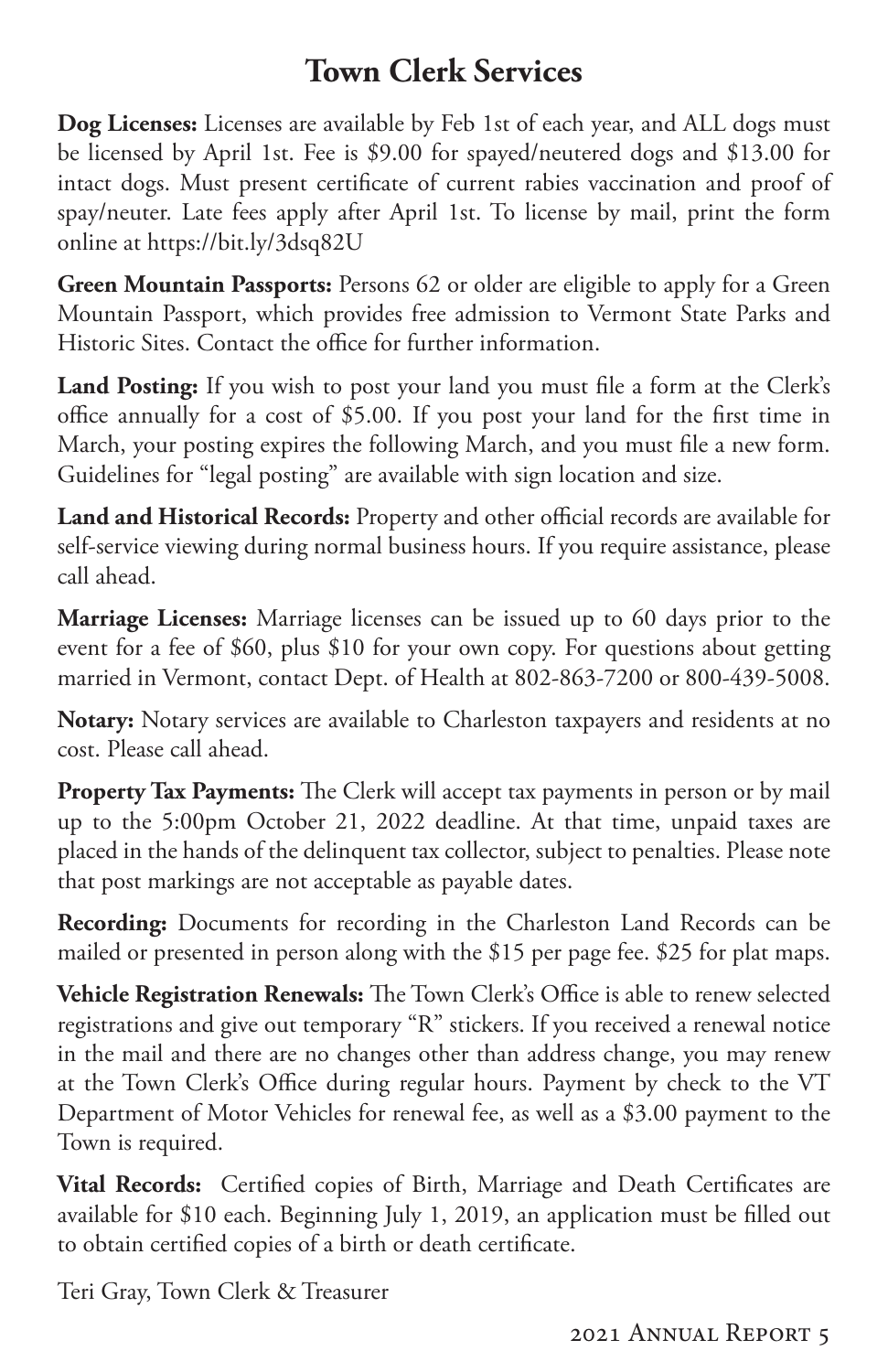# **Town Clerk Services**

<span id="page-6-0"></span>**Dog Licenses:** Licenses are available by Feb 1st of each year, and ALL dogs must be licensed by April 1st. Fee is \$9.00 for spayed/neutered dogs and \$13.00 for intact dogs. Must present certificate of current rabies vaccination and proof of spay/neuter. Late fees apply after April 1st. To license by mail, print the form online at https://bit.ly/3dsq82U

**Green Mountain Passports:** Persons 62 or older are eligible to apply for a Green Mountain Passport, which provides free admission to Vermont State Parks and Historic Sites. Contact the office for further information.

**Land Posting:** If you wish to post your land you must file a form at the Clerk's office annually for a cost of \$5.00. If you post your land for the first time in March, your posting expires the following March, and you must file a new form. Guidelines for "legal posting" are available with sign location and size.

**Land and Historical Records:** Property and other official records are available for self-service viewing during normal business hours. If you require assistance, please call ahead.

**Marriage Licenses:** Marriage licenses can be issued up to 60 days prior to the event for a fee of \$60, plus \$10 for your own copy. For questions about getting married in Vermont, contact Dept. of Health at 802-863-7200 or 800-439-5008.

**Notary:** Notary services are available to Charleston taxpayers and residents at no cost. Please call ahead.

**Property Tax Payments:** The Clerk will accept tax payments in person or by mail up to the 5:00pm October 21, 2022 deadline. At that time, unpaid taxes are placed in the hands of the delinquent tax collector, subject to penalties. Please note that post markings are not acceptable as payable dates.

**Recording:** Documents for recording in the Charleston Land Records can be mailed or presented in person along with the \$15 per page fee. \$25 for plat maps.

**Vehicle Registration Renewals:** The Town Clerk's Office is able to renew selected registrations and give out temporary "R" stickers. If you received a renewal notice in the mail and there are no changes other than address change, you may renew at the Town Clerk's Office during regular hours. Payment by check to the VT Department of Motor Vehicles for renewal fee, as well as a \$3.00 payment to the Town is required.

**Vital Records:** Certified copies of Birth, Marriage and Death Certificates are available for \$10 each. Beginning July 1, 2019, an application must be filled out to obtain certified copies of a birth or death certificate.

Teri Gray, Town Clerk & Treasurer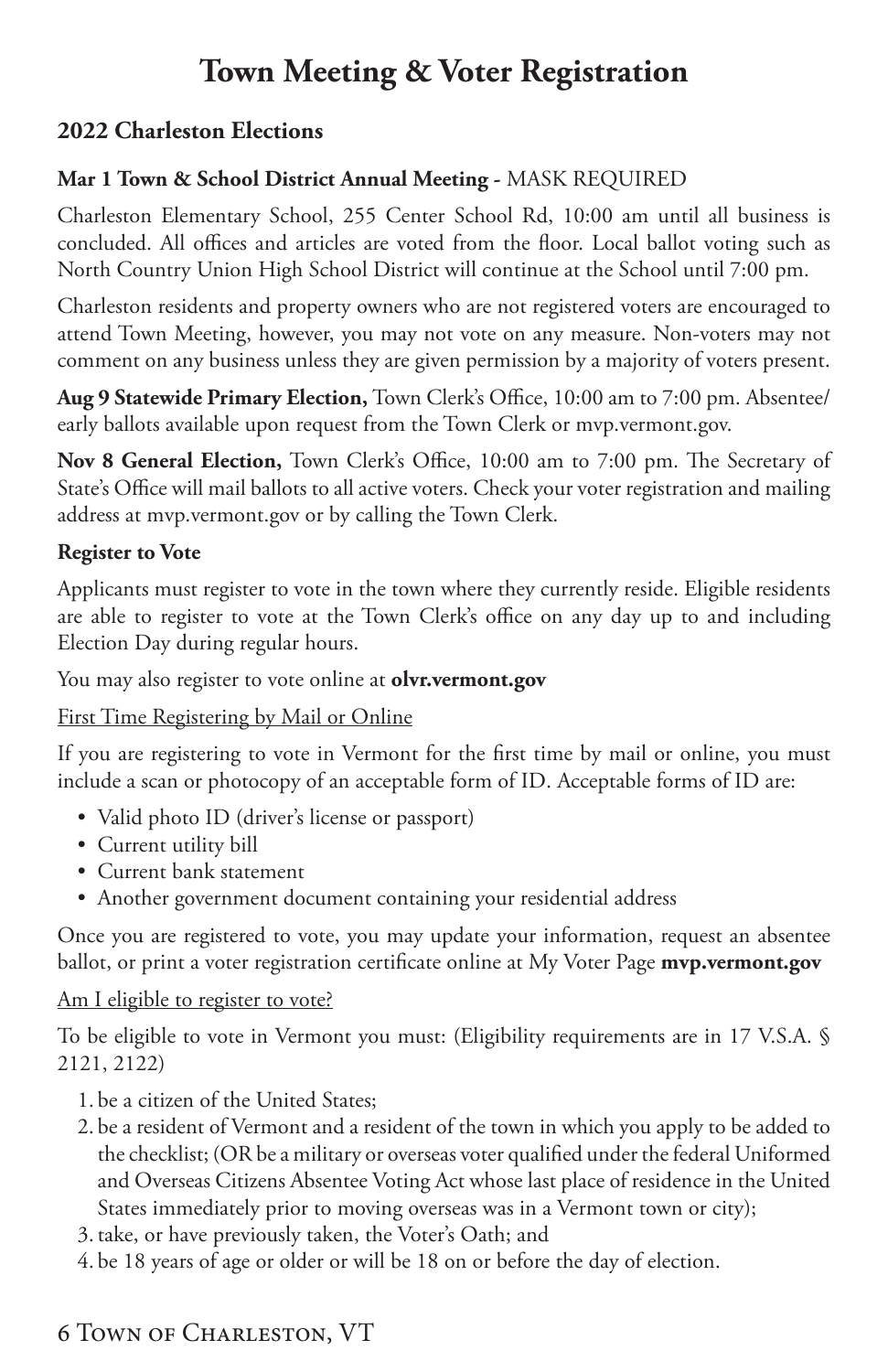# **Town Meeting & Voter Registration**

### **2022 Charleston Elections**

### **Mar 1 Town & School District Annual Meeting -** MASK REQUIRED

Charleston Elementary School, 255 Center School Rd, 10:00 am until all business is concluded. All offices and articles are voted from the floor. Local ballot voting such as North Country Union High School District will continue at the School until 7:00 pm.

Charleston residents and property owners who are not registered voters are encouraged to attend Town Meeting, however, you may not vote on any measure. Non-voters may not comment on any business unless they are given permission by a majority of voters present.

**Aug 9 Statewide Primary Election,** Town Clerk's Office, 10:00 am to 7:00 pm. Absentee/ early ballots available upon request from the Town Clerk or mvp.vermont.gov.

**Nov 8 General Election,** Town Clerk's Office, 10:00 am to 7:00 pm. The Secretary of State's Office will mail ballots to all active voters. Check your voter registration and mailing address at mvp.vermont.gov or by calling the Town Clerk.

### **Register to Vote**

Applicants must register to vote in the town where they currently reside. Eligible residents are able to register to vote at the Town Clerk's office on any day up to and including Election Day during regular hours.

You may also register to vote online at **olvr.vermont.gov**

#### First Time Registering by Mail or Online

If you are registering to vote in Vermont for the first time by mail or online, you must include a scan or photocopy of an acceptable form of ID. Acceptable forms of ID are:

- Valid photo ID (driver's license or passport)
- Current utility bill
- Current bank statement
- Another government document containing your residential address

Once you are registered to vote, you may update your information, request an absentee ballot, or print a voter registration certificate online at My Voter Page **mvp.vermont.gov**

#### Am I eligible to register to vote?

To be eligible to vote in Vermont you must: (Eligibility requirements are in 17 V.S.A. § 2121, 2122)

- 1. be a citizen of the United States;
- 2. be a resident of Vermont and a resident of the town in which you apply to be added to the checklist; (OR be a military or overseas voter qualified under the federal Uniformed and Overseas Citizens Absentee Voting Act whose last place of residence in the United States immediately prior to moving overseas was in a Vermont town or city);
- 3.take, or have previously taken, the Voter's Oath; and
- 4. be 18 years of age or older or will be 18 on or before the day of election.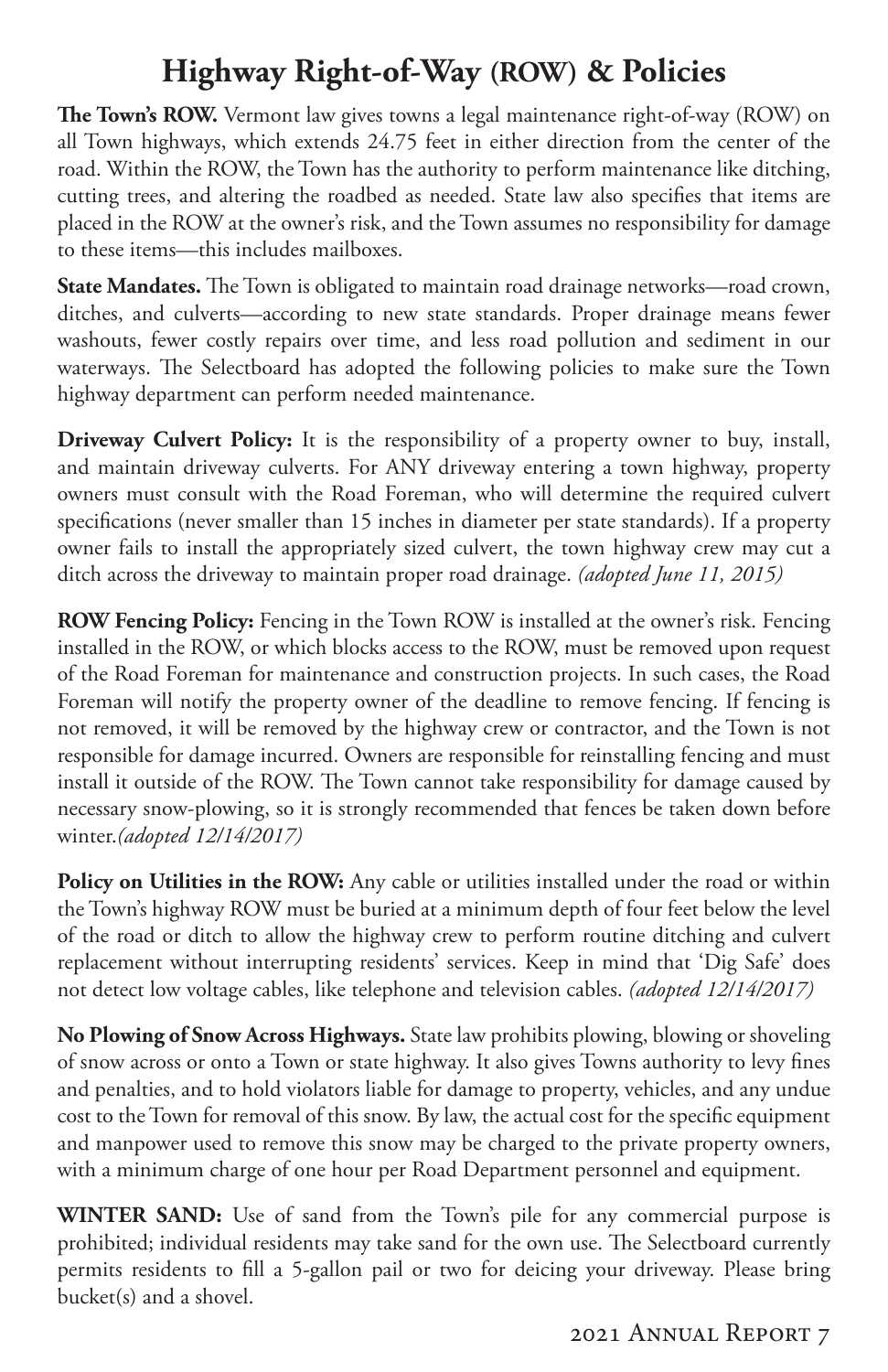# **Highway Right-of-Way (ROW) & Policies**

<span id="page-8-0"></span>**The Town's ROW.** Vermont law gives towns a legal maintenance right-of-way (ROW) on all Town highways, which extends 24.75 feet in either direction from the center of the road. Within the ROW, the Town has the authority to perform maintenance like ditching, cutting trees, and altering the roadbed as needed. State law also specifies that items are placed in the ROW at the owner's risk, and the Town assumes no responsibility for damage to these items—this includes mailboxes.

**State Mandates.** The Town is obligated to maintain road drainage networks—road crown, ditches, and culverts—according to new state standards. Proper drainage means fewer washouts, fewer costly repairs over time, and less road pollution and sediment in our waterways. The Selectboard has adopted the following policies to make sure the Town highway department can perform needed maintenance.

**Driveway Culvert Policy:** It is the responsibility of a property owner to buy, install, and maintain driveway culverts. For ANY driveway entering a town highway, property owners must consult with the Road Foreman, who will determine the required culvert specifications (never smaller than 15 inches in diameter per state standards). If a property owner fails to install the appropriately sized culvert, the town highway crew may cut a ditch across the driveway to maintain proper road drainage. *(adopted June 11, 2015)*

**ROW Fencing Policy:** Fencing in the Town ROW is installed at the owner's risk. Fencing installed in the ROW, or which blocks access to the ROW, must be removed upon request of the Road Foreman for maintenance and construction projects. In such cases, the Road Foreman will notify the property owner of the deadline to remove fencing. If fencing is not removed, it will be removed by the highway crew or contractor, and the Town is not responsible for damage incurred. Owners are responsible for reinstalling fencing and must install it outside of the ROW. The Town cannot take responsibility for damage caused by necessary snow-plowing, so it is strongly recommended that fences be taken down before winter.*(adopted 12/14/2017)*

**Policy on Utilities in the ROW:** Any cable or utilities installed under the road or within the Town's highway ROW must be buried at a minimum depth of four feet below the level of the road or ditch to allow the highway crew to perform routine ditching and culvert replacement without interrupting residents' services. Keep in mind that 'Dig Safe' does not detect low voltage cables, like telephone and television cables. *(adopted 12/14/2017)*

**No Plowing of Snow Across Highways.** State law prohibits plowing, blowing or shoveling of snow across or onto a Town or state highway. It also gives Towns authority to levy fines and penalties, and to hold violators liable for damage to property, vehicles, and any undue cost to the Town for removal of this snow. By law, the actual cost for the specific equipment and manpower used to remove this snow may be charged to the private property owners, with a minimum charge of one hour per Road Department personnel and equipment.

**WINTER SAND:** Use of sand from the Town's pile for any commercial purpose is prohibited; individual residents may take sand for the own use. The Selectboard currently permits residents to fill a 5-gallon pail or two for deicing your driveway. Please bring bucket(s) and a shovel.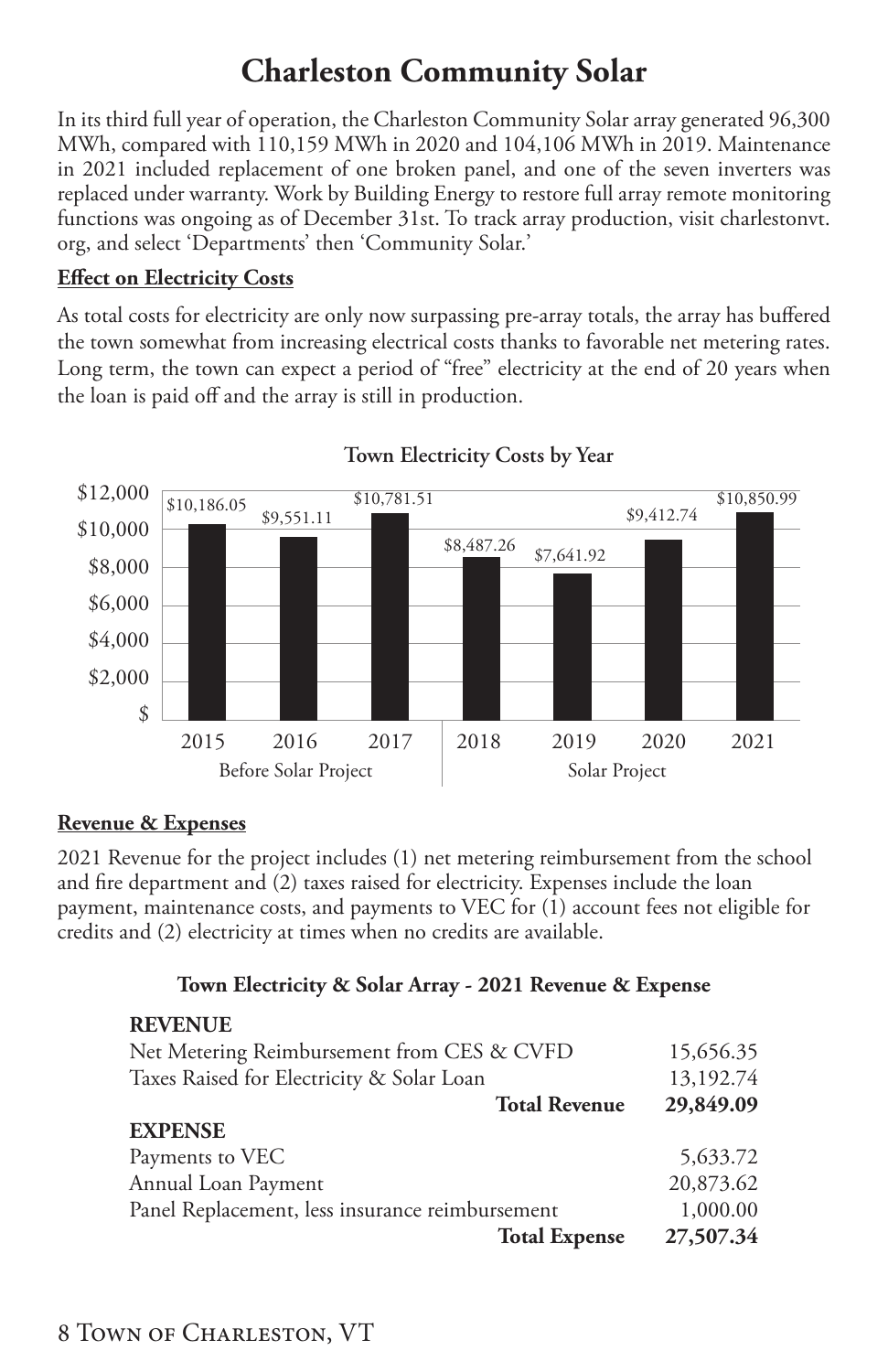# **Charleston Community Solar**

In its third full year of operation, the Charleston Community Solar array generated 96,300 MWh, compared with 110,159 MWh in 2020 and 104,106 MWh in 2019. Maintenance in 2021 included replacement of one broken panel, and one of the seven inverters was replaced under warranty. Work by Building Energy to restore full array remote monitoring functions was ongoing as of December 31st. To track array production, visit charlestonvt. org, and select 'Departments' then 'Community Solar.'

#### **Effect on Electricity Costs**

As total costs for electricity are only now surpassing pre-array totals, the array has buffered the town somewhat from increasing electrical costs thanks to favorable net metering rates. Long term, the town can expect a period of "free" electricity at the end of 20 years when the loan is paid off and the array is still in production.



### **Town Electricity Costs by Year**

### **Revenue & Expenses**

2021 Revenue for the project includes (1) net metering reimbursement from the school and fire department and (2) taxes raised for electricity. Expenses include the loan payment, maintenance costs, and payments to VEC for (1) account fees not eligible for credits and (2) electricity at times when no credits are available.

#### **Town Electricity & Solar Array - 2021 Revenue & Expense**

| <b>REVENUE</b>                                  |           |
|-------------------------------------------------|-----------|
| Net Metering Reimbursement from CES & CVFD      | 15,656.35 |
| Taxes Raised for Electricity & Solar Loan       | 13,192.74 |
| <b>Total Revenue</b>                            | 29,849.09 |
| <b>EXPENSE</b>                                  |           |
| Payments to VEC                                 | 5,633.72  |
| Annual Loan Payment                             | 20,873.62 |
| Panel Replacement, less insurance reimbursement | 1,000.00  |
| <b>Total Expense</b>                            | 27,507.34 |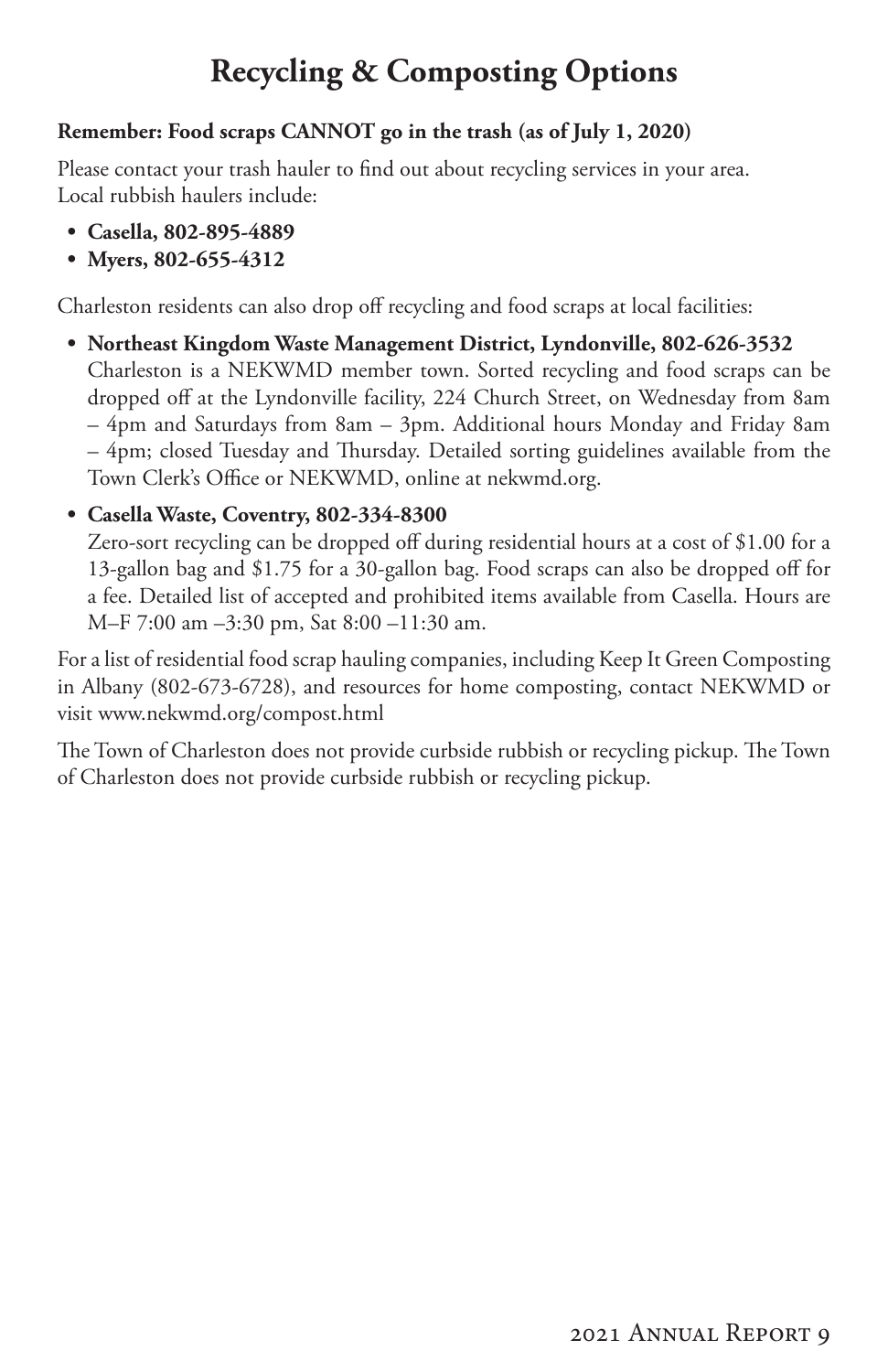# **Recycling & Composting Options**

### <span id="page-10-0"></span>**Remember: Food scraps CANNOT go in the trash (as of July 1, 2020)**

Please contact your trash hauler to find out about recycling services in your area. Local rubbish haulers include:

- **• Casella, 802-895-4889**
- **• Myers, 802-655-4312**

Charleston residents can also drop off recycling and food scraps at local facilities:

**• Northeast Kingdom Waste Management District, Lyndonville, 802-626-3532** Charleston is a NEKWMD member town. Sorted recycling and food scraps can be dropped off at the Lyndonville facility, 224 Church Street, on Wednesday from 8am – 4pm and Saturdays from 8am – 3pm. Additional hours Monday and Friday 8am – 4pm; closed Tuesday and Thursday. Detailed sorting guidelines available from the Town Clerk's Office or NEKWMD, online at nekwmd.org.

### **• Casella Waste, Coventry, 802-334-8300**

Zero-sort recycling can be dropped off during residential hours at a cost of \$1.00 for a 13-gallon bag and \$1.75 for a 30-gallon bag. Food scraps can also be dropped off for a fee. Detailed list of accepted and prohibited items available from Casella. Hours are M–F 7:00 am –3:30 pm, Sat 8:00 –11:30 am.

For a list of residential food scrap hauling companies, including Keep It Green Composting in Albany (802-673-6728), and resources for home composting, contact NEKWMD or visit www.nekwmd.org/compost.html

The Town of Charleston does not provide curbside rubbish or recycling pickup. The Town of Charleston does not provide curbside rubbish or recycling pickup.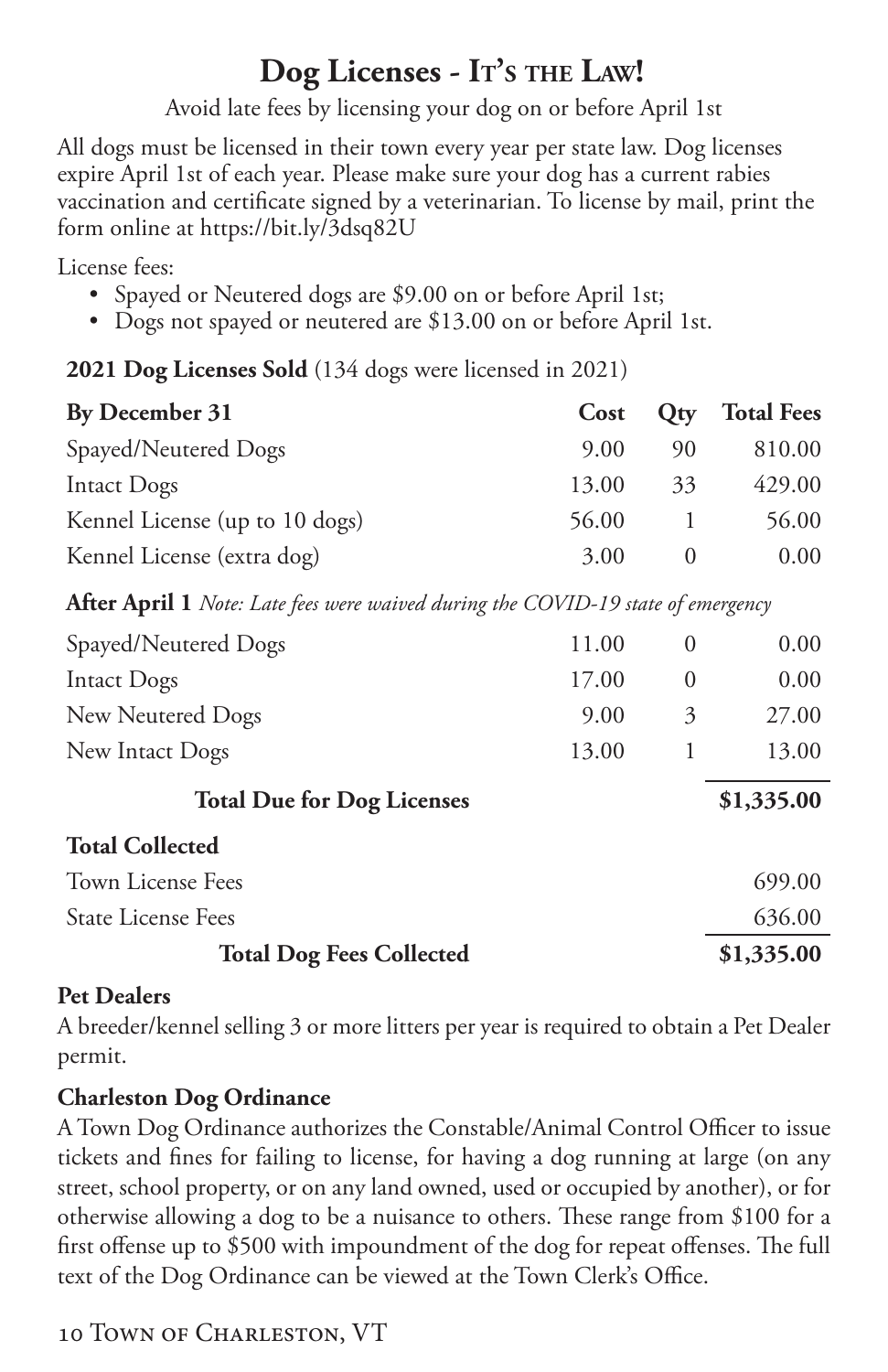# **Dog Licenses - It's the Law!**

Avoid late fees by licensing your dog on or before April 1st

<span id="page-11-0"></span>All dogs must be licensed in their town every year per state law. Dog licenses expire April 1st of each year. Please make sure your dog has a current rabies vaccination and certificate signed by a veterinarian. To license by mail, print the form online at https://bit.ly/3dsq82U

License fees:

- Spayed or Neutered dogs are \$9.00 on or before April 1st;
- Dogs not spayed or neutered are \$13.00 on or before April 1st.

**2021 Dog Licenses Sold** (134 dogs were licensed in 2021)

| By December 31                 | Cost  |    | <b>Qty</b> Total Fees |
|--------------------------------|-------|----|-----------------------|
| Spayed/Neutered Dogs           | 9.00  | 90 | 810.00                |
| Intact Dogs                    | 13.00 | 33 | 429.00                |
| Kennel License (up to 10 dogs) | 56.00 |    | 56.00                 |
| Kennel License (extra dog)     | 3.00  |    | 0.00                  |

**After April 1** *Note: Late fees were waived during the COVID-19 state of emergency*

| Spayed/Neutered Dogs              | 11.00 | $\theta$ | 0.00       |
|-----------------------------------|-------|----------|------------|
| Intact Dogs                       | 17.00 | $\theta$ | 0.00       |
| New Neutered Dogs                 | 9.00  | 3        | 27.00      |
| New Intact Dogs                   | 13.00 |          | 13.00      |
| <b>Total Due for Dog Licenses</b> |       |          | \$1,335.00 |
| <b>Total Collected</b>            |       |          |            |
| Town License Fees                 |       |          | 699.00     |
| <b>State License Fees</b>         |       |          | 636.00     |
| <b>Total Dog Fees Collected</b>   |       |          | \$1,335.00 |

### **Pet Dealers**

A breeder/kennel selling 3 or more litters per year is required to obtain a Pet Dealer permit.

### **Charleston Dog Ordinance**

A Town Dog Ordinance authorizes the Constable/Animal Control Officer to issue tickets and fines for failing to license, for having a dog running at large (on any street, school property, or on any land owned, used or occupied by another), or for otherwise allowing a dog to be a nuisance to others. These range from \$100 for a first offense up to \$500 with impoundment of the dog for repeat offenses. The full text of the Dog Ordinance can be viewed at the Town Clerk's Office.

### 10 TOWN OF CHARLESTON, VT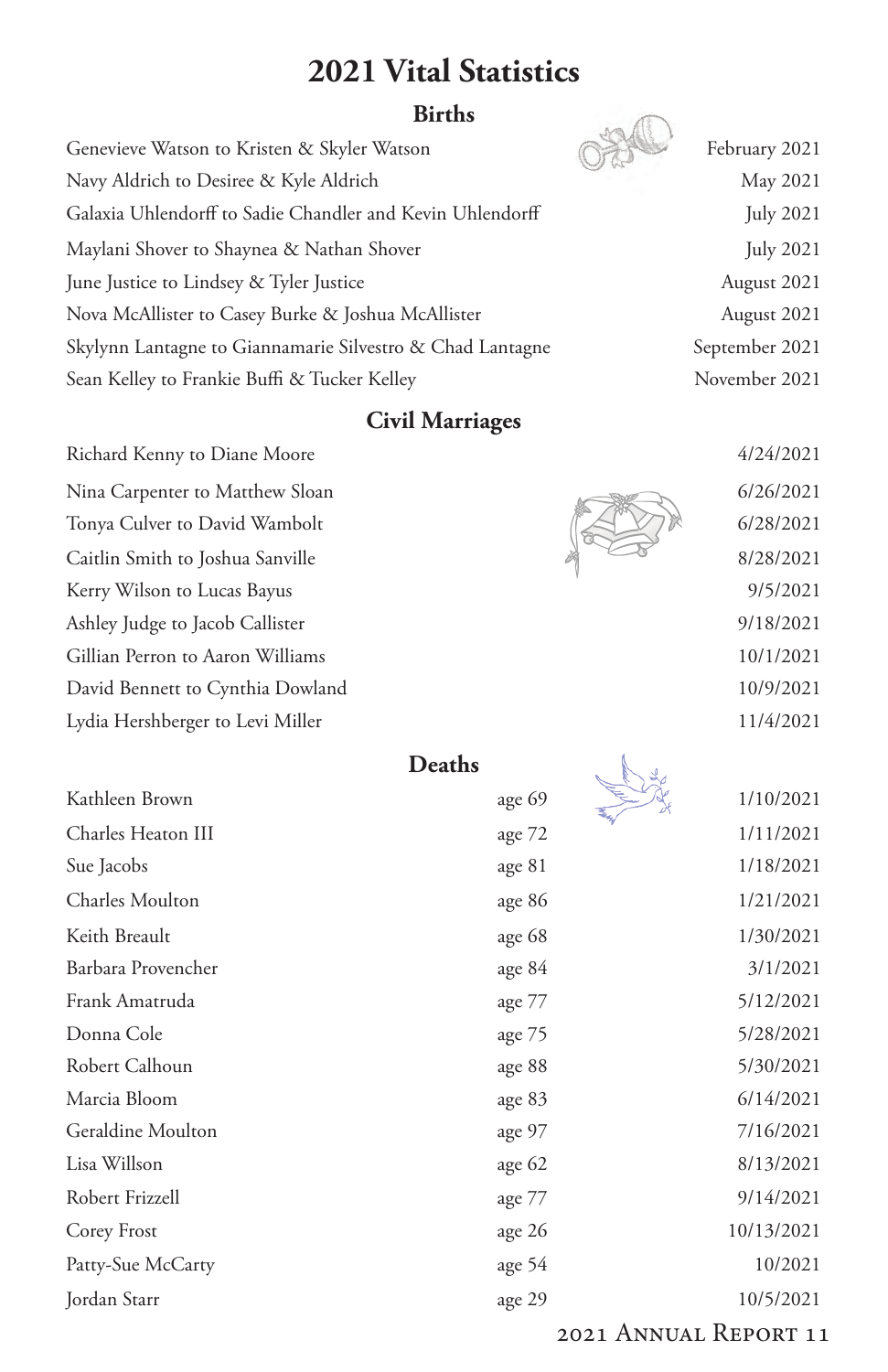### **2021 Vital Statistics**

### **Births**

<span id="page-12-0"></span>

| Genevieve Watson to Kristen & Skyler Watson               | February 2021    |
|-----------------------------------------------------------|------------------|
| Navy Aldrich to Desiree & Kyle Aldrich                    | May 2021         |
| Galaxia Uhlendorff to Sadie Chandler and Kevin Uhlendorff | <b>July 2021</b> |
| Maylani Shover to Shaynea & Nathan Shover                 | <b>July 2021</b> |
| June Justice to Lindsey & Tyler Justice                   | August 2021      |
| Nova McAllister to Casey Burke & Joshua McAllister        | August 2021      |
| Skylynn Lantagne to Giannamarie Silvestro & Chad Lantagne | September 2021   |
| Sean Kelley to Frankie Buffi & Tucker Kelley              | November 2021    |

### **Civil Marriages**

Richard Kenny to Diane Moore Nina Carpenter to Matthew Sloan Tonya Culver to David Wambolt Caitlin Smith to Joshua Sanville Kerry Wilson to Lucas Bayus Ashley Judge to Jacob Callister Gillian Perron to Aaron Williams David Bennett to Cynthia Dowland Lydia Hershberger to Levi Miller 11/4/2021



| 4/24/2021 |
|-----------|
| 6/26/2021 |
| 6/28/2021 |
| 8/28/2021 |
| 9/5/2021  |
| 9/18/2021 |
| 10/1/2021 |
| 10/9/2021 |
| 111110001 |

|--|

|                    | <b>Deaths</b> |            |
|--------------------|---------------|------------|
| Kathleen Brown     | age 69        | 1/10/2021  |
| Charles Heaton III | age 72        | 1/11/2021  |
| Sue Jacobs         | age 81        | 1/18/2021  |
| Charles Moulton    | age 86        | 1/21/2021  |
| Keith Breault      | age 68        | 1/30/2021  |
| Barbara Provencher | age $84$      | 3/1/2021   |
| Frank Amatruda     | age 77        | 5/12/2021  |
| Donna Cole         | age 75        | 5/28/2021  |
| Robert Calhoun     | age 88        | 5/30/2021  |
| Marcia Bloom       | age 83        | 6/14/2021  |
| Geraldine Moulton  | age 97        | 7/16/2021  |
| Lisa Willson       | age $62$      | 8/13/2021  |
| Robert Frizzell    | age 77        | 9/14/2021  |
| Corey Frost        | age 26        | 10/13/2021 |
| Patty-Sue McCarty  | age 54        | 10/2021    |
| Jordan Starr       | age 29        | 10/5/2021  |

#### 2021 Annual Report 11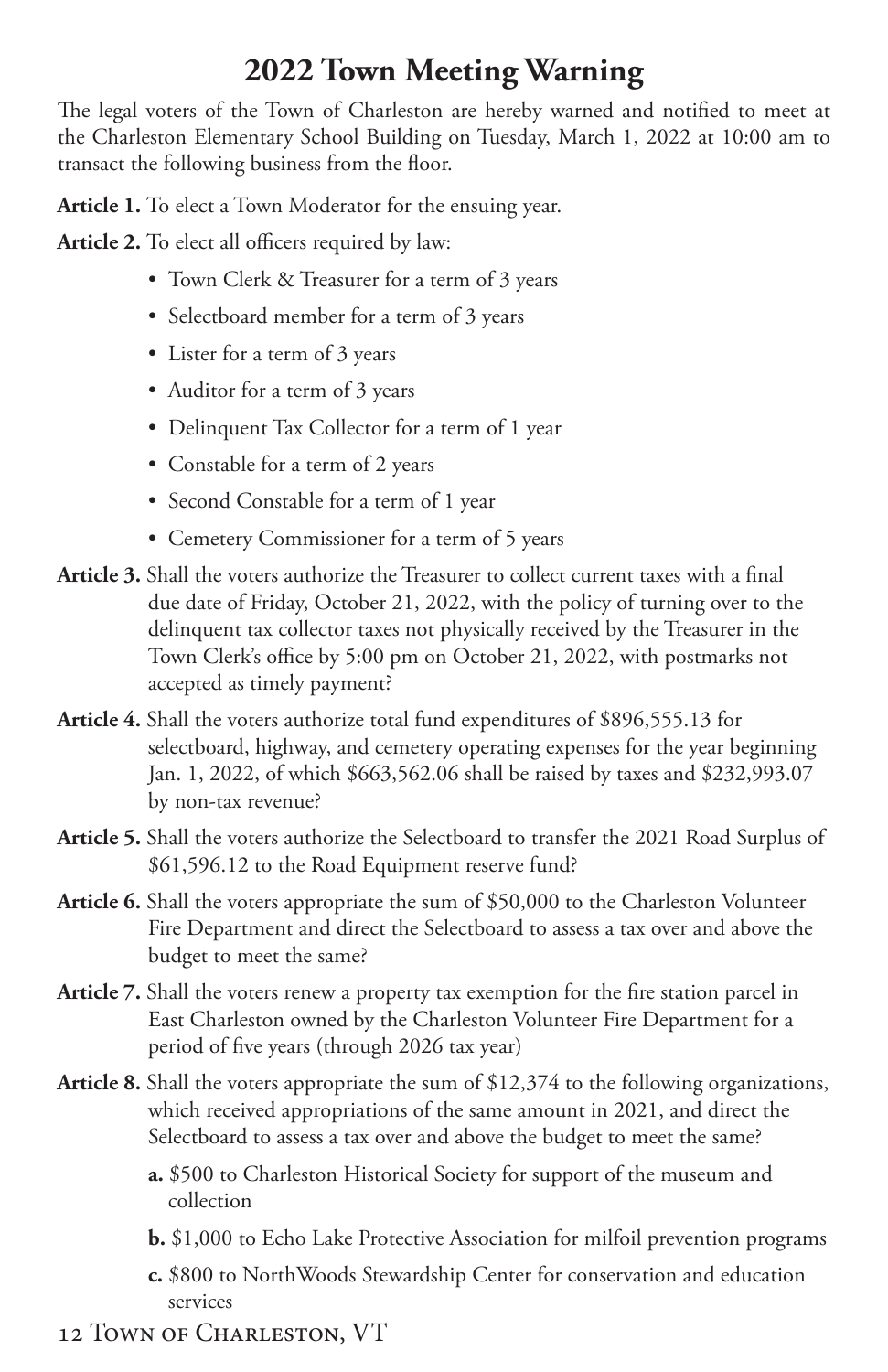# **2022 Town Meeting Warning**

<span id="page-13-0"></span>The legal voters of the Town of Charleston are hereby warned and notified to meet at the Charleston Elementary School Building on Tuesday, March 1, 2022 at 10:00 am to transact the following business from the floor.

**Article 1.** To elect a Town Moderator for the ensuing year.

**Article 2.** To elect all officers required by law:

- Town Clerk & Treasurer for a term of 3 years
- Selectboard member for a term of 3 years
- Lister for a term of 3 years
- Auditor for a term of 3 years
- Delinquent Tax Collector for a term of 1 year
- Constable for a term of 2 years
- Second Constable for a term of 1 year
- Cemetery Commissioner for a term of 5 years
- **Article 3.** Shall the voters authorize the Treasurer to collect current taxes with a final due date of Friday, October 21, 2022, with the policy of turning over to the delinquent tax collector taxes not physically received by the Treasurer in the Town Clerk's office by 5:00 pm on October 21, 2022, with postmarks not accepted as timely payment?
- **Article 4.** Shall the voters authorize total fund expenditures of \$896,555.13 for selectboard, highway, and cemetery operating expenses for the year beginning Jan. 1, 2022, of which \$663,562.06 shall be raised by taxes and \$232,993.07 by non-tax revenue?
- **Article 5.** Shall the voters authorize the Selectboard to transfer the 2021 Road Surplus of \$61,596.12 to the Road Equipment reserve fund?
- **Article 6.** Shall the voters appropriate the sum of \$50,000 to the Charleston Volunteer Fire Department and direct the Selectboard to assess a tax over and above the budget to meet the same?
- **Article 7.** Shall the voters renew a property tax exemption for the fire station parcel in East Charleston owned by the Charleston Volunteer Fire Department for a period of five years (through 2026 tax year)
- **Article 8.** Shall the voters appropriate the sum of \$12,374 to the following organizations, which received appropriations of the same amount in 2021, and direct the Selectboard to assess a tax over and above the budget to meet the same?
	- **a.** \$500 to Charleston Historical Society for support of the museum and collection
	- **b.** \$1,000 to Echo Lake Protective Association for milfoil prevention programs
	- **c.** \$800 to NorthWoods Stewardship Center for conservation and education services
- 12 Town of Charleston, VT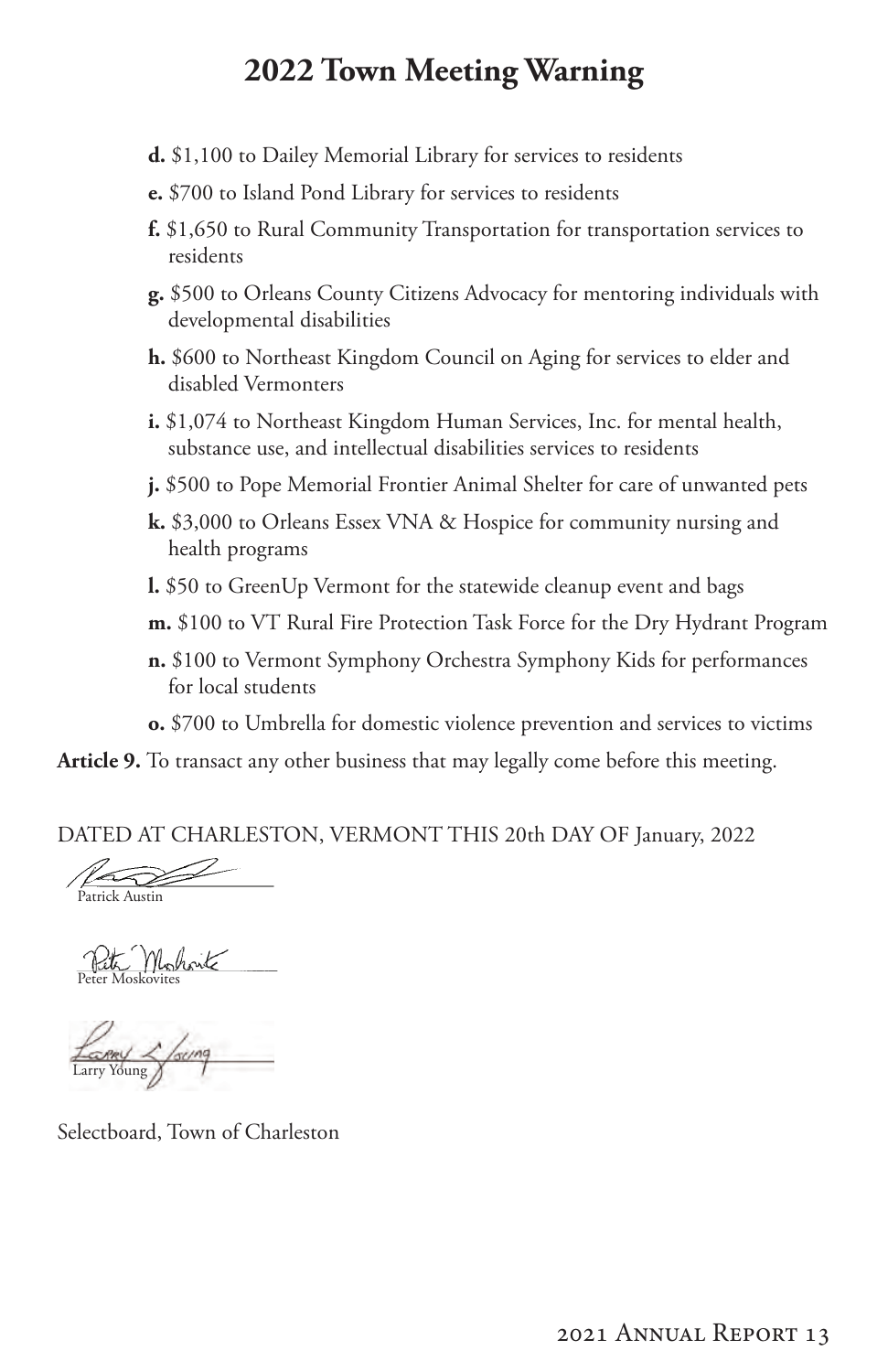### **2022 Town Meeting Warning**

- **d.** \$1,100 to Dailey Memorial Library for services to residents
- **e.** \$700 to Island Pond Library for services to residents
- **f.** \$1,650 to Rural Community Transportation for transportation services to residents
- **g.** \$500 to Orleans County Citizens Advocacy for mentoring individuals with developmental disabilities
- **h.** \$600 to Northeast Kingdom Council on Aging for services to elder and disabled Vermonters
- **i.** \$1,074 to Northeast Kingdom Human Services, Inc. for mental health, substance use, and intellectual disabilities services to residents
- **j.** \$500 to Pope Memorial Frontier Animal Shelter for care of unwanted pets
- **k.** \$3,000 to Orleans Essex VNA & Hospice for community nursing and health programs
- **l.** \$50 to GreenUp Vermont for the statewide cleanup event and bags
- **m.** \$100 to VT Rural Fire Protection Task Force for the Dry Hydrant Program
- **n.** \$100 to Vermont Symphony Orchestra Symphony Kids for performances for local students
- **o.** \$700 to Umbrella for domestic violence prevention and services to victims

**Article 9.** To transact any other business that may legally come before this meeting.

DATED AT CHARLESTON, VERMONT THIS 20th DAY OF January, 2022

 $\sim$ Patrick Austin

Peter Mohant

Larry 2 foung

Selectboard, Town of Charleston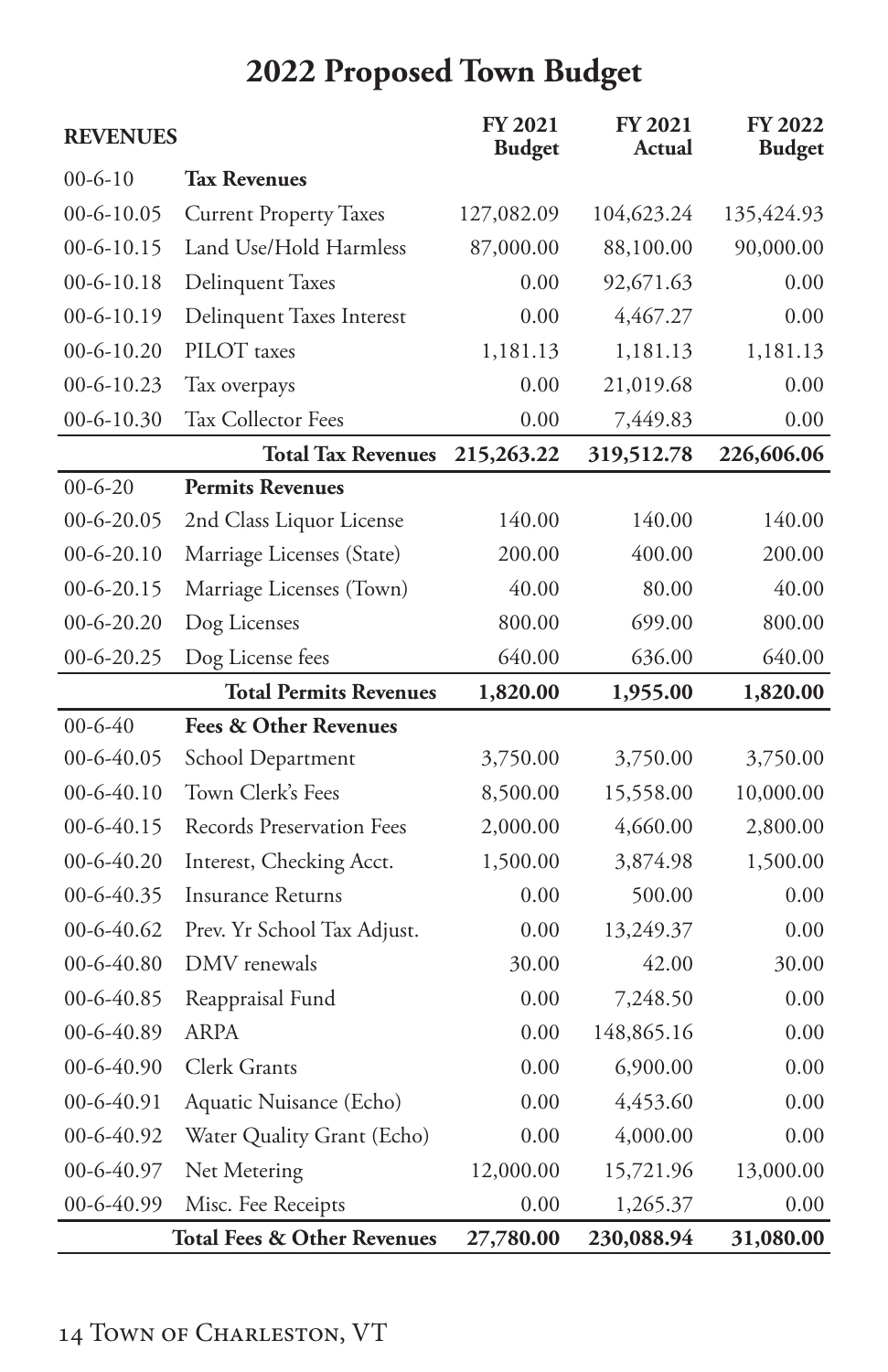<span id="page-15-0"></span>

| <b>REVENUES</b> |                                        | <b>FY 2021</b><br><b>Budget</b> | <b>FY 2021</b><br>Actual | <b>FY 2022</b><br><b>Budget</b> |
|-----------------|----------------------------------------|---------------------------------|--------------------------|---------------------------------|
| $00-6-10$       | <b>Tax Revenues</b>                    |                                 |                          |                                 |
| $00-6-10.05$    | <b>Current Property Taxes</b>          | 127,082.09                      | 104,623.24               | 135,424.93                      |
| $00-6-10.15$    | Land Use/Hold Harmless                 | 87,000.00                       | 88,100.00                | 90,000.00                       |
| $00-6-10.18$    | <b>Delinquent Taxes</b>                | 0.00                            | 92,671.63                | 0.00                            |
| $00-6-10.19$    | Delinquent Taxes Interest              | 0.00                            | 4,467.27                 | 0.00                            |
| $00-6-10.20$    | PILOT taxes                            | 1,181.13                        | 1,181.13                 | 1,181.13                        |
| $00-6-10.23$    | Tax overpays                           | 0.00                            | 21,019.68                | 0.00                            |
| 00-6-10.30      | Tax Collector Fees                     | 0.00                            | 7,449.83                 | 0.00                            |
|                 | <b>Total Tax Revenues</b>              | 215,263.22                      | 319,512.78               | 226,606.06                      |
| $00 - 6 - 20$   | <b>Permits Revenues</b>                |                                 |                          |                                 |
| $00-6-20.05$    | 2nd Class Liquor License               | 140.00                          | 140.00                   | 140.00                          |
| $00-6-20.10$    | Marriage Licenses (State)              | 200.00                          | 400.00                   | 200.00                          |
| $00-6-20.15$    | Marriage Licenses (Town)               | 40.00                           | 80.00                    | 40.00                           |
| $00-6-20.20$    | Dog Licenses                           | 800.00                          | 699.00                   | 800.00                          |
| $00-6-20.25$    | Dog License fees                       | 640.00                          | 636.00                   | 640.00                          |
|                 | <b>Total Permits Revenues</b>          | 1,820.00                        | 1,955.00                 | 1,820.00                        |
| $00 - 6 - 40$   | <b>Fees &amp; Other Revenues</b>       |                                 |                          |                                 |
| 00-6-40.05      | School Department                      | 3,750.00                        | 3,750.00                 | 3,750.00                        |
| $00-6-40.10$    | Town Clerk's Fees                      | 8,500.00                        | 15,558.00                | 10,000.00                       |
| $00-6-40.15$    | Records Preservation Fees              | 2,000.00                        | 4,660.00                 | 2,800.00                        |
| $00-6-40.20$    | Interest, Checking Acct.               | 1,500.00                        | 3,874.98                 | 1,500.00                        |
| 00-6-40.35      | Insurance Returns                      | 0.00                            | 500.00                   | 0.00                            |
| 00-6-40.62      | Prev. Yr School Tax Adjust.            | 0.00                            | 13,249.37                | 0.00                            |
| $00-6-40.80$    | DMV renewals                           | 30.00                           | 42.00                    | 30.00                           |
| 00-6-40.85      | Reappraisal Fund                       | 0.00                            | 7,248.50                 | 0.00                            |
| 00-6-40.89      | <b>ARPA</b>                            | 0.00                            | 148,865.16               | 0.00                            |
| 00-6-40.90      | Clerk Grants                           | 0.00                            | 6,900.00                 | 0.00                            |
| 00-6-40.91      | Aquatic Nuisance (Echo)                | 0.00                            | 4,453.60                 | 0.00                            |
| 00-6-40.92      | Water Quality Grant (Echo)             | 0.00                            | 4,000.00                 | 0.00                            |
| 00-6-40.97      | Net Metering                           | 12,000.00                       | 15,721.96                | 13,000.00                       |
| 00-6-40.99      | Misc. Fee Receipts                     | 0.00                            | 1,265.37                 | 0.00                            |
|                 | <b>Total Fees &amp; Other Revenues</b> | 27,780.00                       | 230,088.94               | 31,080.00                       |

# **2022 Proposed Town Budget**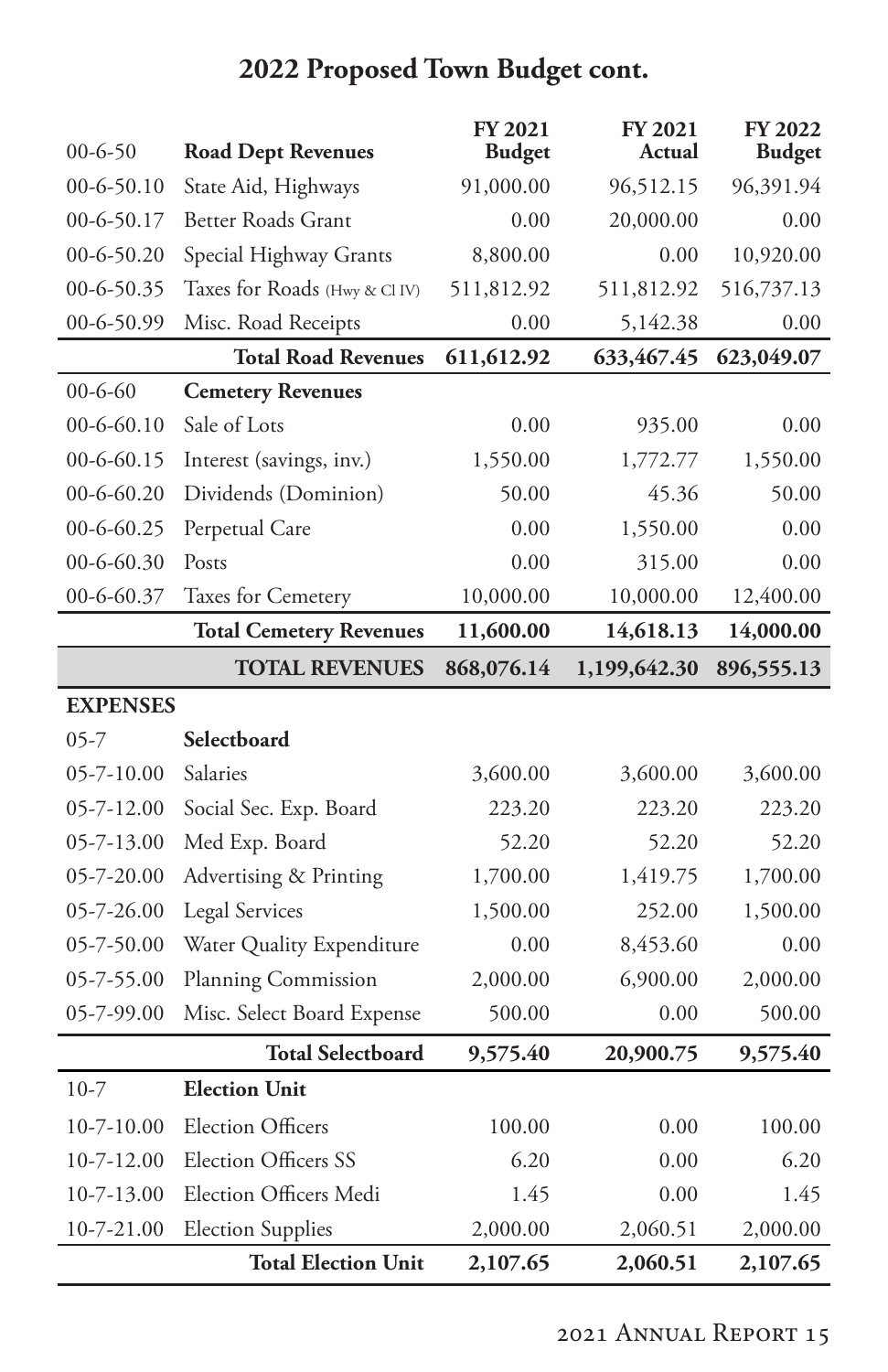| $00 - 6 - 50$    | <b>Road Dept Revenues</b>      | <b>FY 2021</b><br><b>Budget</b> | <b>FY 2021</b><br>Actual | <b>FY 2022</b><br><b>Budget</b> |
|------------------|--------------------------------|---------------------------------|--------------------------|---------------------------------|
| $00-6-50.10$     | State Aid, Highways            | 91,000.00                       | 96,512.15                | 96,391.94                       |
| 00-6-50.17       | Better Roads Grant             | 0.00                            | 20,000.00                | 0.00                            |
| $00-6-50.20$     | Special Highway Grants         | 8,800.00                        | 0.00                     | 10,920.00                       |
| 00-6-50.35       | Taxes for Roads (Hwy & CI IV)  | 511,812.92                      | 511,812.92               | 516,737.13                      |
| 00-6-50.99       | Misc. Road Receipts            | 0.00                            | 5,142.38                 | 0.00                            |
|                  | <b>Total Road Revenues</b>     | 611,612.92                      | 633,467.45               | 623,049.07                      |
| $00 - 6 - 60$    | <b>Cemetery Revenues</b>       |                                 |                          |                                 |
| $00-6-60.10$     | Sale of Lots                   | 0.00                            | 935.00                   | 0.00                            |
| $00-6-60.15$     | Interest (savings, inv.)       | 1,550.00                        | 1,772.77                 | 1,550.00                        |
| $00-6-60.20$     | Dividends (Dominion)           | 50.00                           | 45.36                    | 50.00                           |
| 00-6-60.25       | Perpetual Care                 | 0.00                            | 1,550.00                 | 0.00                            |
| 00-6-60.30       | Posts                          | 0.00                            | 315.00                   | 0.00                            |
| 00-6-60.37       | Taxes for Cemetery             | 10,000.00                       | 10,000.00                | 12,400.00                       |
|                  | <b>Total Cemetery Revenues</b> | 11,600.00                       | 14,618.13                | 14,000.00                       |
|                  | <b>TOTAL REVENUES</b>          | 868,076.14                      | 1,199,642.30             | 896,555.13                      |
|                  |                                |                                 |                          |                                 |
| <b>EXPENSES</b>  |                                |                                 |                          |                                 |
| $05 - 7$         | Selectboard                    |                                 |                          |                                 |
| $05 - 7 - 10.00$ | Salaries                       | 3,600.00                        | 3,600.00                 | 3,600.00                        |
| 05-7-12.00       | Social Sec. Exp. Board         | 223.20                          | 223.20                   | 223.20                          |
| 05-7-13.00       | Med Exp. Board                 | 52.20                           | 52.20                    | 52.20                           |
| 05-7-20.00       | Advertising & Printing         | 1,700.00                        | 1,419.75                 | 1,700.00                        |
| 05-7-26.00       | <b>Legal Services</b>          | 1,500.00                        | 252.00                   | 1,500.00                        |
| 05-7-50.00       | Water Quality Expenditure      | 0.00                            | 8,453.60                 | 0.00                            |
| 05-7-55.00       | Planning Commission            | 2,000.00                        | 6,900.00                 | 2,000.00                        |
| 05-7-99.00       | Misc. Select Board Expense     | 500.00                          | 0.00                     | 500.00                          |
|                  | <b>Total Selectboard</b>       | 9,575.40                        | 20,900.75                | 9,575.40                        |
| $10-7$           | <b>Election Unit</b>           |                                 |                          |                                 |
| $10 - 7 - 10.00$ | <b>Election Officers</b>       | 100.00                          | 0.00                     | 100.00                          |
| 10-7-12.00       | <b>Election Officers SS</b>    | 6.20                            | 0.00                     | 6.20                            |
| $10 - 7 - 13.00$ | Election Officers Medi         | 1.45                            | 0.00                     | 1.45                            |
| $10 - 7 - 21.00$ | <b>Election Supplies</b>       | 2,000.00                        | 2,060.51                 | 2,000.00                        |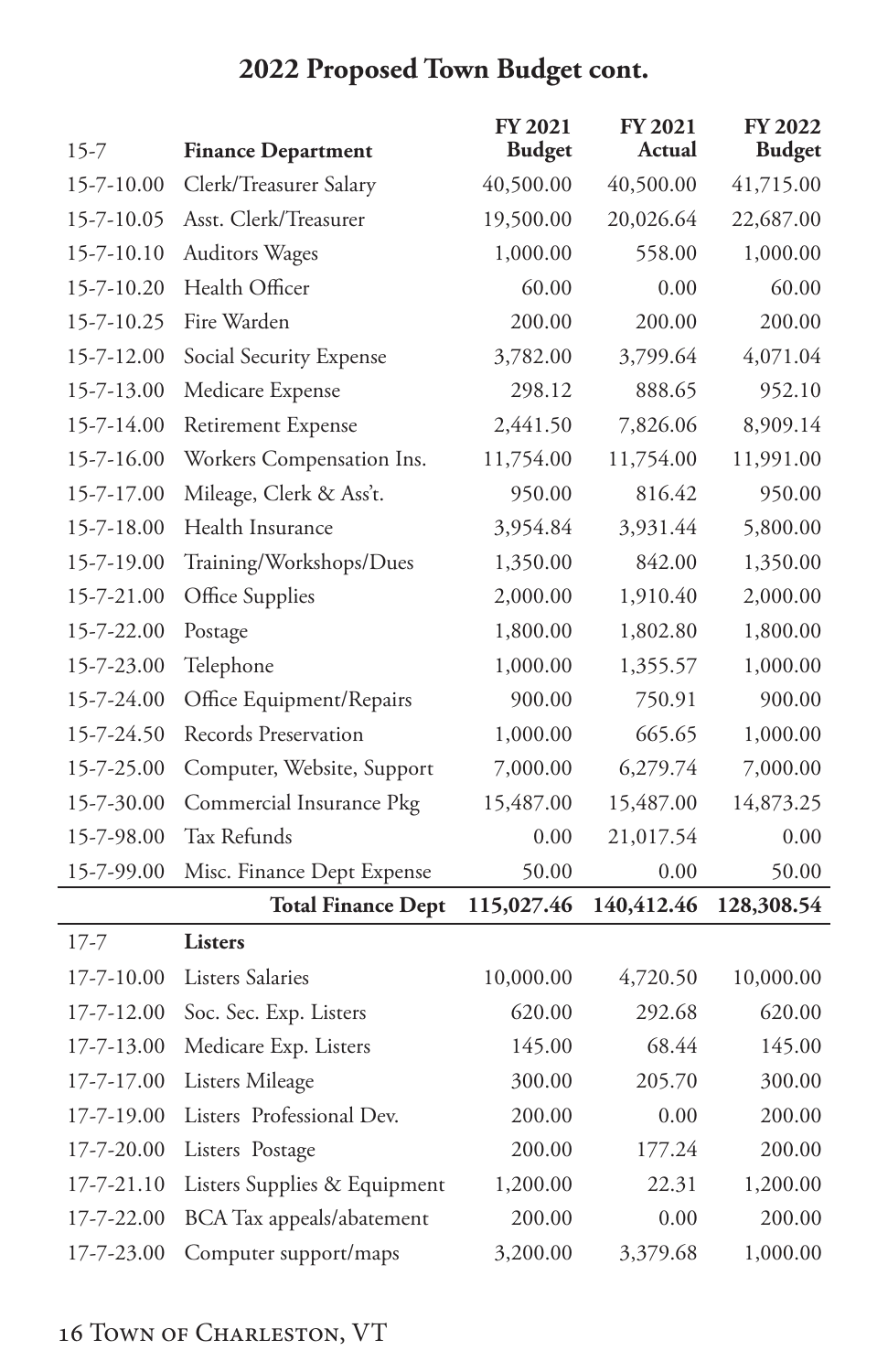| $15 - 7$         | <b>Finance Department</b>    | FY 2021<br><b>Budget</b> | <b>FY 2021</b><br>Actual | FY 2022<br><b>Budget</b> |
|------------------|------------------------------|--------------------------|--------------------------|--------------------------|
| 15-7-10.00       | Clerk/Treasurer Salary       | 40,500.00                | 40,500.00                | 41,715.00                |
| 15-7-10.05       | Asst. Clerk/Treasurer        | 19,500.00                | 20,026.64                | 22,687.00                |
| 15-7-10.10       | <b>Auditors Wages</b>        | 1,000.00                 | 558.00                   | 1,000.00                 |
| 15-7-10.20       | Health Officer               | 60.00                    | 0.00                     | 60.00                    |
| 15-7-10.25       | Fire Warden                  | 200.00                   | 200.00                   | 200.00                   |
| 15-7-12.00       | Social Security Expense      | 3,782.00                 | 3,799.64                 | 4,071.04                 |
| 15-7-13.00       | Medicare Expense             | 298.12                   | 888.65                   | 952.10                   |
| 15-7-14.00       | Retirement Expense           | 2,441.50                 | 7,826.06                 | 8,909.14                 |
| 15-7-16.00       | Workers Compensation Ins.    | 11,754.00                | 11,754.00                | 11,991.00                |
| 15-7-17.00       | Mileage, Clerk & Ass't.      | 950.00                   | 816.42                   | 950.00                   |
| 15-7-18.00       | Health Insurance             | 3,954.84                 | 3,931.44                 | 5,800.00                 |
| 15-7-19.00       | Training/Workshops/Dues      | 1,350.00                 | 842.00                   | 1,350.00                 |
| 15-7-21.00       | Office Supplies              | 2,000.00                 | 1,910.40                 | 2,000.00                 |
| 15-7-22.00       | Postage                      | 1,800.00                 | 1,802.80                 | 1,800.00                 |
| 15-7-23.00       | Telephone                    | 1,000.00                 | 1,355.57                 | 1,000.00                 |
| 15-7-24.00       | Office Equipment/Repairs     | 900.00                   | 750.91                   | 900.00                   |
| 15-7-24.50       | Records Preservation         | 1,000.00                 | 665.65                   | 1,000.00                 |
| 15-7-25.00       | Computer, Website, Support   | 7,000.00                 | 6,279.74                 | 7,000.00                 |
| 15-7-30.00       | Commercial Insurance Pkg     | 15,487.00                | 15,487.00                | 14,873.25                |
| 15-7-98.00       | Tax Refunds                  | 0.00                     | 21,017.54                | 0.00                     |
| 15-7-99.00       | Misc. Finance Dept Expense   | 50.00                    | 0.00                     | 50.00                    |
|                  | <b>Total Finance Dept</b>    | 115,027.46               | 140,412.46               | 128,308.54               |
| $17 - 7$         | <b>Listers</b>               |                          |                          |                          |
| $17 - 7 - 10.00$ | <b>Listers Salaries</b>      | 10,000.00                | 4,720.50                 | 10,000.00                |
| 17-7-12.00       | Soc. Sec. Exp. Listers       | 620.00                   | 292.68                   | 620.00                   |
| 17-7-13.00       | Medicare Exp. Listers        | 145.00                   | 68.44                    | 145.00                   |
| 17-7-17.00       | Listers Mileage              | 300.00                   | 205.70                   | 300.00                   |
| 17-7-19.00       | Listers Professional Dev.    | 200.00                   | 0.00                     | 200.00                   |
| 17-7-20.00       | Listers Postage              | 200.00                   | 177.24                   | 200.00                   |
| 17-7-21.10       | Listers Supplies & Equipment | 1,200.00                 | 22.31                    | 1,200.00                 |
| 17-7-22.00       | BCA Tax appeals/abatement    | 200.00                   | 0.00                     | 200.00                   |
| 17-7-23.00       | Computer support/maps        | 3,200.00                 | 3,379.68                 | 1,000.00                 |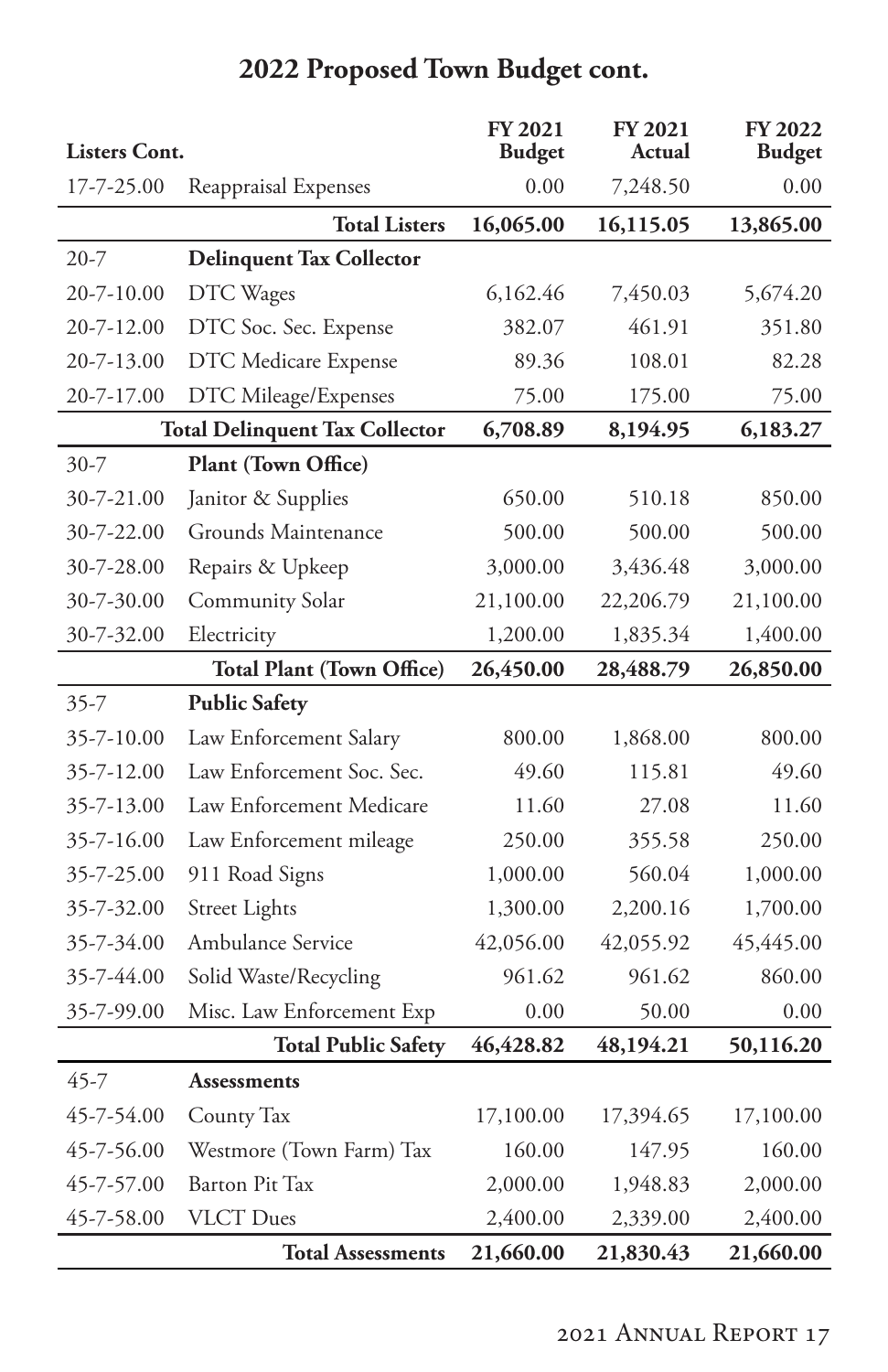|                      |                                       | <b>FY 2021</b> | <b>FY 2021</b><br>Actual | <b>FY 2022</b> |
|----------------------|---------------------------------------|----------------|--------------------------|----------------|
| <b>Listers Cont.</b> |                                       | <b>Budget</b>  |                          | <b>Budget</b>  |
| 17-7-25.00           | Reappraisal Expenses                  | 0.00           | 7,248.50                 | 0.00           |
|                      | <b>Total Listers</b>                  | 16,065.00      | 16,115.05                | 13,865.00      |
| $20 - 7$             | <b>Delinquent Tax Collector</b>       |                |                          |                |
| 20-7-10.00           | DTC Wages                             | 6,162.46       | 7,450.03                 | 5,674.20       |
| 20-7-12.00           | DTC Soc. Sec. Expense                 | 382.07         | 461.91                   | 351.80         |
| 20-7-13.00           | DTC Medicare Expense                  | 89.36          | 108.01                   | 82.28          |
| 20-7-17.00           | DTC Mileage/Expenses                  | 75.00          | 175.00                   | 75.00          |
|                      | <b>Total Delinquent Tax Collector</b> | 6,708.89       | 8,194.95                 | 6,183.27       |
| $30 - 7$             | Plant (Town Office)                   |                |                          |                |
| 30-7-21.00           | Janitor & Supplies                    | 650.00         | 510.18                   | 850.00         |
| 30-7-22.00           | Grounds Maintenance                   | 500.00         | 500.00                   | 500.00         |
| 30-7-28.00           | Repairs & Upkeep                      | 3,000.00       | 3,436.48                 | 3,000.00       |
| 30-7-30.00           | <b>Community Solar</b>                | 21,100.00      | 22,206.79                | 21,100.00      |
| 30-7-32.00           | Electricity                           | 1,200.00       | 1,835.34                 | 1,400.00       |
|                      | <b>Total Plant (Town Office)</b>      | 26,450.00      | 28,488.79                | 26,850.00      |
| $35 - 7$             | <b>Public Safety</b>                  |                |                          |                |
| 35-7-10.00           | Law Enforcement Salary                | 800.00         | 1,868.00                 | 800.00         |
| 35-7-12.00           | Law Enforcement Soc. Sec.             | 49.60          | 115.81                   | 49.60          |
| 35-7-13.00           | Law Enforcement Medicare              | 11.60          | 27.08                    | 11.60          |
| 35-7-16.00           | Law Enforcement mileage               | 250.00         | 355.58                   | 250.00         |
| 35-7-25.00           | 911 Road Signs                        | 1,000.00       | 560.04                   | 1,000.00       |
| 35-7-32.00           | <b>Street Lights</b>                  | 1,300.00       | 2,200.16                 | 1,700.00       |
| 35-7-34.00           | Ambulance Service                     | 42,056.00      | 42,055.92                | 45,445.00      |
| 35-7-44.00           | Solid Waste/Recycling                 | 961.62         | 961.62                   | 860.00         |
| 35-7-99.00           | Misc. Law Enforcement Exp             | 0.00           | 50.00                    | 0.00           |
|                      | <b>Total Public Safety</b>            | 46,428.82      | 48,194.21                | 50,116.20      |
| 45-7                 | Assessments                           |                |                          |                |
| 45-7-54.00           | County Tax                            | 17,100.00      | 17,394.65                | 17,100.00      |
| 45-7-56.00           | Westmore (Town Farm) Tax              | 160.00         | 147.95                   | 160.00         |
| 45-7-57.00           | <b>Barton Pit Tax</b>                 | 2,000.00       | 1,948.83                 | 2,000.00       |
| 45-7-58.00           | <b>VLCT</b> Dues                      | 2,400.00       | 2,339.00                 | 2,400.00       |
|                      | <b>Total Assessments</b>              | 21,660.00      | 21,830.43                | 21,660.00      |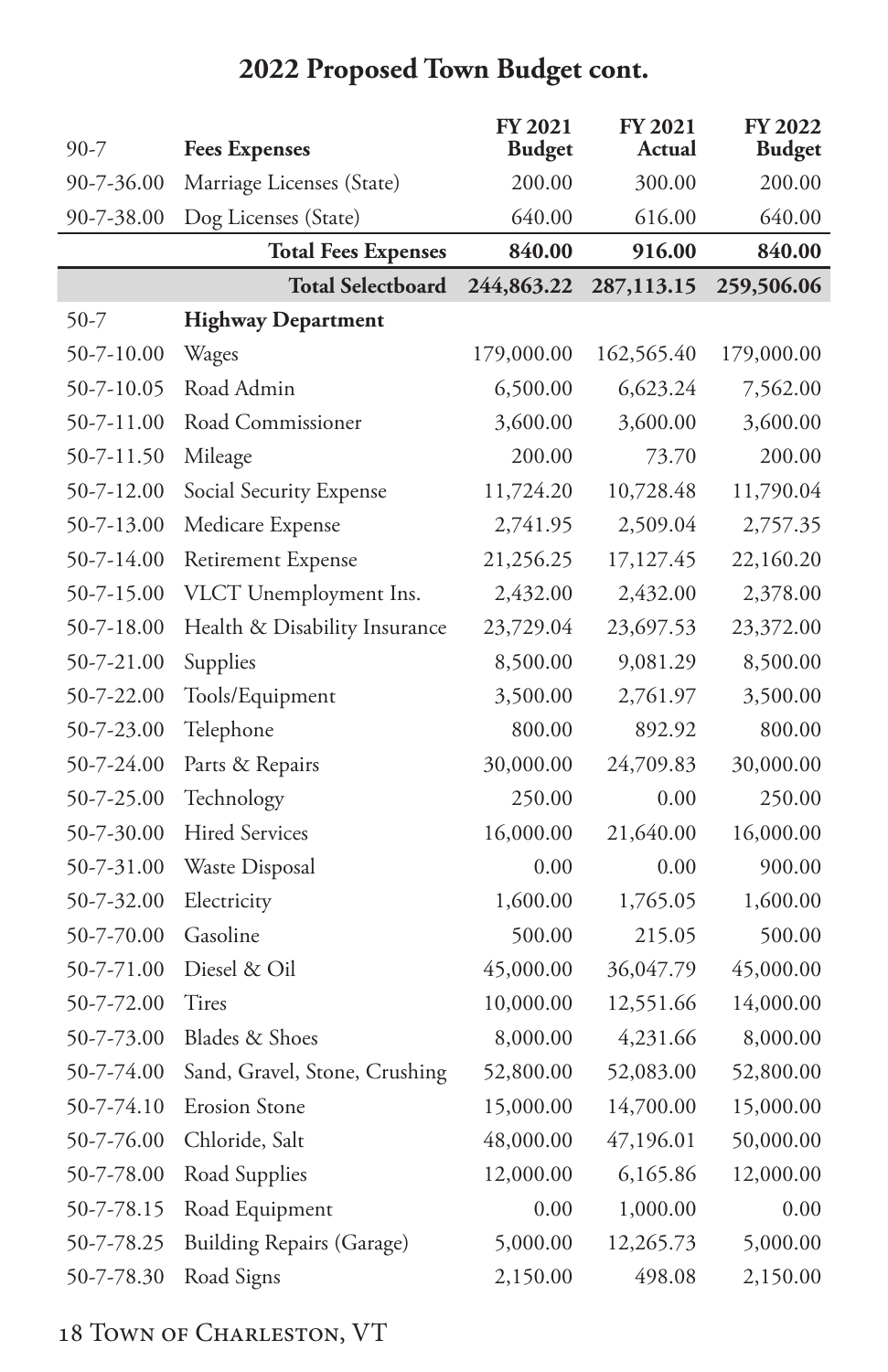| $90 - 7$   | <b>Fees Expenses</b>             | FY 2021<br><b>Budget</b> | <b>FY 2021</b><br>Actual | <b>FY 2022</b><br><b>Budget</b> |
|------------|----------------------------------|--------------------------|--------------------------|---------------------------------|
| 90-7-36.00 | Marriage Licenses (State)        | 200.00                   | 300.00                   | 200.00                          |
| 90-7-38.00 | Dog Licenses (State)             | 640.00                   | 616.00                   | 640.00                          |
|            | <b>Total Fees Expenses</b>       | 840.00                   | 916.00                   | 840.00                          |
|            | <b>Total Selectboard</b>         | 244,863.22               | 287,113.15               | 259,506.06                      |
| 50-7       | <b>Highway Department</b>        |                          |                          |                                 |
| 50-7-10.00 | Wages                            | 179,000.00               | 162,565.40               | 179,000.00                      |
| 50-7-10.05 | Road Admin                       | 6,500.00                 | 6,623.24                 | 7,562.00                        |
| 50-7-11.00 | Road Commissioner                | 3,600.00                 | 3,600.00                 | 3,600.00                        |
| 50-7-11.50 | Mileage                          | 200.00                   | 73.70                    | 200.00                          |
| 50-7-12.00 | Social Security Expense          | 11,724.20                | 10,728.48                | 11,790.04                       |
| 50-7-13.00 | Medicare Expense                 | 2,741.95                 | 2,509.04                 | 2,757.35                        |
| 50-7-14.00 | Retirement Expense               | 21,256.25                | 17,127.45                | 22,160.20                       |
| 50-7-15.00 | VLCT Unemployment Ins.           | 2,432.00                 | 2,432.00                 | 2,378.00                        |
| 50-7-18.00 | Health & Disability Insurance    | 23,729.04                | 23,697.53                | 23,372.00                       |
| 50-7-21.00 | Supplies                         | 8,500.00                 | 9,081.29                 | 8,500.00                        |
| 50-7-22.00 | Tools/Equipment                  | 3,500.00                 | 2,761.97                 | 3,500.00                        |
| 50-7-23.00 | Telephone                        | 800.00                   | 892.92                   | 800.00                          |
| 50-7-24.00 | Parts & Repairs                  | 30,000.00                | 24,709.83                | 30,000.00                       |
| 50-7-25.00 | Technology                       | 250.00                   | 0.00                     | 250.00                          |
| 50-7-30.00 | <b>Hired Services</b>            | 16,000.00                | 21,640.00                | 16,000.00                       |
| 50-7-31.00 | Waste Disposal                   | 0.00                     | 0.00                     | 900.00                          |
| 50-7-32.00 | Electricity                      | 1,600.00                 | 1,765.05                 | 1,600.00                        |
| 50-7-70.00 | Gasoline                         | 500.00                   | 215.05                   | 500.00                          |
| 50-7-71.00 | Diesel & Oil                     | 45,000.00                | 36,047.79                | 45,000.00                       |
| 50-7-72.00 | Tires                            | 10,000.00                | 12,551.66                | 14,000.00                       |
| 50-7-73.00 | Blades & Shoes                   | 8,000.00                 | 4,231.66                 | 8,000.00                        |
| 50-7-74.00 | Sand, Gravel, Stone, Crushing    | 52,800.00                | 52,083.00                | 52,800.00                       |
| 50-7-74.10 | <b>Erosion Stone</b>             | 15,000.00                | 14,700.00                | 15,000.00                       |
| 50-7-76.00 | Chloride, Salt                   | 48,000.00                | 47,196.01                | 50,000.00                       |
| 50-7-78.00 | Road Supplies                    | 12,000.00                | 6,165.86                 | 12,000.00                       |
| 50-7-78.15 | Road Equipment                   | 0.00                     | 1,000.00                 | 0.00                            |
| 50-7-78.25 | <b>Building Repairs (Garage)</b> | 5,000.00                 | 12,265.73                | 5,000.00                        |
| 50-7-78.30 | Road Signs                       | 2,150.00                 | 498.08                   | 2,150.00                        |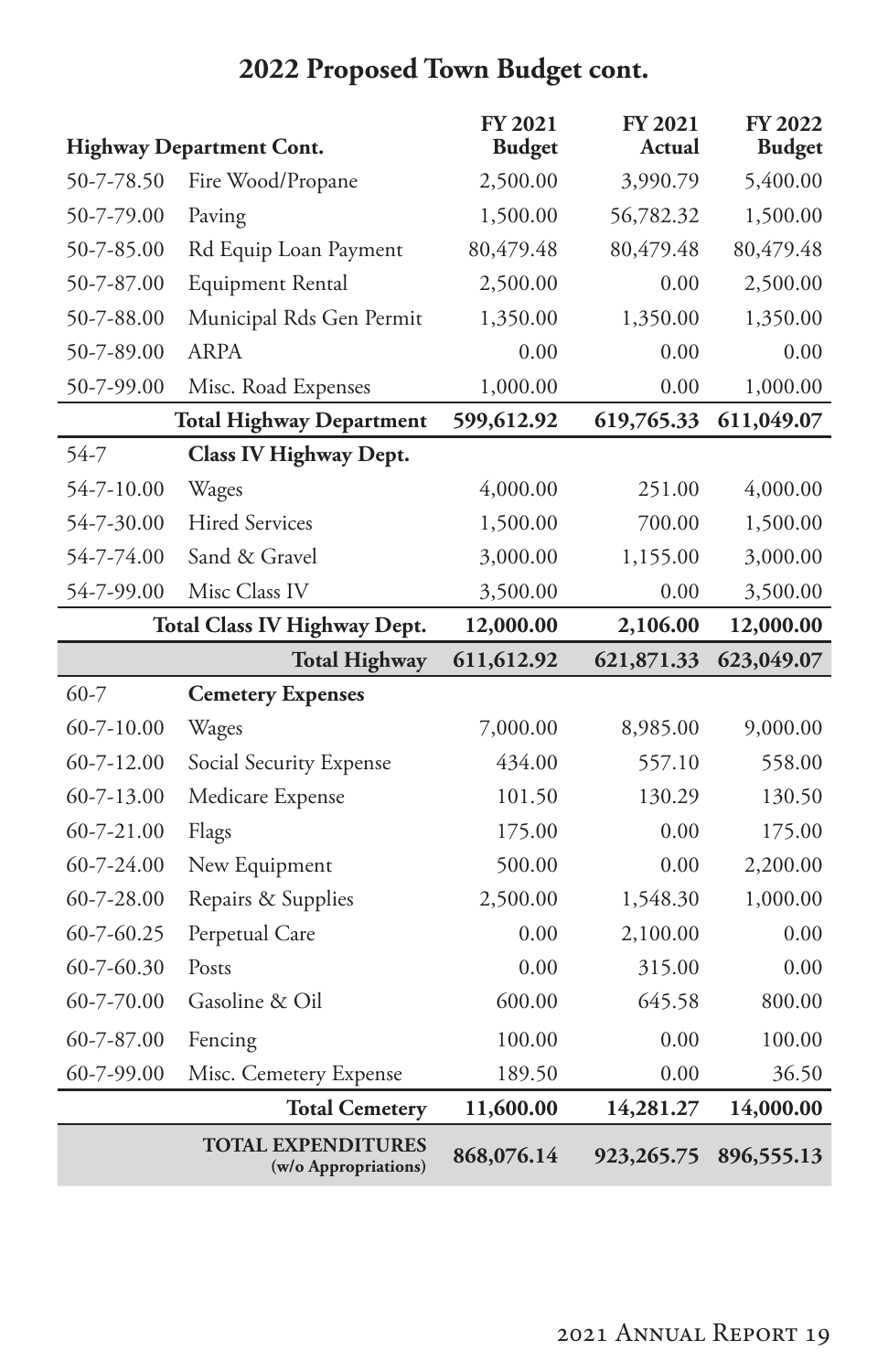|                  | <b>Highway Department Cont.</b>     | FY 2021<br><b>Budget</b> | <b>FY 2021</b><br>Actual | <b>FY 2022</b><br><b>Budget</b> |
|------------------|-------------------------------------|--------------------------|--------------------------|---------------------------------|
| 50-7-78.50       | Fire Wood/Propane                   | 2,500.00                 | 3,990.79                 | 5,400.00                        |
| 50-7-79.00       | Paving                              | 1,500.00                 | 56,782.32                | 1,500.00                        |
| 50-7-85.00       | Rd Equip Loan Payment               | 80,479.48                | 80,479.48                | 80,479.48                       |
| 50-7-87.00       | Equipment Rental                    | 2,500.00                 | 0.00                     | 2,500.00                        |
| 50-7-88.00       | Municipal Rds Gen Permit            | 1,350.00                 | 1,350.00                 | 1,350.00                        |
| 50-7-89.00       | <b>ARPA</b>                         | 0.00                     | 0.00                     | 0.00                            |
| 50-7-99.00       | Misc. Road Expenses                 | 1,000.00                 | 0.00                     | 1,000.00                        |
|                  | <b>Total Highway Department</b>     | 599,612.92               | 619,765.33               | 611,049.07                      |
| 54-7             | Class IV Highway Dept.              |                          |                          |                                 |
| 54-7-10.00       | Wages                               | 4,000.00                 | 251.00                   | 4,000.00                        |
| 54-7-30.00       | <b>Hired Services</b>               | 1,500.00                 | 700.00                   | 1,500.00                        |
| 54-7-74.00       | Sand & Gravel                       | 3,000.00                 | 1,155.00                 | 3,000.00                        |
| 54-7-99.00       | Misc Class IV                       | 3,500.00                 | 0.00                     | 3,500.00                        |
|                  | <b>Total Class IV Highway Dept.</b> | 12,000.00                | 2,106.00                 | 12,000.00                       |
|                  |                                     |                          |                          |                                 |
|                  | <b>Total Highway</b>                | 611,612.92               | 621,871.33               | 623,049.07                      |
| $60 - 7$         | <b>Cemetery Expenses</b>            |                          |                          |                                 |
| $60 - 7 - 10.00$ | Wages                               | 7,000.00                 | 8,985.00                 | 9,000.00                        |
| $60 - 7 - 12.00$ | Social Security Expense             | 434.00                   | 557.10                   | 558.00                          |
| 60-7-13.00       | Medicare Expense                    | 101.50                   | 130.29                   | 130.50                          |
| 60-7-21.00       | Flags                               | 175.00                   | 0.00                     | 175.00                          |
| 60-7-24.00       | New Equipment                       | 500.00                   | 0.00                     | 2,200.00                        |
| 60-7-28.00       | Repairs & Supplies                  | 2,500.00                 | 1,548.30                 | 1,000.00                        |
| $60 - 7 - 60.25$ | Perpetual Care                      | 0.00                     | 2,100.00                 | 0.00                            |
| 60-7-60.30       | Posts                               | 0.00                     | 315.00                   | 0.00                            |
| 60-7-70.00       | Gasoline & Oil                      | 600.00                   | 645.58                   | 800.00                          |
| 60-7-87.00       | Fencing                             | 100.00                   | 0.00                     | 100.00                          |
| 60-7-99.00       | Misc. Cemetery Expense              | 189.50                   | 0.00                     | 36.50                           |
|                  | <b>Total Cemetery</b>               | 11,600.00                | 14,281.27                | 14,000.00                       |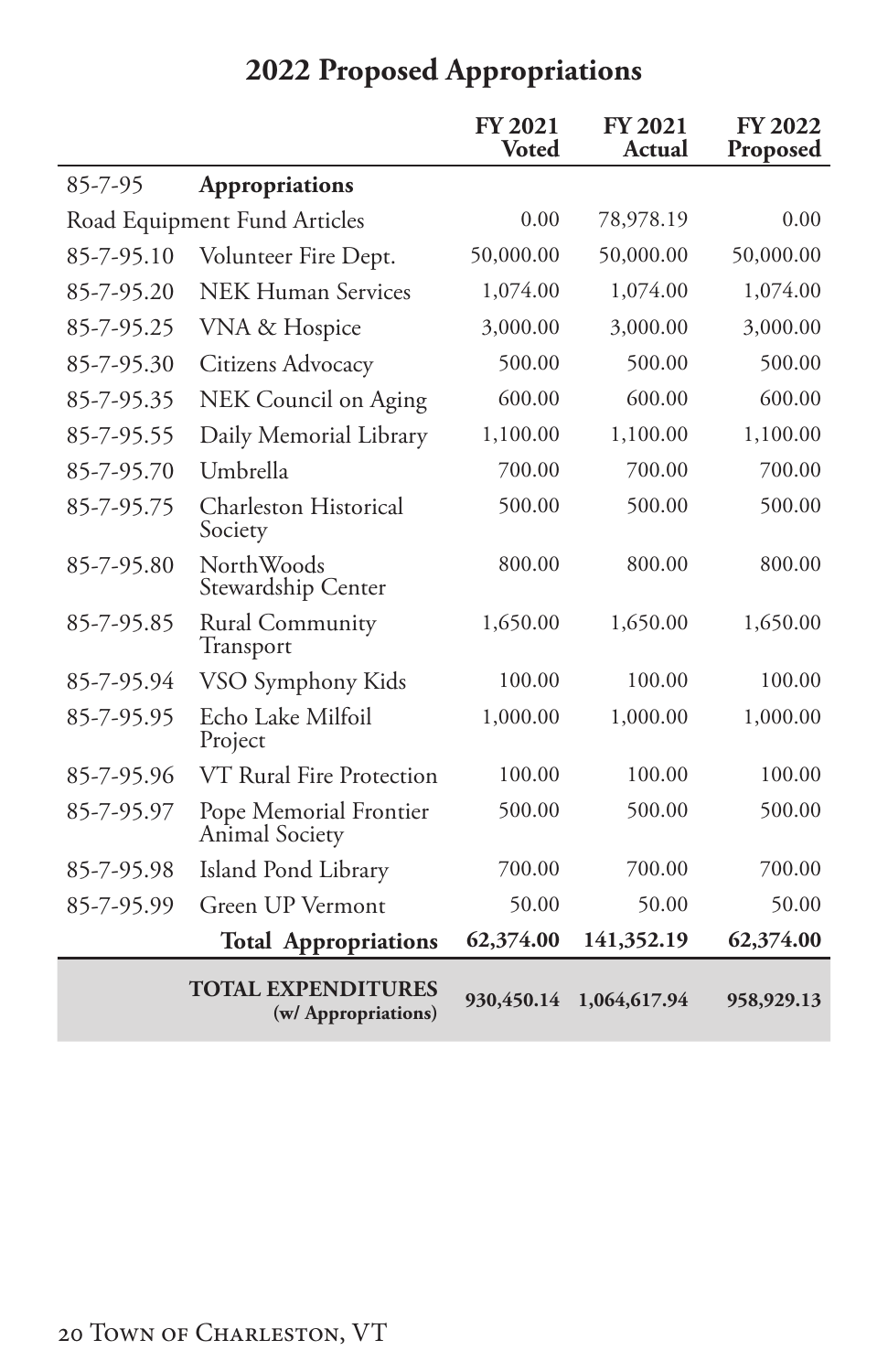<span id="page-21-0"></span>

|            |                                                  | <b>FY 2021</b><br><b>Voted</b> | <b>FY 2021</b><br>Actual | <b>FY 2022</b><br>Proposed |
|------------|--------------------------------------------------|--------------------------------|--------------------------|----------------------------|
| 85-7-95    | <b>Appropriations</b>                            |                                |                          |                            |
|            | Road Equipment Fund Articles                     | 0.00                           | 78,978.19                | 0.00                       |
| 85-7-95.10 | Volunteer Fire Dept.                             | 50,000.00                      | 50,000.00                | 50,000.00                  |
| 85-7-95.20 | <b>NEK Human Services</b>                        | 1,074.00                       | 1,074.00                 | 1,074.00                   |
| 85-7-95.25 | VNA & Hospice                                    | 3,000.00                       | 3,000.00                 | 3,000.00                   |
| 85-7-95.30 | Citizens Advocacy                                | 500.00                         | 500.00                   | 500.00                     |
| 85-7-95.35 | NEK Council on Aging                             | 600.00                         | 600.00                   | 600.00                     |
| 85-7-95.55 | Daily Memorial Library                           | 1,100.00                       | 1,100.00                 | 1,100.00                   |
| 85-7-95.70 | Umbrella                                         | 700.00                         | 700.00                   | 700.00                     |
| 85-7-95.75 | Charleston Historical<br>Society                 | 500.00                         | 500.00                   | 500.00                     |
| 85-7-95.80 | NorthWoods<br>Stewardship Center                 | 800.00                         | 800.00                   | 800.00                     |
| 85-7-95.85 | Rural Community<br>Transport                     | 1,650.00                       | 1,650.00                 | 1,650.00                   |
| 85-7-95.94 | VSO Symphony Kids                                | 100.00                         | 100.00                   | 100.00                     |
| 85-7-95.95 | Echo Lake Milfoil<br>Project                     | 1,000.00                       | 1,000.00                 | 1,000.00                   |
| 85-7-95.96 | VT Rural Fire Protection                         | 100.00                         | 100.00                   | 100.00                     |
| 85-7-95.97 | Pope Memorial Frontier<br>Animal Society         | 500.00                         | 500.00                   | 500.00                     |
| 85-7-95.98 | Island Pond Library                              | 700.00                         | 700.00                   | 700.00                     |
| 85-7-95.99 | Green UP Vermont                                 | 50.00                          | 50.00                    | 50.00                      |
|            | <b>Total Appropriations</b>                      | 62,374.00                      | 141,352.19               | 62,374.00                  |
|            | <b>TOTAL EXPENDITURES</b><br>(w/ Appropriations) | 930,450.14                     | 1,064,617.94             | 958,929.13                 |

# **2022 Proposed Appropriations**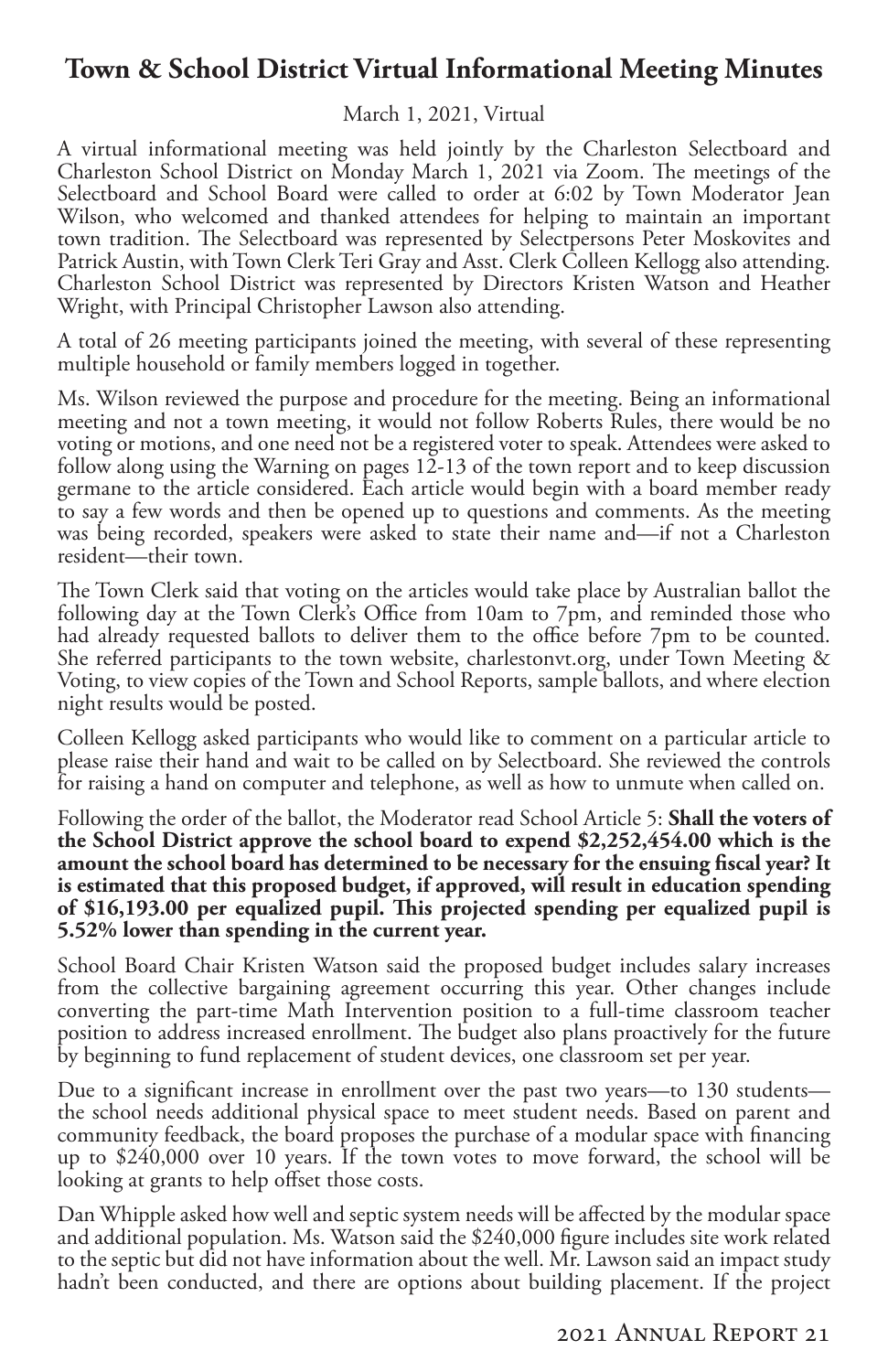### **Town & School District Virtual Informational Meeting Minutes**

#### March 1, 2021, Virtual

A virtual informational meeting was held jointly by the Charleston Selectboard and Charleston School District on Monday March 1, 2021 via Zoom. The meetings of the Selectboard and School Board were called to order at 6:02 by Town Moderator Jean Wilson, who welcomed and thanked attendees for helping to maintain an important town tradition. The Selectboard was represented by Selectpersons Peter Moskovites and Patrick Austin, with Town Clerk Teri Gray and Asst. Clerk Colleen Kellogg also attending. Charleston School District was represented by Directors Kristen Watson and Heather Wright, with Principal Christopher Lawson also attending.

A total of 26 meeting participants joined the meeting, with several of these representing multiple household or family members logged in together.

Ms. Wilson reviewed the purpose and procedure for the meeting. Being an informational meeting and not a town meeting, it would not follow Roberts Rules, there would be no voting or motions, and one need not be a registered voter to speak. Attendees were asked to follow along using the Warning on pages 12-13 of the town report and to keep discussion germane to the article considered. Each article would begin with a board member ready to say a few words and then be opened up to questions and comments. As the meeting was being recorded, speakers were asked to state their name and—if not a Charleston resident—their town.

The Town Clerk said that voting on the articles would take place by Australian ballot the following day at the Town Clerk's Office from 10am to 7pm, and reminded those who had already requested ballots to deliver them to the office before 7pm to be counted. She referred participants to the town website, charlestonvt.org, under Town Meeting & Voting, to view copies of the Town and School Reports, sample ballots, and where election night results would be posted.

Colleen Kellogg asked participants who would like to comment on a particular article to please raise their hand and wait to be called on by Selectboard. She reviewed the controls for raising a hand on computer and telephone, as well as how to unmute when called on.

Following the order of the ballot, the Moderator read School Article 5: **Shall the voters of the School District approve the school board to expend \$2,252,454.00 which is the amount the school board has determined to be necessary for the ensuing fiscal year? It is estimated that this proposed budget, if approved, will result in education spending of \$16,193.00 per equalized pupil. This projected spending per equalized pupil is 5.52% lower than spending in the current year.**

School Board Chair Kristen Watson said the proposed budget includes salary increases from the collective bargaining agreement occurring this year. Other changes include converting the part-time Math Intervention position to a full-time classroom teacher position to address increased enrollment. The budget also plans proactively for the future by beginning to fund replacement of student devices, one classroom set per year.

Due to a significant increase in enrollment over the past two years—to 130 students the school needs additional physical space to meet student needs. Based on parent and community feedback, the board proposes the purchase of a modular space with financing up to \$240,000 over 10 years. If the town votes to move forward, the school will be looking at grants to help offset those costs.

Dan Whipple asked how well and septic system needs will be affected by the modular space and additional population. Ms. Watson said the \$240,000 figure includes site work related to the septic but did not have information about the well. Mr. Lawson said an impact study hadn't been conducted, and there are options about building placement. If the project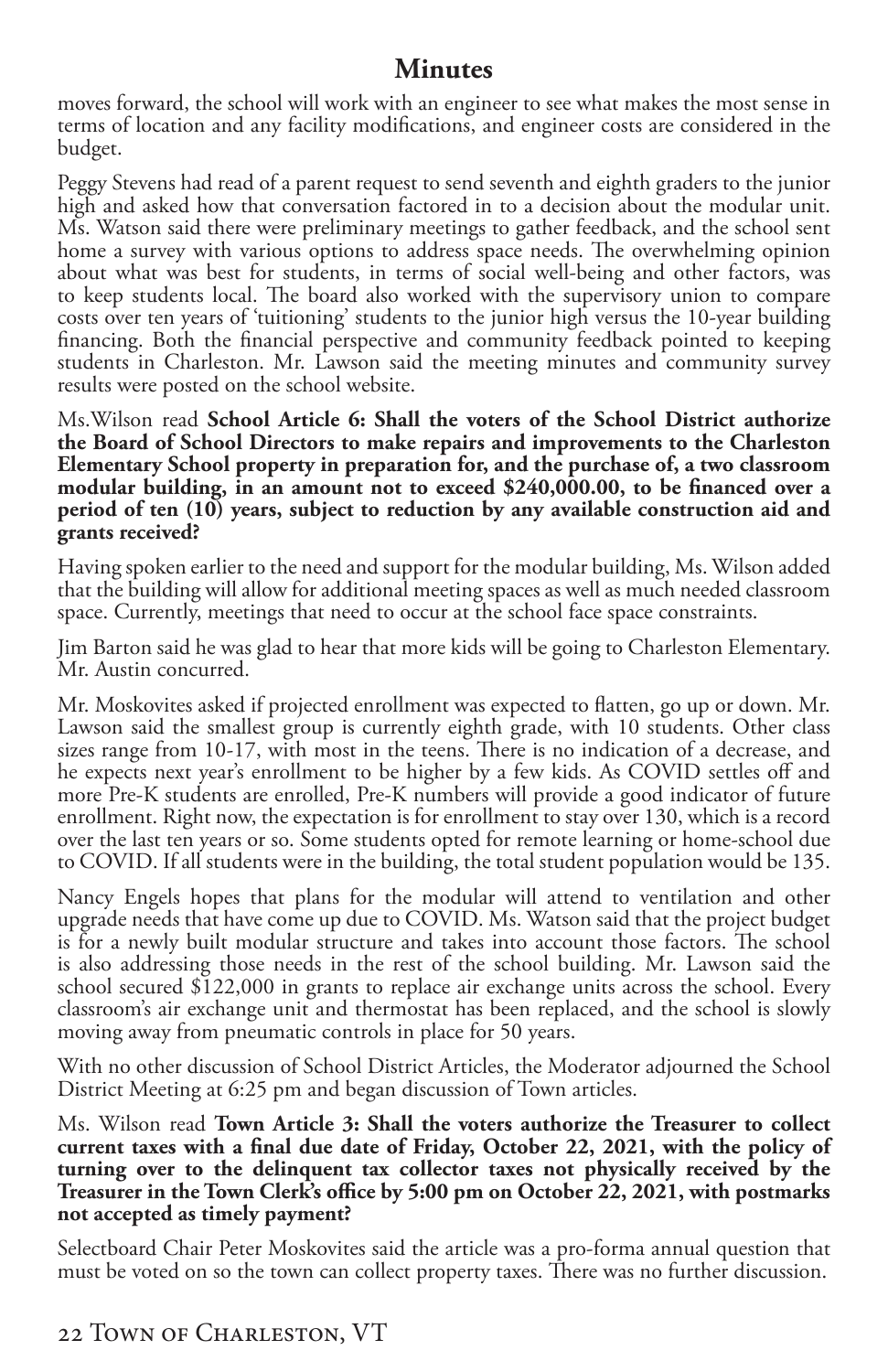### **Minutes**

moves forward, the school will work with an engineer to see what makes the most sense in terms of location and any facility modifications, and engineer costs are considered in the budget.

Peggy Stevens had read of a parent request to send seventh and eighth graders to the junior high and asked how that conversation factored in to a decision about the modular unit. Ms. Watson said there were preliminary meetings to gather feedback, and the school sent home a survey with various options to address space needs. The overwhelming opinion about what was best for students, in terms of social well-being and other factors, was to keep students local. The board also worked with the supervisory union to compare costs over ten years of 'tuitioning' students to the junior high versus the 10-year building financing. Both the financial perspective and community feedback pointed to keeping students in Charleston. Mr. Lawson said the meeting minutes and community survey results were posted on the school website.

Ms.Wilson read **School Article 6: Shall the voters of the School District authorize the Board of School Directors to make repairs and improvements to the Charleston Elementary School property in preparation for, and the purchase of, a two classroom modular building, in an amount not to exceed \$240,000.00, to be financed over a period of ten (10) years, subject to reduction by any available construction aid and grants received?**

Having spoken earlier to the need and support for the modular building, Ms. Wilson added that the building will allow for additional meeting spaces as well as much needed classroom space. Currently, meetings that need to occur at the school face space constraints.

Jim Barton said he was glad to hear that more kids will be going to Charleston Elementary. Mr. Austin concurred.

Mr. Moskovites asked if projected enrollment was expected to flatten, go up or down. Mr. Lawson said the smallest group is currently eighth grade, with 10 students. Other class sizes range from 10-17, with most in the teens. There is no indication of a decrease, and he expects next year's enrollment to be higher by a few kids. As COVID settles off and more Pre-K students are enrolled, Pre-K numbers will provide a good indicator of future enrollment. Right now, the expectation is for enrollment to stay over 130, which is a record over the last ten years or so. Some students opted for remote learning or home-school due to COVID. If all students were in the building, the total student population would be 135.

Nancy Engels hopes that plans for the modular will attend to ventilation and other upgrade needs that have come up due to COVID. Ms. Watson said that the project budget is for a newly built modular structure and takes into account those factors. The school is also addressing those needs in the rest of the school building. Mr. Lawson said the school secured \$122,000 in grants to replace air exchange units across the school. Every classroom's air exchange unit and thermostat has been replaced, and the school is slowly moving away from pneumatic controls in place for 50 years.

With no other discussion of School District Articles, the Moderator adjourned the School District Meeting at 6:25 pm and began discussion of Town articles.

Ms. Wilson read **Town Article 3: Shall the voters authorize the Treasurer to collect current taxes with a final due date of Friday, October 22, 2021, with the policy of turning over to the delinquent tax collector taxes not physically received by the Treasurer in the Town Clerk's office by 5:00 pm on October 22, 2021, with postmarks not accepted as timely payment?**

Selectboard Chair Peter Moskovites said the article was a pro-forma annual question that must be voted on so the town can collect property taxes. There was no further discussion.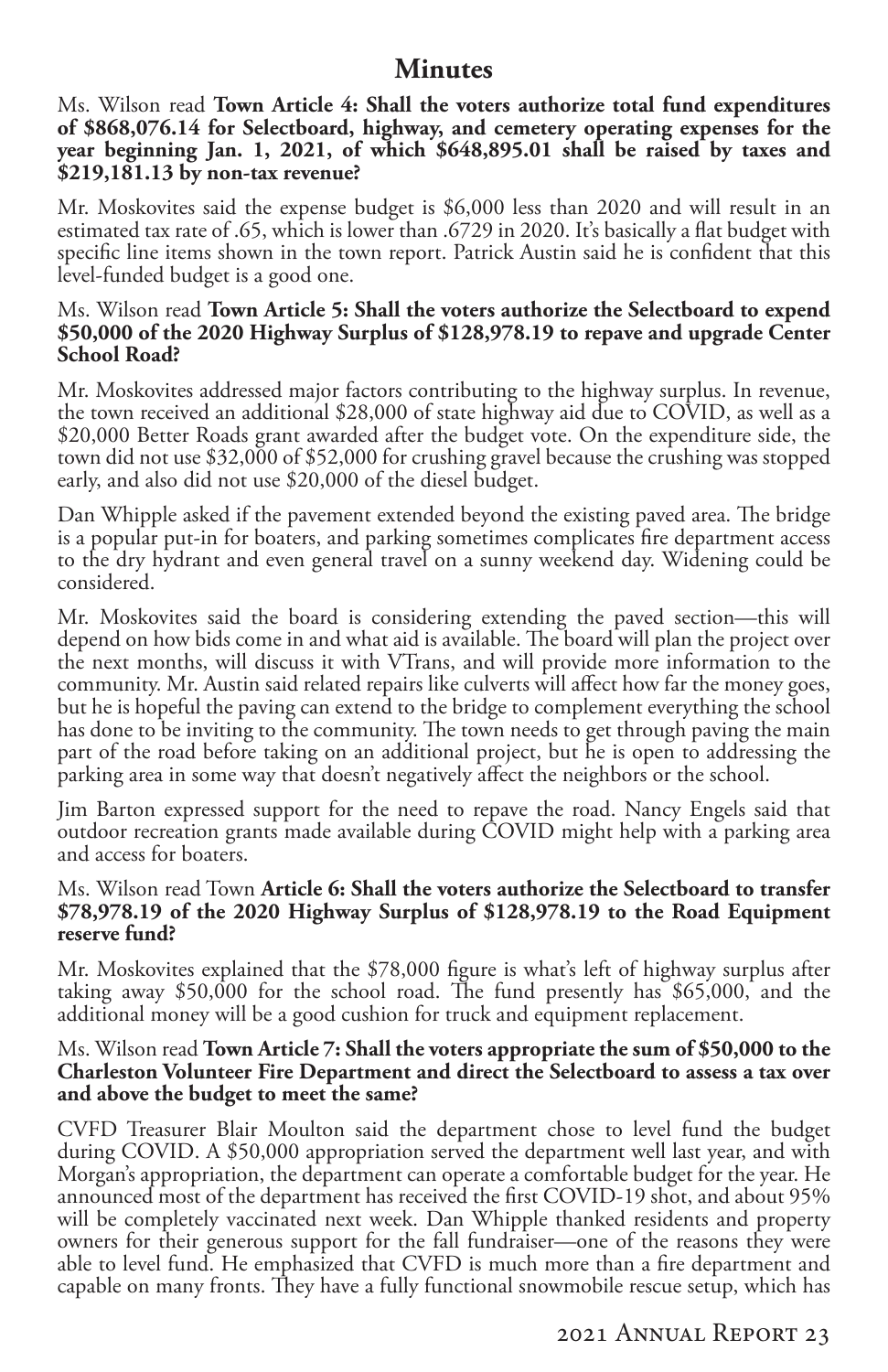### **Minutes**

Ms. Wilson read **Town Article 4: Shall the voters authorize total fund expenditures of \$868,076.14 for Selectboard, highway, and cemetery operating expenses for the year beginning Jan. 1, 2021, of which \$648,895.01 shall be raised by taxes and \$219,181.13 by non-tax revenue?**

Mr. Moskovites said the expense budget is \$6,000 less than 2020 and will result in an estimated tax rate of .65, which is lower than .6729 in 2020. It's basically a flat budget with specific line items shown in the town report. Patrick Austin said he is confident that this level-funded budget is a good one.

#### Ms. Wilson read **Town Article 5: Shall the voters authorize the Selectboard to expend \$50,000 of the 2020 Highway Surplus of \$128,978.19 to repave and upgrade Center School Road?**

Mr. Moskovites addressed major factors contributing to the highway surplus. In revenue, the town received an additional \$28,000 of state highway aid due to COVID, as well as a \$20,000 Better Roads grant awarded after the budget vote. On the expenditure side, the town did not use \$32,000 of \$52,000 for crushing gravel because the crushing was stopped early, and also did not use \$20,000 of the diesel budget.

Dan Whipple asked if the pavement extended beyond the existing paved area. The bridge is a popular put-in for boaters, and parking sometimes complicates fire department access to the dry hydrant and even general travel on a sunny weekend day. Widening could be considered.

Mr. Moskovites said the board is considering extending the paved section—this will depend on how bids come in and what aid is available. The board will plan the project over the next months, will discuss it with VTrans, and will provide more information to the community. Mr. Austin said related repairs like culverts will affect how far the money goes, but he is hopeful the paving can extend to the bridge to complement everything the school has done to be inviting to the community. The town needs to get through paving the main part of the road before taking on an additional project, but he is open to addressing the parking area in some way that doesn't negatively affect the neighbors or the school.

Jim Barton expressed support for the need to repave the road. Nancy Engels said that outdoor recreation grants made available during COVID might help with a parking area and access for boaters.

#### Ms. Wilson read Town **Article 6: Shall the voters authorize the Selectboard to transfer \$78,978.19 of the 2020 Highway Surplus of \$128,978.19 to the Road Equipment reserve fund?**

Mr. Moskovites explained that the \$78,000 figure is what's left of highway surplus after taking away \$50,000 for the school road. The fund presently has \$65,000, and the additional money will be a good cushion for truck and equipment replacement.

#### Ms. Wilson read **Town Article 7: Shall the voters appropriate the sum of \$50,000 to the Charleston Volunteer Fire Department and direct the Selectboard to assess a tax over and above the budget to meet the same?**

CVFD Treasurer Blair Moulton said the department chose to level fund the budget during COVID. A \$50,000 appropriation served the department well last year, and with Morgan's appropriation, the department can operate a comfortable budget for the year. He announced most of the department has received the first COVID-19 shot, and about 95% will be completely vaccinated next week. Dan Whipple thanked residents and property owners for their generous support for the fall fundraiser—one of the reasons they were able to level fund. He emphasized that CVFD is much more than a fire department and capable on many fronts. They have a fully functional snowmobile rescue setup, which has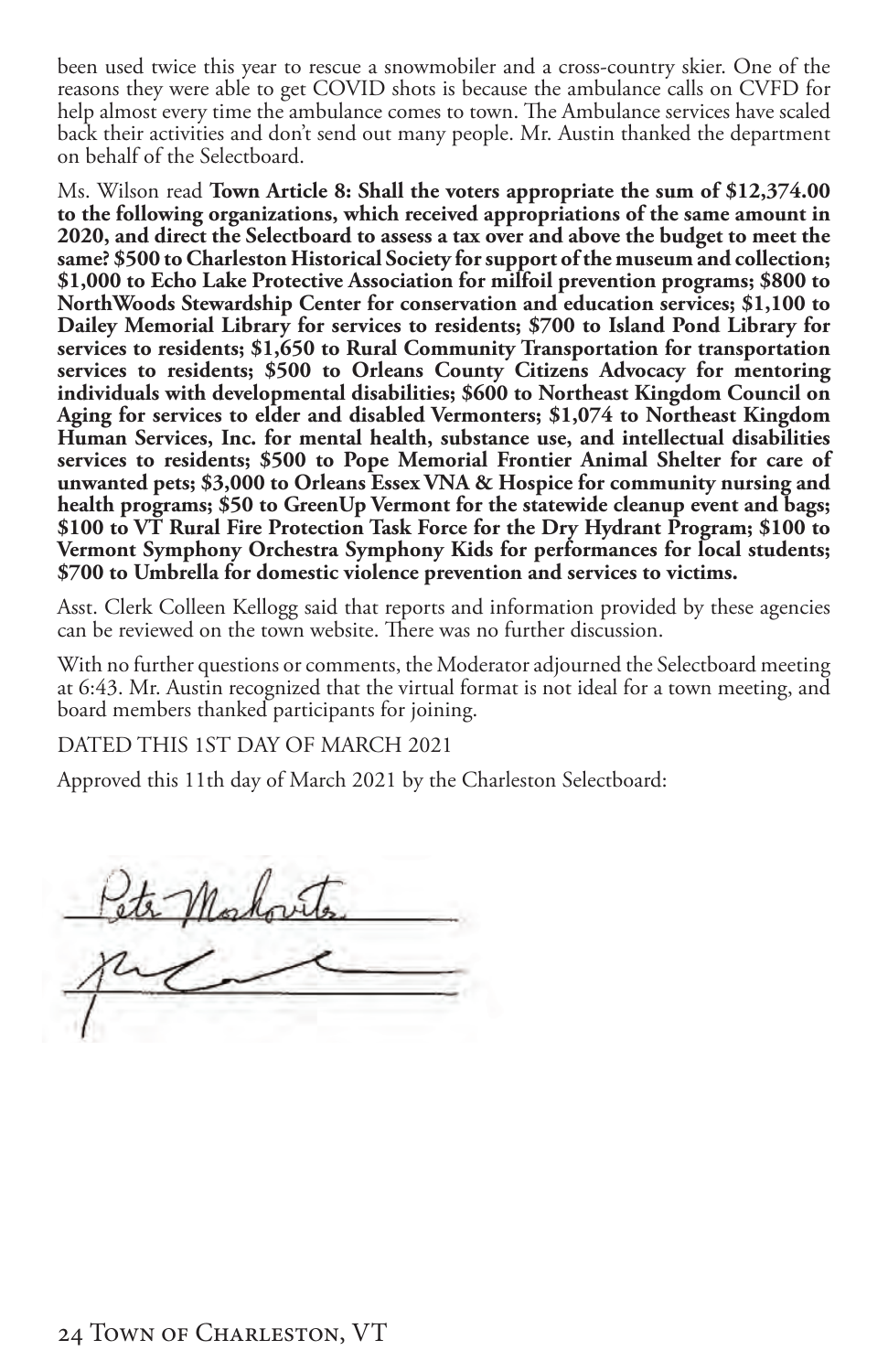been used twice this year to rescue a snowmobiler and a cross-country skier. One of the reasons they were able to get COVID shots is because the ambulance calls on CVFD for help almost every time the ambulance comes to town. The Ambulance services have scaled back their activities and don't send out many people. Mr. Austin thanked the department on behalf of the Selectboard.

Ms. Wilson read **Town Article 8: Shall the voters appropriate the sum of \$12,374.00 to the following organizations, which received appropriations of the same amount in 2020, and direct the Selectboard to assess a tax over and above the budget to meet the same? \$500 to Charleston Historical Society for support of the museum and collection; \$1,000 to Echo Lake Protective Association for milfoil prevention programs; \$800 to NorthWoods Stewardship Center for conservation and education services; \$1,100 to Dailey Memorial Library for services to residents; \$700 to Island Pond Library for services to residents; \$1,650 to Rural Community Transportation for transportation services to residents; \$500 to Orleans County Citizens Advocacy for mentoring individuals with developmental disabilities; \$600 to Northeast Kingdom Council on Aging for services to elder and disabled Vermonters; \$1,074 to Northeast Kingdom Human Services, Inc. for mental health, substance use, and intellectual disabilities services to residents; \$500 to Pope Memorial Frontier Animal Shelter for care of unwanted pets; \$3,000 to Orleans Essex VNA & Hospice for community nursing and health programs; \$50 to GreenUp Vermont for the statewide cleanup event and bags; \$100 to VT Rural Fire Protection Task Force for the Dry Hydrant Program; \$100 to Vermont Symphony Orchestra Symphony Kids for performances for local students; \$700 to Umbrella for domestic violence prevention and services to victims.** 

Asst. Clerk Colleen Kellogg said that reports and information provided by these agencies can be reviewed on the town website. There was no further discussion.

With no further questions or comments, the Moderator adjourned the Selectboard meeting at 6:43. Mr. Austin recognized that the virtual format is not ideal for a town meeting, and board members thanked participants for joining.

DATED THIS 1ST DAY OF MARCH 2021

Approved this 11th day of March 2021 by the Charleston Selectboard: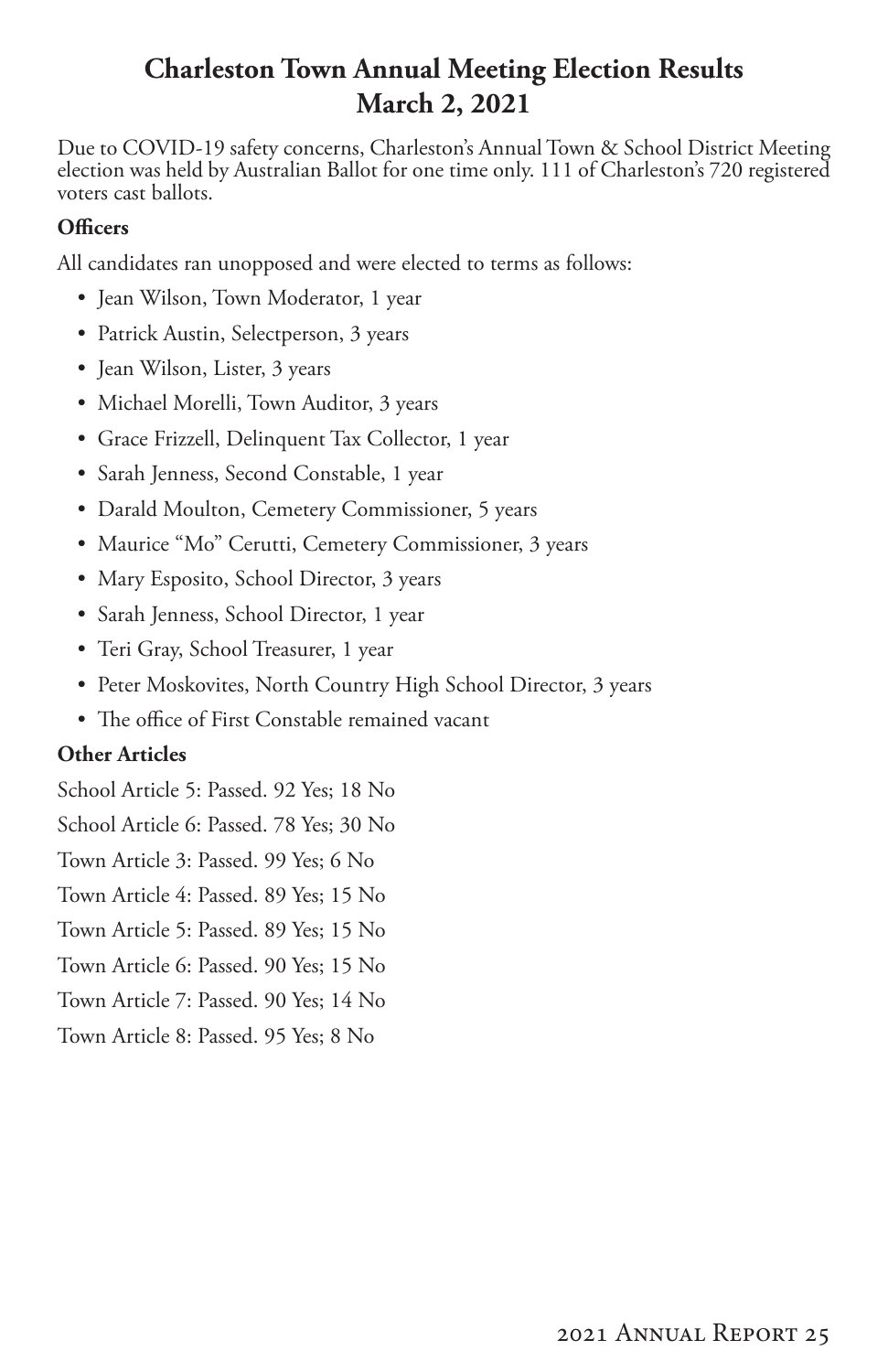### **Charleston Town Annual Meeting Election Results March 2, 2021**

Due to COVID-19 safety concerns, Charleston's Annual Town & School District Meeting election was held by Australian Ballot for one time only. 111 of Charleston's 720 registered voters cast ballots.

### **Officers**

All candidates ran unopposed and were elected to terms as follows:

- Jean Wilson, Town Moderator, 1 year
- Patrick Austin, Selectperson, 3 years
- Jean Wilson, Lister, 3 years
- Michael Morelli, Town Auditor, 3 years
- Grace Frizzell, Delinquent Tax Collector, 1 year
- Sarah Jenness, Second Constable, 1 year
- Darald Moulton, Cemetery Commissioner, 5 years
- Maurice "Mo" Cerutti, Cemetery Commissioner, 3 years
- Mary Esposito, School Director, 3 years
- Sarah Jenness, School Director, 1 year
- Teri Gray, School Treasurer, 1 year
- Peter Moskovites, North Country High School Director, 3 years
- The office of First Constable remained vacant

### **Other Articles**

School Article 5: Passed. 92 Yes; 18 No

School Article 6: Passed. 78 Yes; 30 No

Town Article 3: Passed. 99 Yes; 6 No

Town Article 4: Passed. 89 Yes; 15 No

- Town Article 5: Passed. 89 Yes; 15 No
- Town Article 6: Passed. 90 Yes; 15 No
- Town Article 7: Passed. 90 Yes; 14 No
- Town Article 8: Passed. 95 Yes; 8 No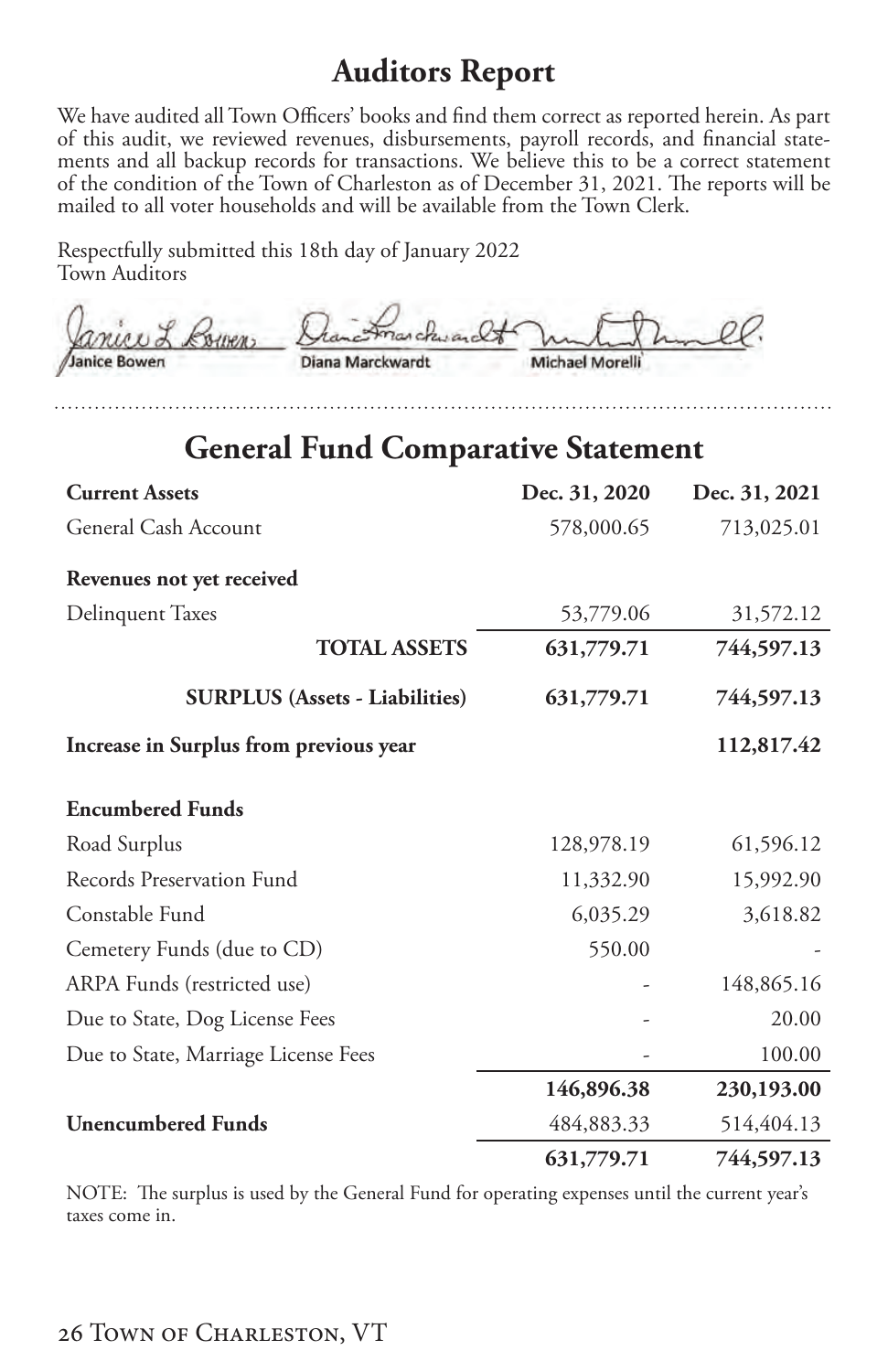### **Auditors Report**

<span id="page-27-0"></span>We have audited all Town Officers' books and find them correct as reported herein. As part of this audit, we reviewed revenues, disbursements, payroll records, and financial statements and all backup records for transactions. We believe this to be a correct statement of the condition of the Town of Charleston as of December 31, 2021. The reports will be mailed to all voter households and will be available from the Town Clerk.

Respectfully submitted this 18th day of January 2022 Town Auditors

| Janice L Corners | Grandmarchwardt In M. |                 |
|------------------|-----------------------|-----------------|
| Janice Bowen     | Diana Marckwardt      | Michael Morelli |

### **General Fund Comparative Statement**

| <b>Current Assets</b>                  | Dec. 31, 2020 | Dec. 31, 2021 |
|----------------------------------------|---------------|---------------|
| General Cash Account                   | 578,000.65    | 713,025.01    |
| Revenues not yet received              |               |               |
| <b>Delinquent Taxes</b>                | 53,779.06     | 31,572.12     |
| <b>TOTAL ASSETS</b>                    | 631,779.71    | 744,597.13    |
| <b>SURPLUS (Assets - Liabilities)</b>  | 631,779.71    | 744,597.13    |
| Increase in Surplus from previous year |               | 112,817.42    |
| <b>Encumbered Funds</b>                |               |               |
| Road Surplus                           | 128,978.19    | 61,596.12     |
| Records Preservation Fund              | 11,332.90     | 15,992.90     |
| Constable Fund                         | 6,035.29      | 3,618.82      |
| Cemetery Funds (due to CD)             | 550.00        |               |
| ARPA Funds (restricted use)            |               | 148,865.16    |
| Due to State, Dog License Fees         |               | 20.00         |
| Due to State, Marriage License Fees    |               | 100.00        |
|                                        | 146,896.38    | 230,193.00    |
| <b>Unencumbered Funds</b>              | 484,883.33    | 514,404.13    |
|                                        | 631,779.71    | 744,597.13    |

NOTE: The surplus is used by the General Fund for operating expenses until the current year's taxes come in.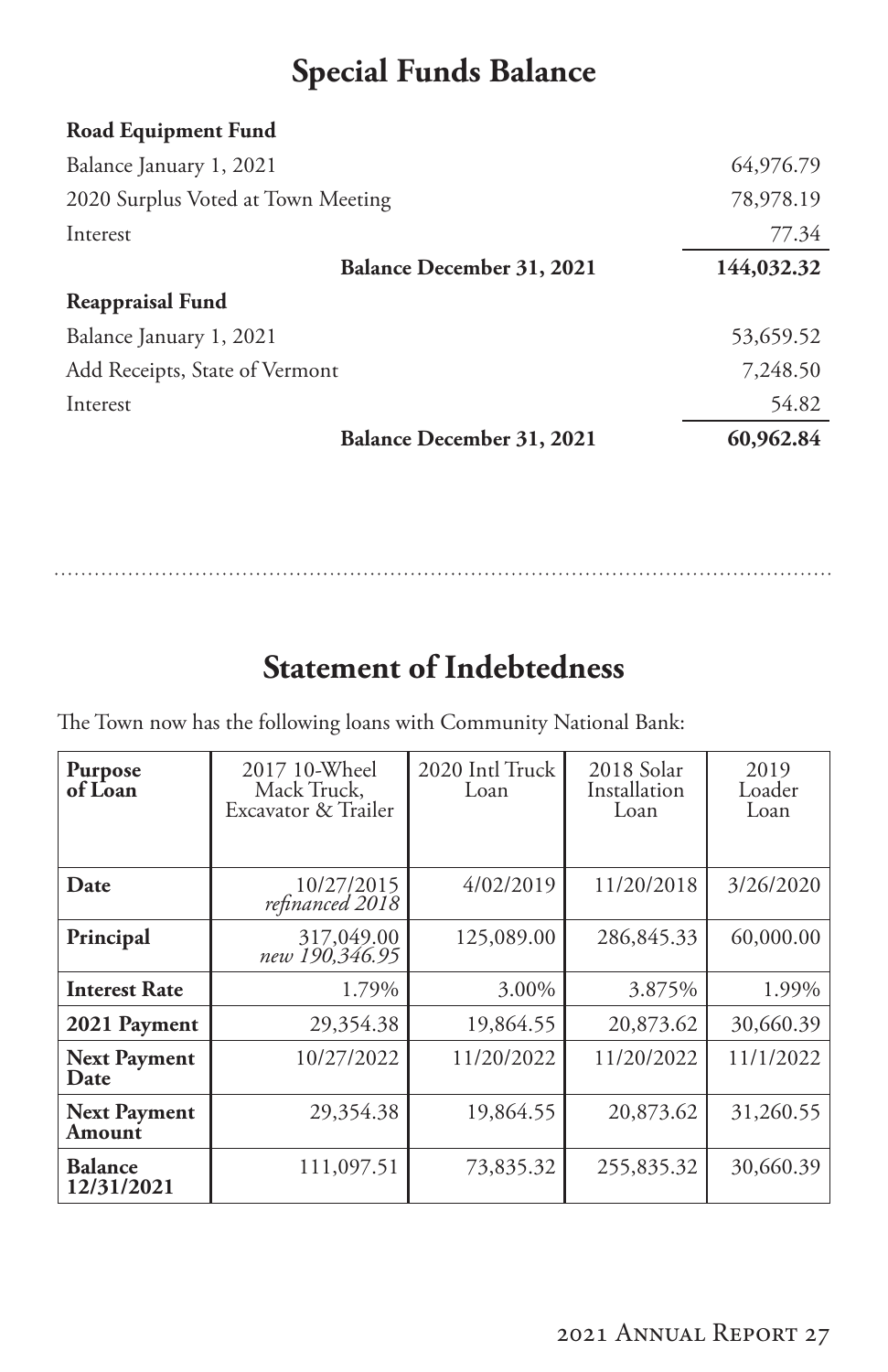# **Special Funds Balance**

<span id="page-28-0"></span>

| 64,976.79  |
|------------|
| 78,978.19  |
| 77.34      |
| 144,032.32 |
|            |
| 53,659.52  |
| 7,248.50   |
| 54.82      |
| 60,962.84  |
|            |

# **Statement of Indebtedness**

The Town now has the following loans with Community National Bank:

| Purpose<br>of Loan            | 2017 10-Wheel<br>Mack Truck,<br>Excavator & Trailer | 2020 Intl Truck<br>Loan | 2018 Solar<br>Installation<br>Loan | 2019<br>Loader<br>Loan |
|-------------------------------|-----------------------------------------------------|-------------------------|------------------------------------|------------------------|
|                               |                                                     |                         |                                    |                        |
| Date                          | 10/27/2015<br>refinanced 2018                       | 4/02/2019               | 11/20/2018                         | 3/26/2020              |
| Principal                     | 317,049.00<br>190,346.95 new                        | 125,089.00              | 286,845.33                         | 60,000.00              |
| <b>Interest Rate</b>          | 1.79%                                               | 3.00%                   | 3.875%                             | 1.99%                  |
| 2021 Payment                  | 29,354.38                                           | 19,864.55               | 20,873.62                          | 30,660.39              |
| <b>Next Payment</b><br>Date   | 10/27/2022                                          | 11/20/2022              | 11/20/2022                         | 11/1/2022              |
| <b>Next Payment</b><br>Amount | 29,354.38                                           | 19,864.55               | 20,873.62                          | 31,260.55              |
| <b>Balance</b><br>12/31/2021  | 111,097.51                                          | 73,835.32               | 255,835.32                         | 30,660.39              |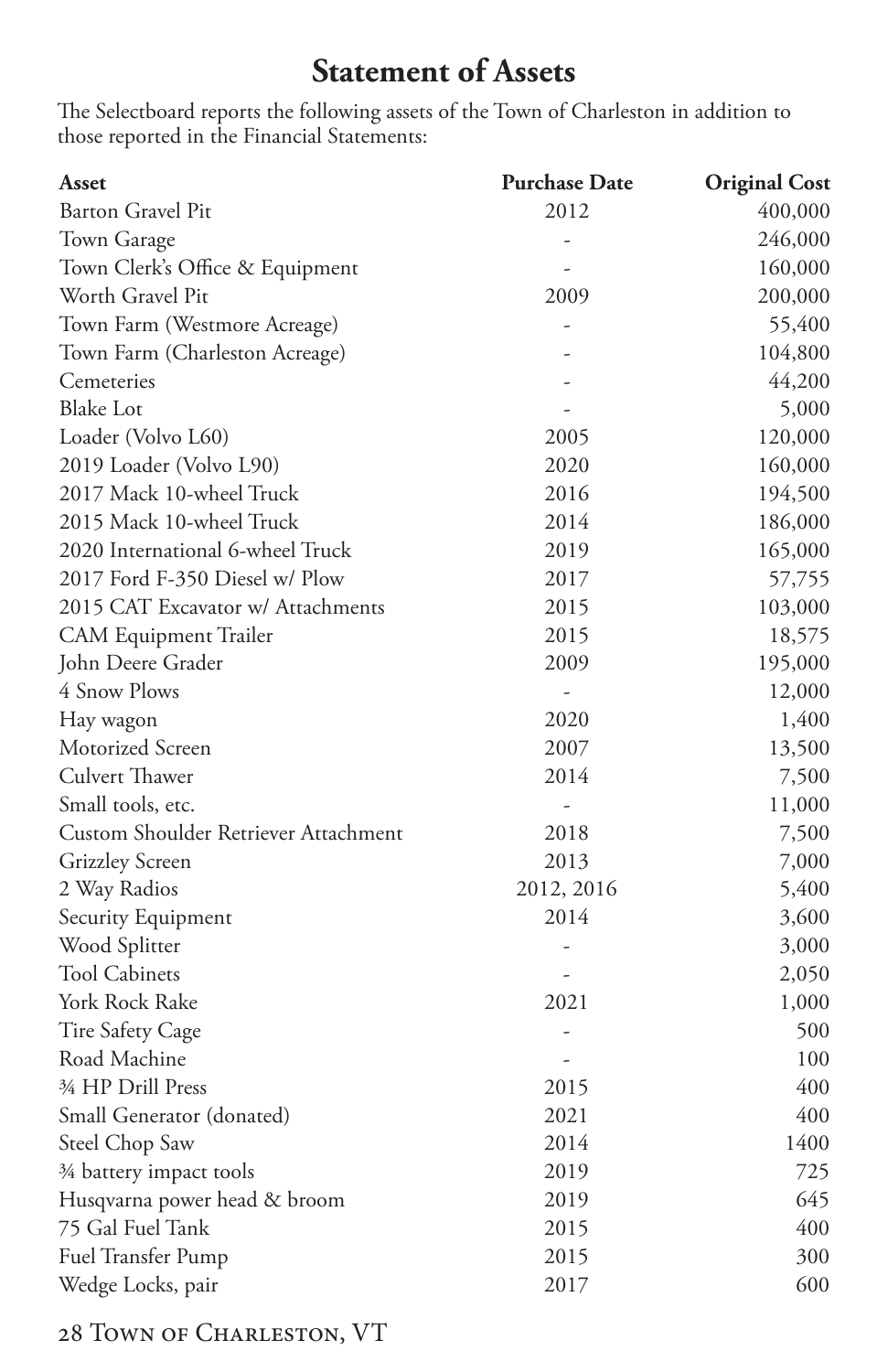# **Statement of Assets**

<span id="page-29-0"></span>The Selectboard reports the following assets of the Town of Charleston in addition to those reported in the Financial Statements:

| Asset                                | <b>Purchase Date</b> | <b>Original Cost</b> |
|--------------------------------------|----------------------|----------------------|
| Barton Gravel Pit                    | 2012                 | 400,000              |
| Town Garage                          | $\overline{a}$       | 246,000              |
| Town Clerk's Office & Equipment      |                      | 160,000              |
| Worth Gravel Pit                     | 2009                 | 200,000              |
| Town Farm (Westmore Acreage)         |                      | 55,400               |
| Town Farm (Charleston Acreage)       |                      | 104,800              |
| Cemeteries                           |                      | 44,200               |
| <b>Blake Lot</b>                     |                      | 5,000                |
| Loader (Volvo L60)                   | 2005                 | 120,000              |
| 2019 Loader (Volvo L90)              | 2020                 | 160,000              |
| 2017 Mack 10-wheel Truck             | 2016                 | 194,500              |
| 2015 Mack 10-wheel Truck             | 2014                 | 186,000              |
| 2020 International 6-wheel Truck     | 2019                 | 165,000              |
| 2017 Ford F-350 Diesel w/ Plow       | 2017                 | 57,755               |
| 2015 CAT Excavator w/ Attachments    | 2015                 | 103,000              |
| CAM Equipment Trailer                | 2015                 | 18,575               |
| John Deere Grader                    | 2009                 | 195,000              |
| 4 Snow Plows                         |                      | 12,000               |
| Hay wagon                            | 2020                 | 1,400                |
| Motorized Screen                     | 2007                 | 13,500               |
| Culvert Thawer                       | 2014                 | 7,500                |
| Small tools, etc.                    | $\frac{1}{2}$        | 11,000               |
| Custom Shoulder Retriever Attachment | 2018                 | 7,500                |
| <b>Grizzley Screen</b>               | 2013                 | 7,000                |
| 2 Way Radios                         | 2012, 2016           | 5,400                |
| Security Equipment                   | 2014                 | 3,600                |
| Wood Splitter                        |                      | 3,000                |
| <b>Tool Cabinets</b>                 |                      | 2,050                |
| York Rock Rake                       | 2021                 | 1,000                |
| Tire Safety Cage                     |                      | 500                  |
| Road Machine                         |                      | 100                  |
| 3⁄4 HP Drill Press                   | 2015                 | 400                  |
| Small Generator (donated)            | 2021                 | 400                  |
| Steel Chop Saw                       | 2014                 | 1400                 |
| 3⁄4 battery impact tools             | 2019                 | 725                  |
| Husqvarna power head & broom         | 2019                 | 645                  |
| 75 Gal Fuel Tank                     | 2015                 | 400                  |
| Fuel Transfer Pump                   | 2015                 | 300                  |
| Wedge Locks, pair                    | 2017                 | 600                  |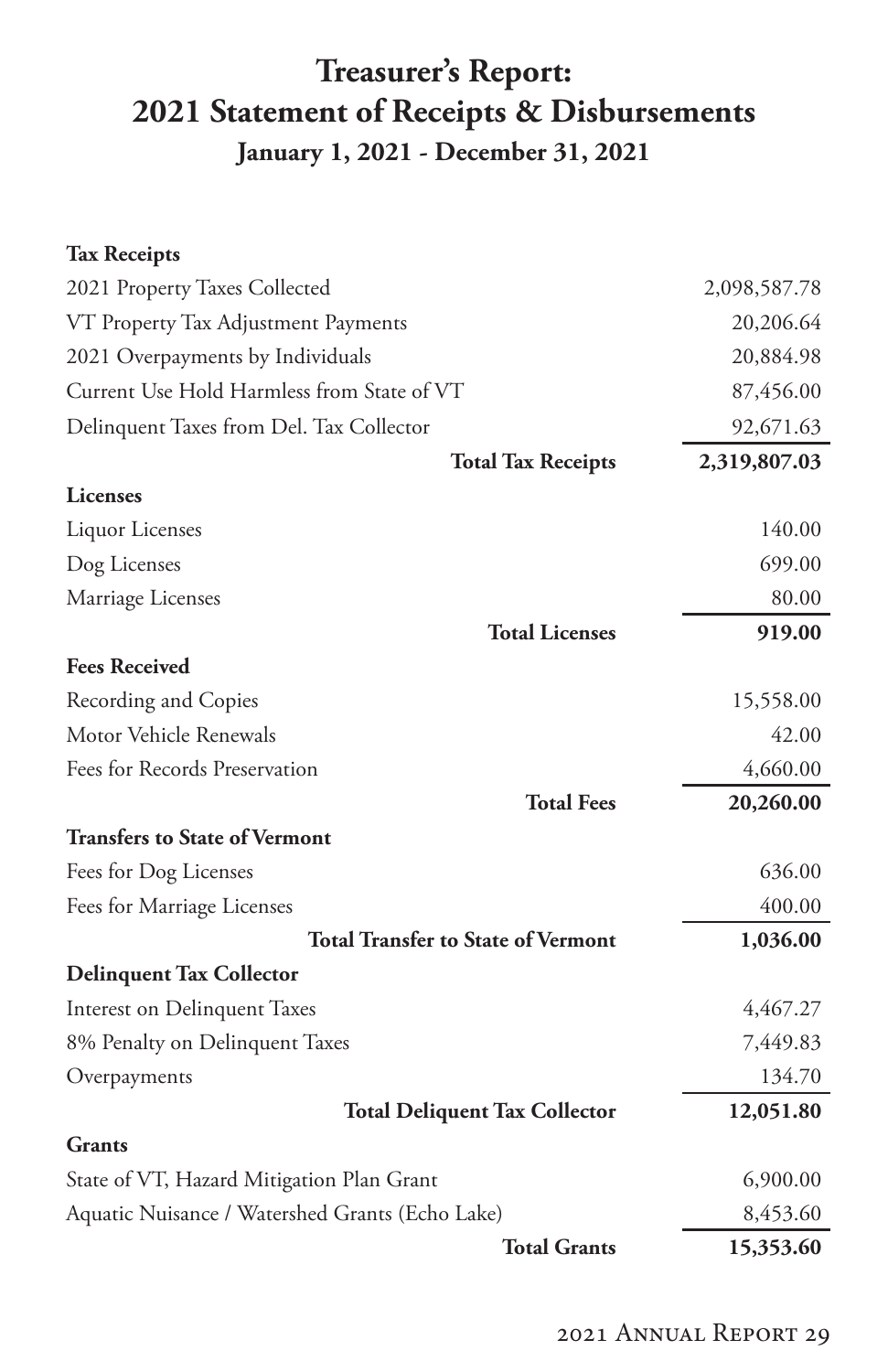# <span id="page-30-0"></span>**Treasurer's Report: 2021 Statement of Receipts & Disbursements January 1, 2021 - December 31, 2021**

#### **Tax Receipts**

| 2021 Property Taxes Collected                   | 2,098,587.78 |
|-------------------------------------------------|--------------|
| VT Property Tax Adjustment Payments             | 20,206.64    |
| 2021 Overpayments by Individuals                | 20,884.98    |
| Current Use Hold Harmless from State of VT      | 87,456.00    |
| Delinquent Taxes from Del. Tax Collector        | 92,671.63    |
| <b>Total Tax Receipts</b>                       | 2,319,807.03 |
| <b>Licenses</b>                                 |              |
| Liquor Licenses                                 | 140.00       |
| Dog Licenses                                    | 699.00       |
| Marriage Licenses                               | 80.00        |
| <b>Total Licenses</b>                           | 919.00       |
| <b>Fees Received</b>                            |              |
| Recording and Copies                            | 15,558.00    |
| Motor Vehicle Renewals                          | 42.00        |
| Fees for Records Preservation                   | 4,660.00     |
| <b>Total Fees</b>                               | 20,260.00    |
| <b>Transfers to State of Vermont</b>            |              |
| Fees for Dog Licenses                           | 636.00       |
| Fees for Marriage Licenses                      | 400.00       |
| <b>Total Transfer to State of Vermont</b>       | 1,036.00     |
| <b>Delinquent Tax Collector</b>                 |              |
| Interest on Delinquent Taxes                    | 4,467.27     |
| 8% Penalty on Delinquent Taxes                  | 7,449.83     |
| Overpayments                                    | 134.70       |
| <b>Total Deliquent Tax Collector</b>            | 12,051.80    |
| <b>Grants</b>                                   |              |
| State of VT, Hazard Mitigation Plan Grant       | 6,900.00     |
| Aquatic Nuisance / Watershed Grants (Echo Lake) | 8,453.60     |
| <b>Total Grants</b>                             | 15,353.60    |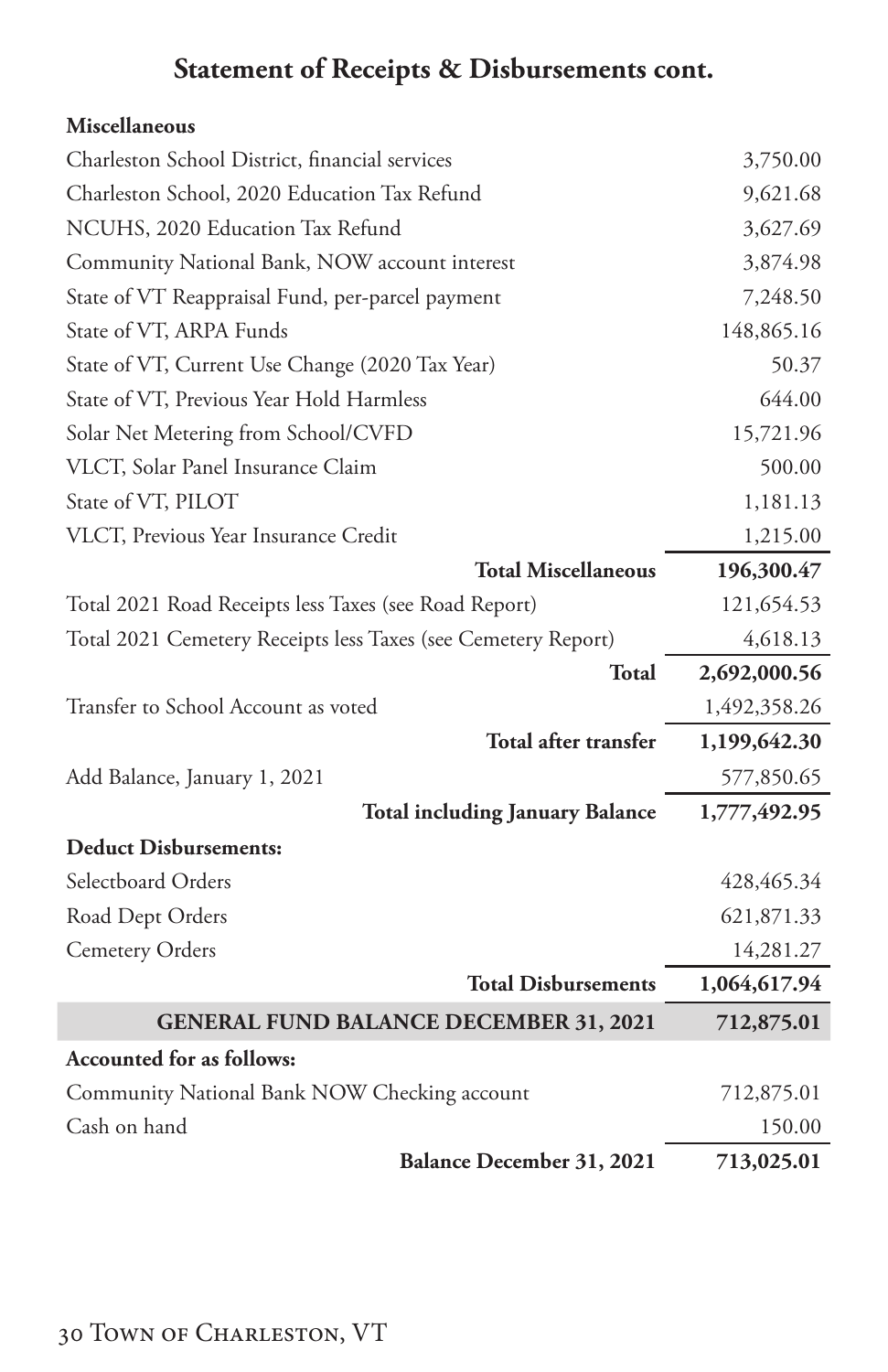# **Statement of Receipts & Disbursements cont.**

### **Miscellaneous**

| Charleston School District, financial services                | 3,750.00     |
|---------------------------------------------------------------|--------------|
| Charleston School, 2020 Education Tax Refund                  | 9,621.68     |
| NCUHS, 2020 Education Tax Refund                              | 3,627.69     |
| Community National Bank, NOW account interest                 | 3,874.98     |
| State of VT Reappraisal Fund, per-parcel payment              | 7,248.50     |
| State of VT, ARPA Funds                                       | 148,865.16   |
| State of VT, Current Use Change (2020 Tax Year)               | 50.37        |
| State of VT, Previous Year Hold Harmless                      | 644.00       |
| Solar Net Metering from School/CVFD                           | 15,721.96    |
| VLCT, Solar Panel Insurance Claim                             | 500.00       |
| State of VT, PILOT                                            | 1,181.13     |
| VLCT, Previous Year Insurance Credit                          | 1,215.00     |
| <b>Total Miscellaneous</b>                                    | 196,300.47   |
| Total 2021 Road Receipts less Taxes (see Road Report)         | 121,654.53   |
| Total 2021 Cemetery Receipts less Taxes (see Cemetery Report) | 4,618.13     |
|                                                               |              |
| Total                                                         | 2,692,000.56 |
| Transfer to School Account as voted                           | 1,492,358.26 |
| Total after transfer                                          | 1,199,642.30 |
| Add Balance, January 1, 2021                                  | 577,850.65   |
| <b>Total including January Balance</b>                        | 1,777,492.95 |
| <b>Deduct Disbursements:</b>                                  |              |
| Selectboard Orders                                            | 428, 465.34  |
| Road Dept Orders                                              | 621,871.33   |
| <b>Cemetery Orders</b>                                        | 14,281.27    |
| <b>Total Disbursements</b>                                    | 1,064,617.94 |
| <b>GENERAL FUND BALANCE DECEMBER 31, 2021</b>                 | 712,875.01   |
| <b>Accounted for as follows:</b>                              |              |
| Community National Bank NOW Checking account                  | 712,875.01   |
| Cash on hand                                                  | 150.00       |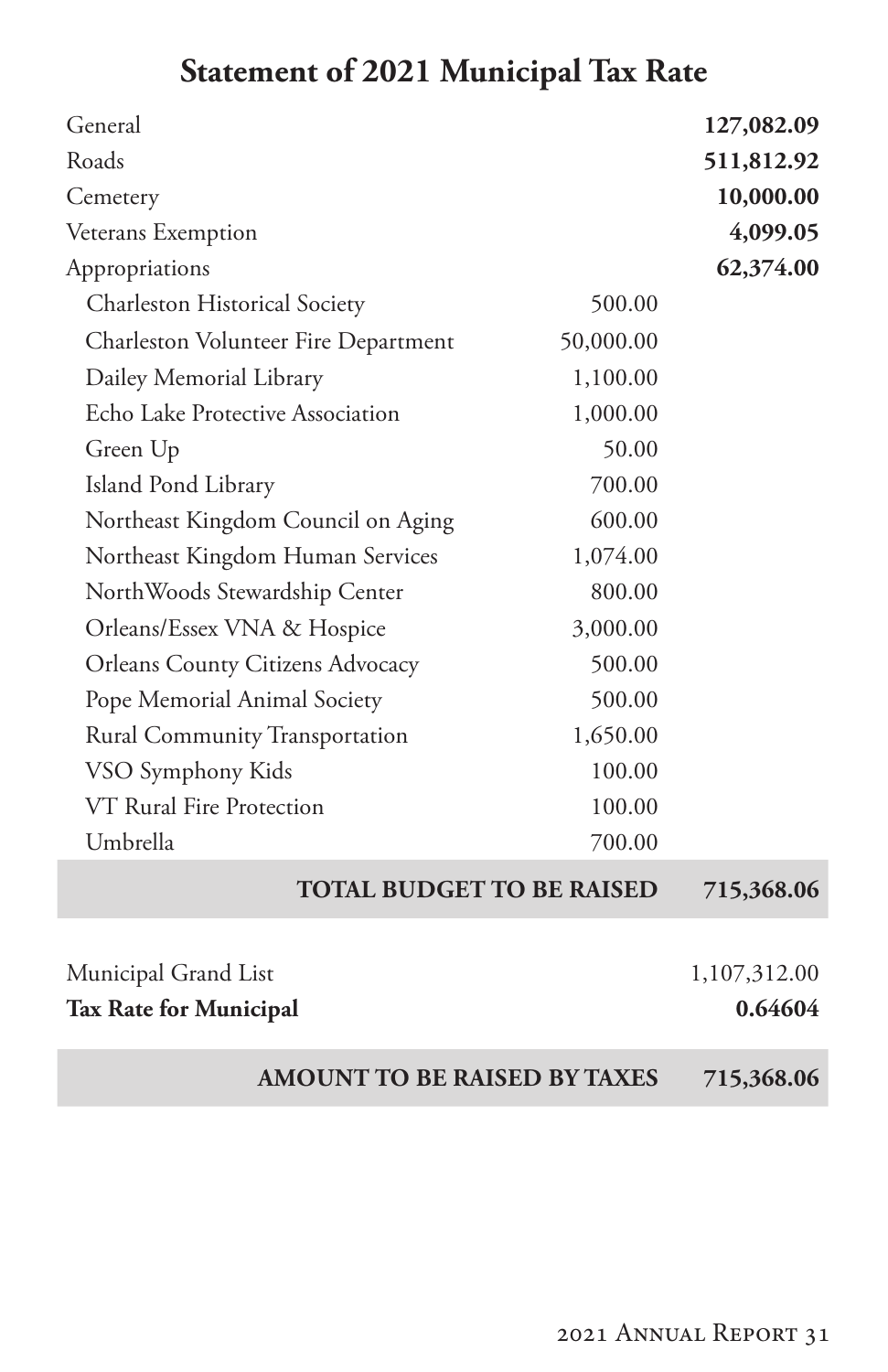# **Statement of 2021 Municipal Tax Rate**

<span id="page-32-0"></span>

| General                                 |           | 127,082.09              |
|-----------------------------------------|-----------|-------------------------|
| Roads                                   |           | 511,812.92              |
| Cemetery                                |           | 10,000.00               |
| Veterans Exemption                      |           | 4,099.05                |
| Appropriations                          |           | 62,374.00               |
| Charleston Historical Society           | 500.00    |                         |
| Charleston Volunteer Fire Department    | 50,000.00 |                         |
| Dailey Memorial Library                 | 1,100.00  |                         |
| Echo Lake Protective Association        | 1,000.00  |                         |
| Green Up                                | 50.00     |                         |
| Island Pond Library                     | 700.00    |                         |
| Northeast Kingdom Council on Aging      | 600.00    |                         |
| Northeast Kingdom Human Services        | 1,074.00  |                         |
| NorthWoods Stewardship Center           | 800.00    |                         |
| Orleans/Essex VNA & Hospice             | 3,000.00  |                         |
| <b>Orleans County Citizens Advocacy</b> | 500.00    |                         |
| Pope Memorial Animal Society            | 500.00    |                         |
| Rural Community Transportation          | 1,650.00  |                         |
| VSO Symphony Kids                       | 100.00    |                         |
| VT Rural Fire Protection                | 100.00    |                         |
| Umbrella                                | 700.00    |                         |
| <b>TOTAL BUDGET TO BE RAISED</b>        |           | 715,368.06              |
|                                         |           |                         |
| Municipal Grand List                    |           | 1,107,312.00<br>0.64604 |
| <b>Tax Rate for Municipal</b>           |           |                         |
| <b>AMOUNT TO BE RAISED BY TAXES</b>     |           | 715,368.06              |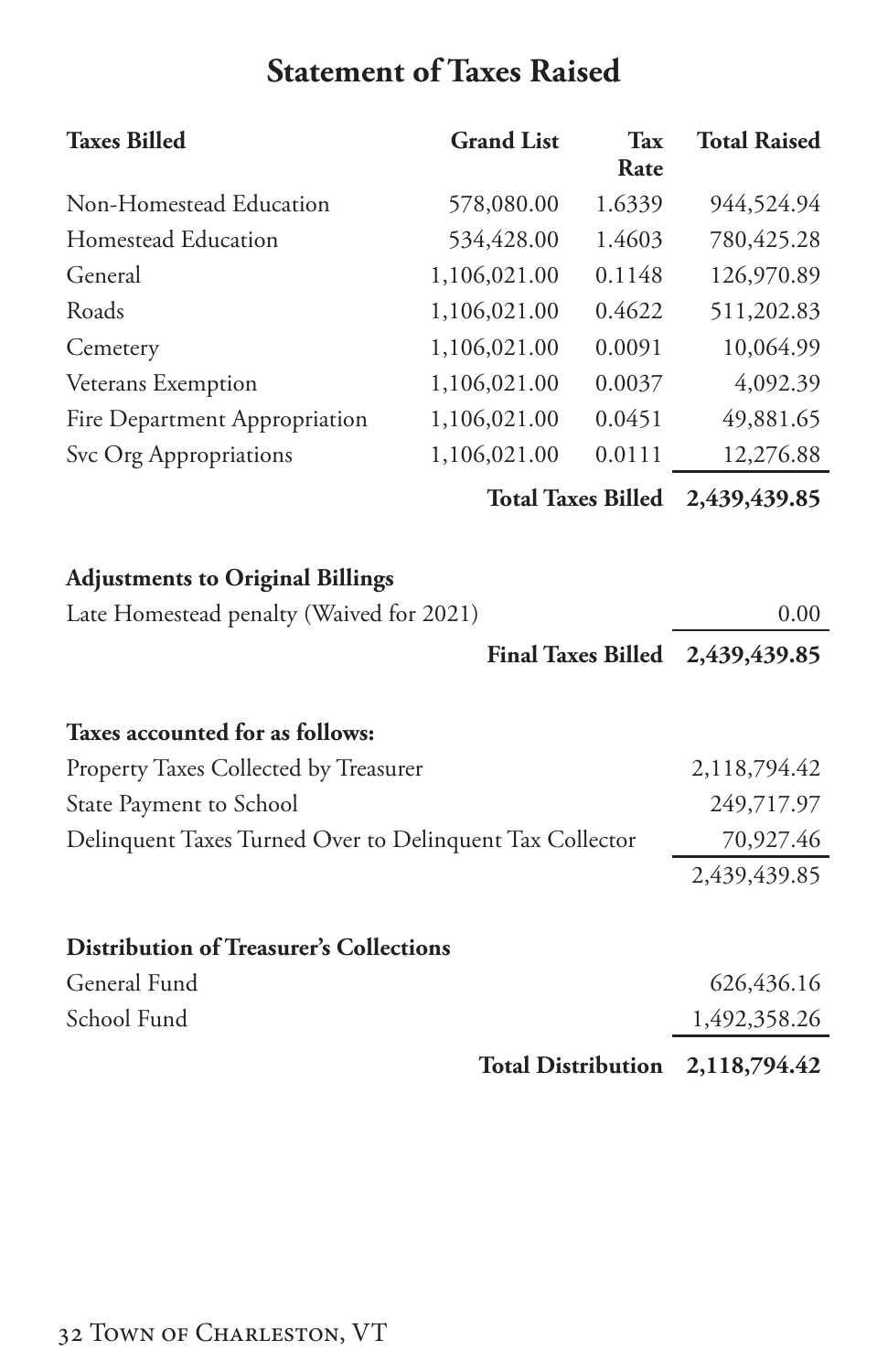# **Statement of Taxes Raised**

<span id="page-33-0"></span>

| <b>Taxes Billed</b>                                      | <b>Grand List</b>         | <b>Tax</b><br>Rate        | <b>Total Raised</b> |
|----------------------------------------------------------|---------------------------|---------------------------|---------------------|
| Non-Homestead Education                                  | 578,080.00                | 1.6339                    | 944,524.94          |
| Homestead Education                                      | 534,428.00                | 1.4603                    | 780,425.28          |
| General                                                  | 1,106,021.00              | 0.1148                    | 126,970.89          |
| Roads                                                    | 1,106,021.00              | 0.4622                    | 511,202.83          |
| Cemetery                                                 | 1,106,021.00              | 0.0091                    | 10,064.99           |
| Veterans Exemption                                       | 1,106,021.00              | 0.0037                    | 4,092.39            |
| Fire Department Appropriation                            | 1,106,021.00              | 0.0451                    | 49,881.65           |
| Svc Org Appropriations                                   | 1,106,021.00              | 0.0111                    | 12,276.88           |
|                                                          |                           | <b>Total Taxes Billed</b> | 2,439,439.85        |
| <b>Adjustments to Original Billings</b>                  |                           |                           |                     |
| Late Homestead penalty (Waived for 2021)                 |                           |                           | 0.00                |
|                                                          |                           | <b>Final Taxes Billed</b> | 2,439,439.85        |
| Taxes accounted for as follows:                          |                           |                           |                     |
| Property Taxes Collected by Treasurer                    |                           |                           | 2,118,794.42        |
| State Payment to School                                  |                           |                           | 249,717.97          |
| Delinquent Taxes Turned Over to Delinquent Tax Collector |                           |                           | 70,927.46           |
|                                                          |                           |                           | 2,439,439.85        |
| <b>Distribution of Treasurer's Collections</b>           |                           |                           |                     |
| General Fund                                             |                           |                           | 626,436.16          |
| School Fund                                              |                           |                           | 1,492,358.26        |
|                                                          | <b>Total Distribution</b> |                           | 2,118,794.42        |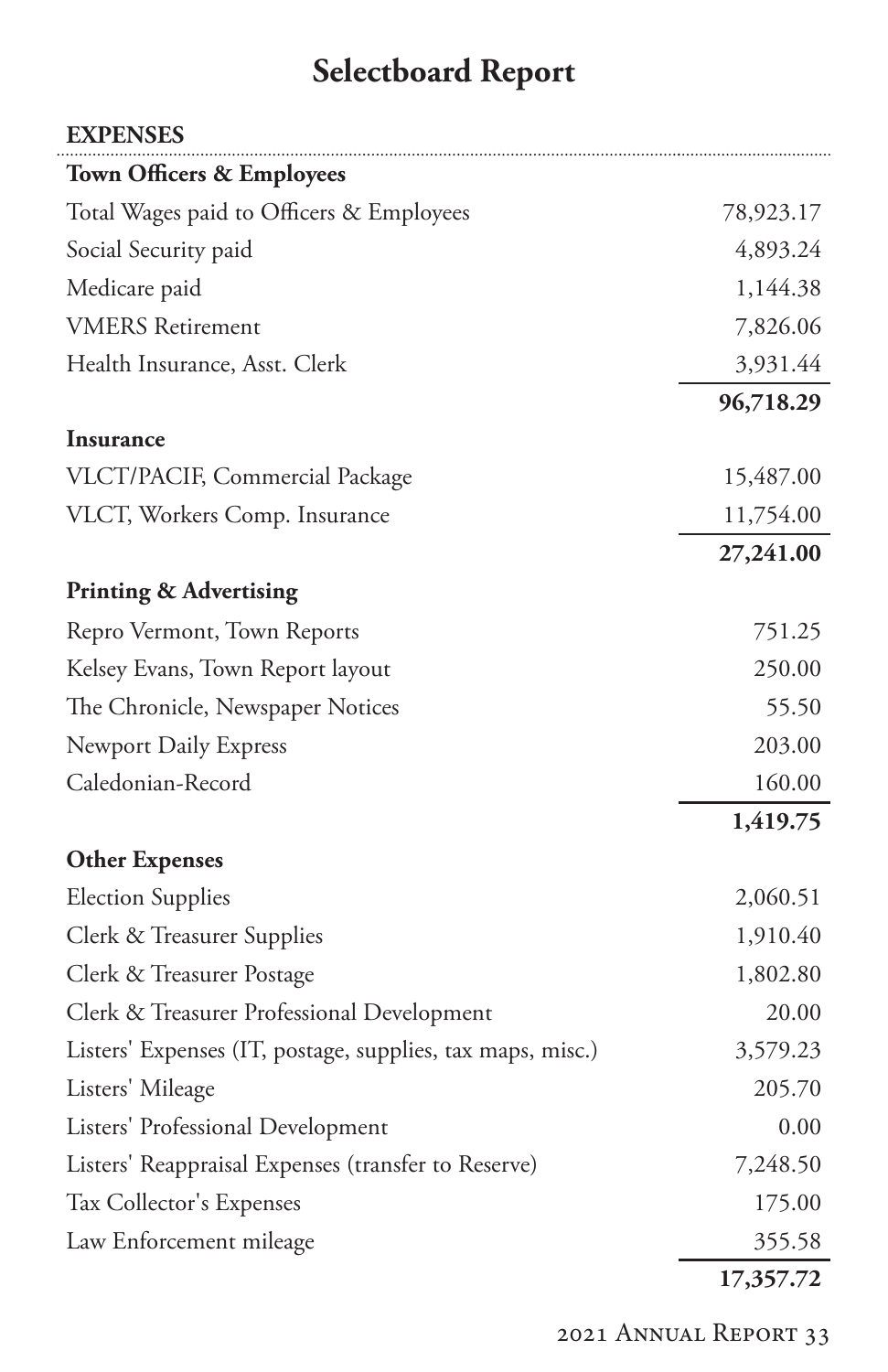# **Selectboard Report**

.

<span id="page-34-0"></span>

| <b>EXPENSES</b>                                            |           |
|------------------------------------------------------------|-----------|
| <b>Town Officers &amp; Employees</b>                       |           |
| Total Wages paid to Officers & Employees                   | 78,923.17 |
| Social Security paid                                       | 4,893.24  |
| Medicare paid                                              | 1,144.38  |
| <b>VMERS</b> Retirement                                    | 7,826.06  |
| Health Insurance, Asst. Clerk                              | 3,931.44  |
|                                                            | 96,718.29 |
| <b>Insurance</b>                                           |           |
| VLCT/PACIF, Commercial Package                             | 15,487.00 |
| VLCT, Workers Comp. Insurance                              | 11,754.00 |
|                                                            | 27,241.00 |
| <b>Printing &amp; Advertising</b>                          |           |
| Repro Vermont, Town Reports                                | 751.25    |
| Kelsey Evans, Town Report layout                           | 250.00    |
| The Chronicle, Newspaper Notices                           | 55.50     |
| <b>Newport Daily Express</b>                               | 203.00    |
| Caledonian-Record                                          | 160.00    |
|                                                            | 1,419.75  |
| <b>Other Expenses</b>                                      |           |
| <b>Election Supplies</b>                                   | 2,060.51  |
| Clerk & Treasurer Supplies                                 | 1,910.40  |
| Clerk & Treasurer Postage                                  | 1,802.80  |
| Clerk & Treasurer Professional Development                 | 20.00     |
| Listers' Expenses (IT, postage, supplies, tax maps, misc.) | 3,579.23  |
| Listers' Mileage                                           | 205.70    |
| Listers' Professional Development                          | 0.00      |
| Listers' Reappraisal Expenses (transfer to Reserve)        | 7,248.50  |
| Tax Collector's Expenses                                   | 175.00    |
| Law Enforcement mileage                                    | 355.58    |
|                                                            | 17,357.72 |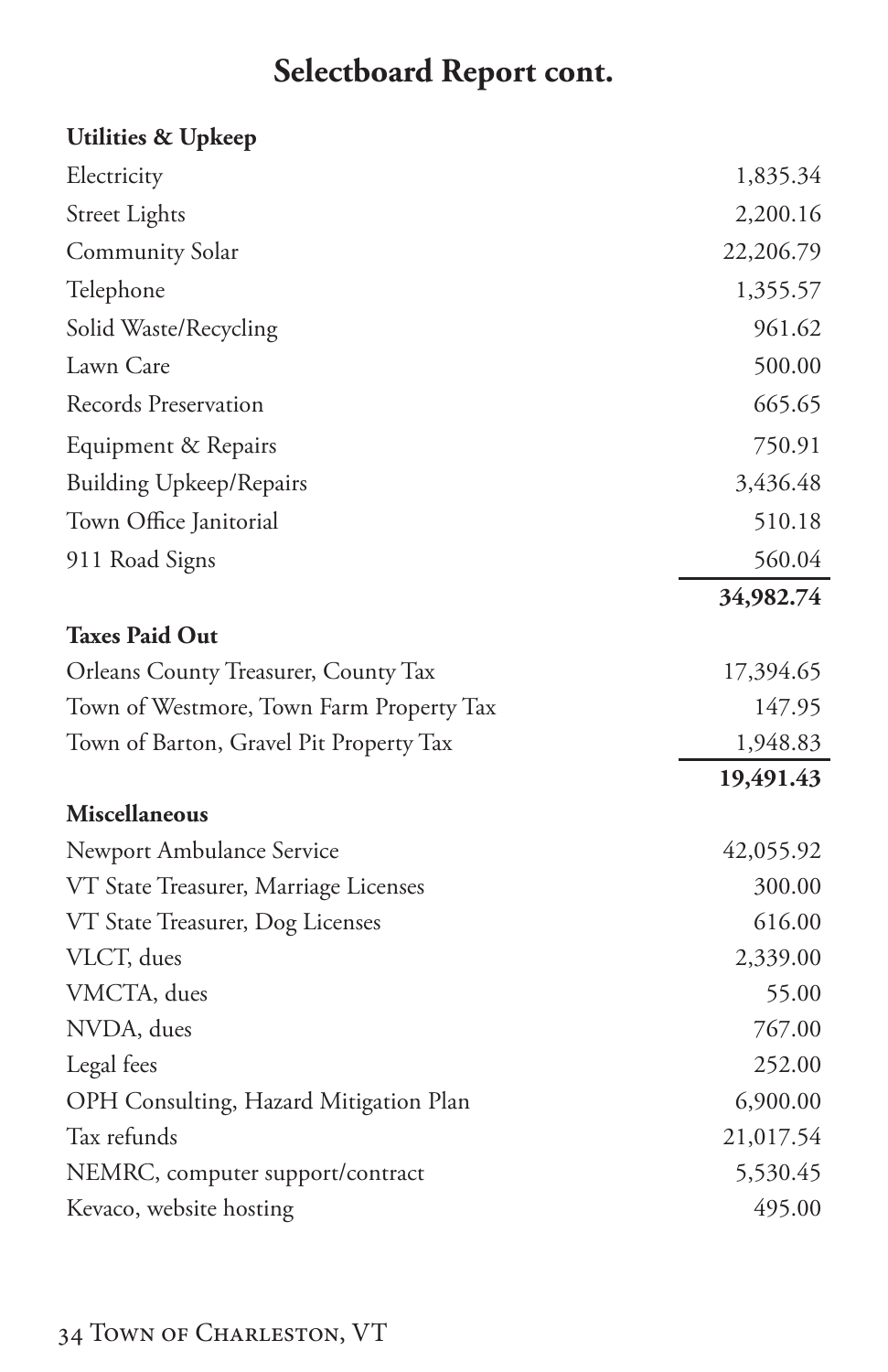# **Selectboard Report cont.**

### **Utilities & Upkeep**

| Electricity                              | 1,835.34  |
|------------------------------------------|-----------|
| <b>Street Lights</b>                     | 2,200.16  |
| <b>Community Solar</b>                   | 22,206.79 |
| Telephone                                | 1,355.57  |
| Solid Waste/Recycling                    | 961.62    |
| Lawn Care                                | 500.00    |
| Records Preservation                     | 665.65    |
| Equipment & Repairs                      | 750.91    |
| <b>Building Upkeep/Repairs</b>           | 3,436.48  |
| Town Office Janitorial                   | 510.18    |
| 911 Road Signs                           | 560.04    |
|                                          | 34,982.74 |
| <b>Taxes Paid Out</b>                    |           |
| Orleans County Treasurer, County Tax     | 17,394.65 |
| Town of Westmore, Town Farm Property Tax | 147.95    |
| Town of Barton, Gravel Pit Property Tax  | 1,948.83  |
|                                          | 19,491.43 |
| Miscellaneous                            |           |
| Newport Ambulance Service                | 42,055.92 |
| VT State Treasurer, Marriage Licenses    | 300.00    |
| VT State Treasurer, Dog Licenses         | 616.00    |
| VLCT, dues                               | 2,339.00  |
| VMCTA, dues                              | 55.00     |
| NVDA, dues                               | 767.00    |
| Legal fees                               | 252.00    |
| OPH Consulting, Hazard Mitigation Plan   | 6,900.00  |
| Tax refunds                              | 21,017.54 |
| NEMRC, computer support/contract         | 5,530.45  |
| Kevaco, website hosting                  | 495.00    |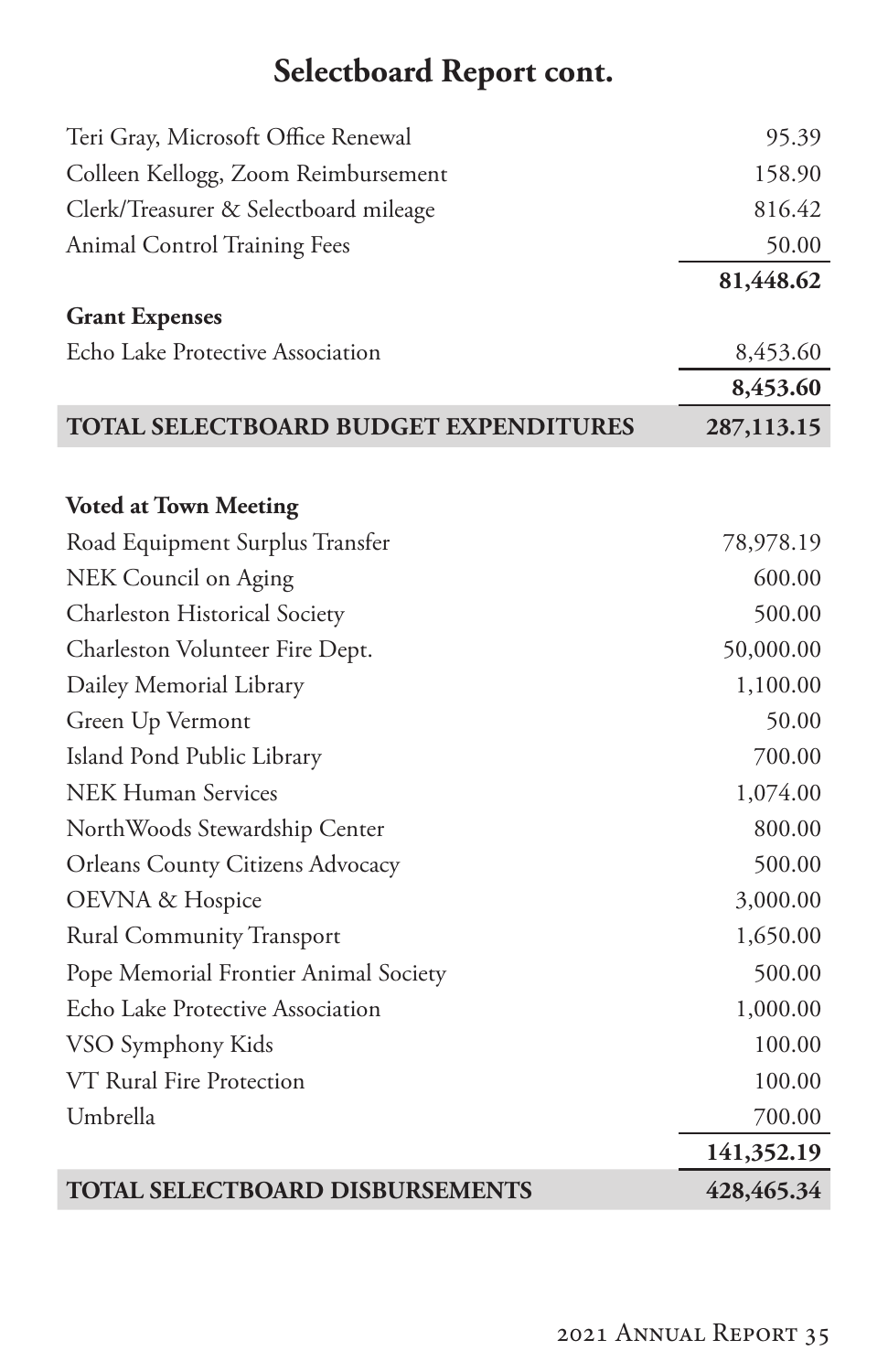# **Selectboard Report cont.**

| Teri Gray, Microsoft Office Renewal     | 95.39       |
|-----------------------------------------|-------------|
| Colleen Kellogg, Zoom Reimbursement     | 158.90      |
| Clerk/Treasurer & Selectboard mileage   | 816.42      |
| <b>Animal Control Training Fees</b>     | 50.00       |
|                                         | 81,448.62   |
| <b>Grant Expenses</b>                   |             |
| Echo Lake Protective Association        | 8,453.60    |
|                                         | 8,453.60    |
| TOTAL SELECTBOARD BUDGET EXPENDITURES   | 287,113.15  |
|                                         |             |
| <b>Voted at Town Meeting</b>            |             |
| Road Equipment Surplus Transfer         | 78,978.19   |
| NEK Council on Aging                    | 600.00      |
| Charleston Historical Society           | 500.00      |
| Charleston Volunteer Fire Dept.         | 50,000.00   |
| Dailey Memorial Library                 | 1,100.00    |
| Green Up Vermont                        | 50.00       |
| Island Pond Public Library              | 700.00      |
| <b>NEK Human Services</b>               | 1,074.00    |
| NorthWoods Stewardship Center           | 800.00      |
| <b>Orleans County Citizens Advocacy</b> | 500.00      |
| OEVNA & Hospice                         | 3,000.00    |
| <b>Rural Community Transport</b>        | 1,650.00    |
| Pope Memorial Frontier Animal Society   | 500.00      |
| Echo Lake Protective Association        | 1,000.00    |
| VSO Symphony Kids                       | 100.00      |
| VT Rural Fire Protection                | 100.00      |
| Umbrella                                | 700.00      |
|                                         | 141,352.19  |
| <b>TOTAL SELECTBOARD DISBURSEMENTS</b>  | 428, 465.34 |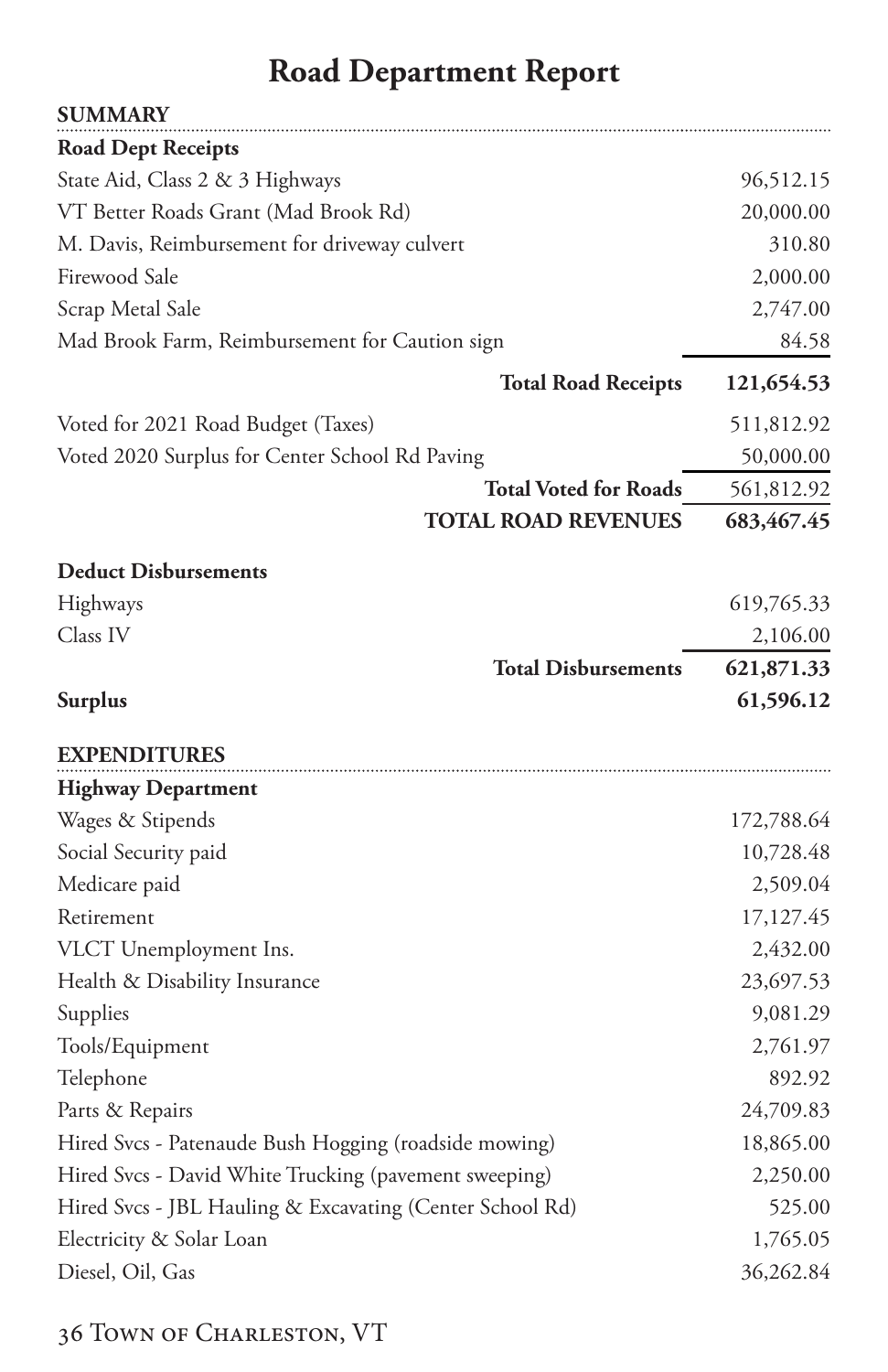# **Road Department Report**

<span id="page-37-0"></span>

| <b>SUMMARY</b>                                           |            |
|----------------------------------------------------------|------------|
| <b>Road Dept Receipts</b>                                |            |
| State Aid, Class 2 & 3 Highways                          | 96,512.15  |
| VT Better Roads Grant (Mad Brook Rd)                     | 20,000.00  |
| M. Davis, Reimbursement for driveway culvert             | 310.80     |
| Firewood Sale                                            | 2,000.00   |
| Scrap Metal Sale                                         | 2,747.00   |
| Mad Brook Farm, Reimbursement for Caution sign           | 84.58      |
| <b>Total Road Receipts</b>                               | 121,654.53 |
| Voted for 2021 Road Budget (Taxes)                       | 511,812.92 |
| Voted 2020 Surplus for Center School Rd Paving           | 50,000.00  |
| <b>Total Voted for Roads</b>                             | 561,812.92 |
| <b>TOTAL ROAD REVENUES</b>                               | 683,467.45 |
| <b>Deduct Disbursements</b>                              |            |
| Highways                                                 | 619,765.33 |
| Class IV                                                 | 2,106.00   |
| <b>Total Disbursements</b>                               | 621,871.33 |
| <b>Surplus</b>                                           | 61,596.12  |
| <b>EXPENDITURES</b>                                      |            |
| <b>Highway Department</b>                                |            |
| Wages & Stipends                                         | 172,788.64 |
| Social Security paid                                     | 10,728.48  |
| Medicare paid                                            | 2,509.04   |
| Retirement                                               | 17,127.45  |
| VLCT Unemployment Ins.                                   | 2,432.00   |
| Health & Disability Insurance                            | 23,697.53  |
| Supplies                                                 | 9,081.29   |
| Tools/Equipment                                          | 2,761.97   |
| Telephone                                                | 892.92     |
| Parts & Repairs                                          | 24,709.83  |
| Hired Svcs - Patenaude Bush Hogging (roadside mowing)    | 18,865.00  |
| Hired Svcs - David White Trucking (pavement sweeping)    | 2,250.00   |
| Hired Svcs - JBL Hauling & Excavating (Center School Rd) | 525.00     |
| Electricity & Solar Loan                                 | 1,765.05   |
| Diesel, Oil, Gas                                         | 36,262.84  |
|                                                          |            |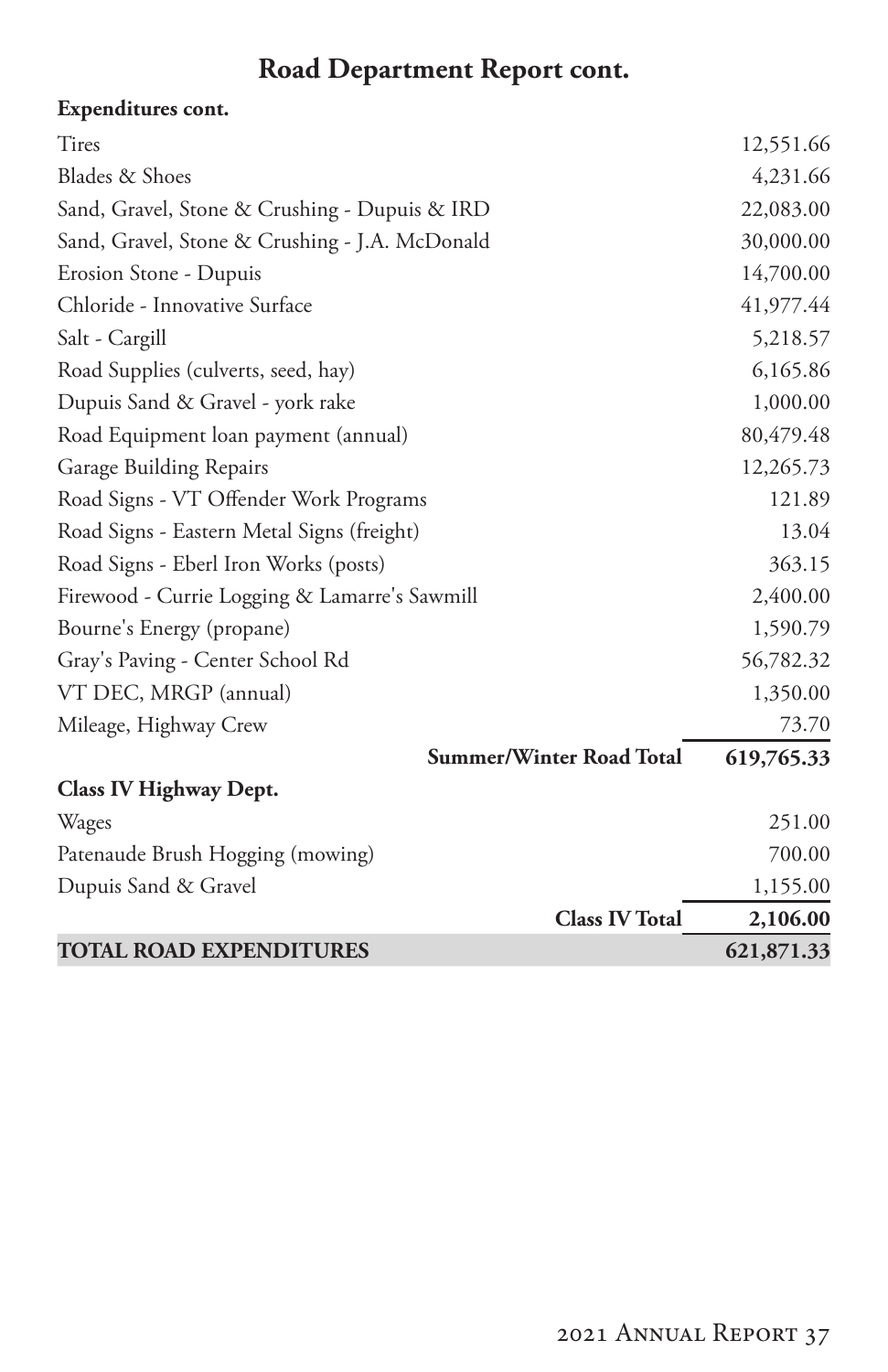## **Road Department Report cont.**

### **Expenditures cont.**

| <b>TOTAL ROAD EXPENDITURES</b>                 | 621,871.33 |
|------------------------------------------------|------------|
| <b>Class IV Total</b>                          | 2,106.00   |
| Dupuis Sand & Gravel                           | 1,155.00   |
| Patenaude Brush Hogging (mowing)               | 700.00     |
| Wages                                          | 251.00     |
| Class IV Highway Dept.                         |            |
| <b>Summer/Winter Road Total</b>                | 619,765.33 |
| Mileage, Highway Crew                          | 73.70      |
| VT DEC, MRGP (annual)                          | 1,350.00   |
| Gray's Paving - Center School Rd               | 56,782.32  |
| Bourne's Energy (propane)                      | 1,590.79   |
| Firewood - Currie Logging & Lamarre's Sawmill  | 2,400.00   |
| Road Signs - Eberl Iron Works (posts)          | 363.15     |
| Road Signs - Eastern Metal Signs (freight)     | 13.04      |
| Road Signs - VT Offender Work Programs         | 121.89     |
| Garage Building Repairs                        | 12,265.73  |
| Road Equipment loan payment (annual)           | 80,479.48  |
| Dupuis Sand & Gravel - york rake               | 1,000.00   |
| Road Supplies (culverts, seed, hay)            | 6,165.86   |
| Salt - Cargill                                 | 5,218.57   |
| Chloride - Innovative Surface                  | 41,977.44  |
| Erosion Stone - Dupuis                         | 14,700.00  |
| Sand, Gravel, Stone & Crushing - J.A. McDonald | 30,000.00  |
| Sand, Gravel, Stone & Crushing - Dupuis & IRD  | 22,083.00  |
| Blades & Shoes                                 | 4,231.66   |
| Tires                                          | 12,551.66  |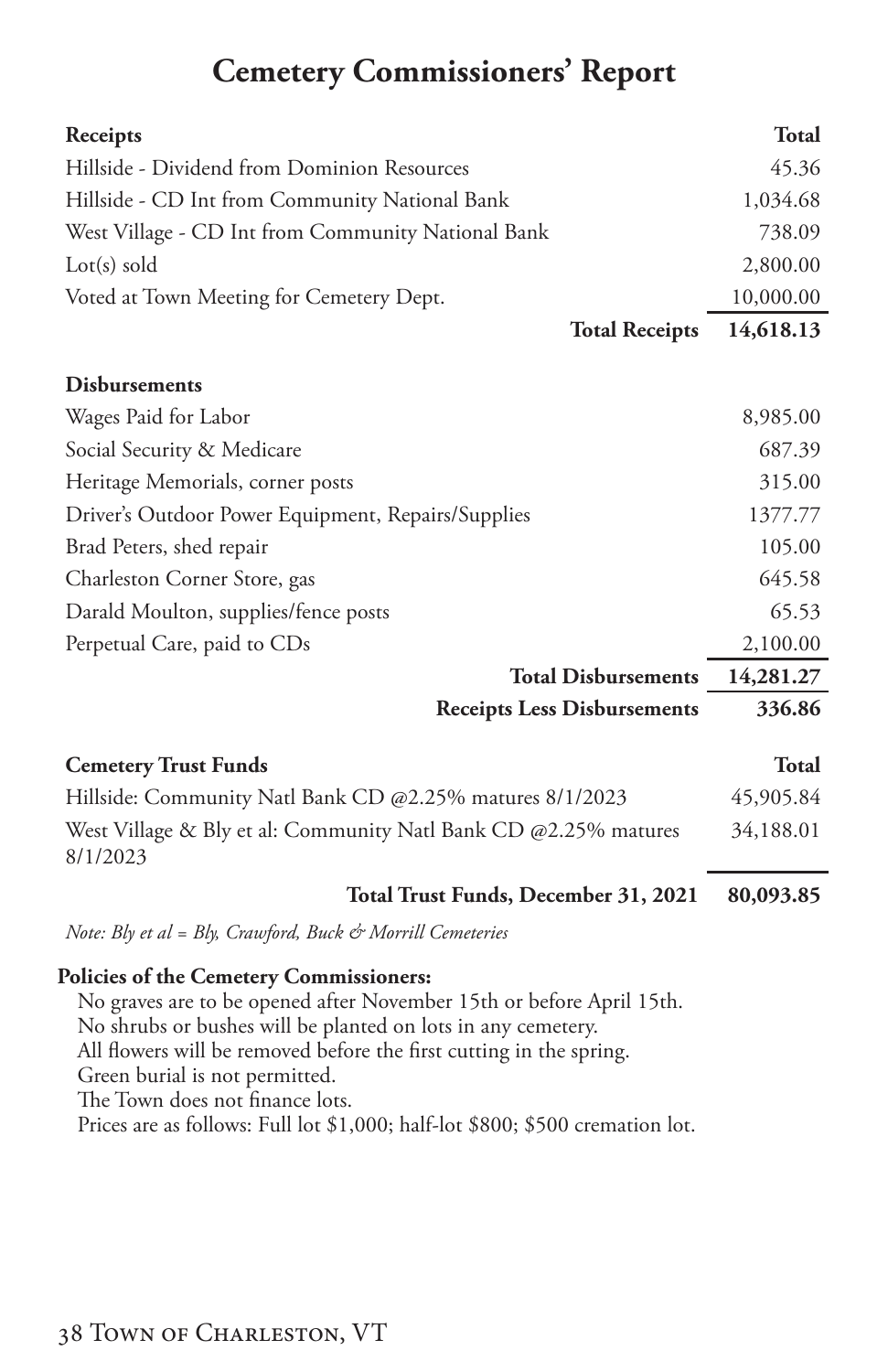### **Cemetery Commissioners' Report**

<span id="page-39-0"></span>

| Receipts                                                                    | <b>Total</b> |
|-----------------------------------------------------------------------------|--------------|
| Hillside - Dividend from Dominion Resources                                 | 45.36        |
| Hillside - CD Int from Community National Bank                              | 1,034.68     |
| West Village - CD Int from Community National Bank                          | 738.09       |
| $Lot(s)$ sold                                                               | 2,800.00     |
| Voted at Town Meeting for Cemetery Dept.                                    | 10,000.00    |
| <b>Total Receipts</b>                                                       | 14,618.13    |
| <b>Disbursements</b>                                                        |              |
| Wages Paid for Labor                                                        | 8,985.00     |
| Social Security & Medicare                                                  | 687.39       |
| Heritage Memorials, corner posts                                            | 315.00       |
| Driver's Outdoor Power Equipment, Repairs/Supplies                          | 1377.77      |
| Brad Peters, shed repair                                                    | 105.00       |
| Charleston Corner Store, gas                                                | 645.58       |
| Darald Moulton, supplies/fence posts                                        | 65.53        |
| Perpetual Care, paid to CDs                                                 | 2,100.00     |
| <b>Total Disbursements</b>                                                  | 14,281.27    |
| <b>Receipts Less Disbursements</b>                                          | 336.86       |
| <b>Cemetery Trust Funds</b>                                                 | <b>Total</b> |
| Hillside: Community Natl Bank CD @2.25% matures 8/1/2023                    | 45,905.84    |
| West Village & Bly et al: Community Natl Bank CD @2.25% matures<br>8/1/2023 | 34,188.01    |
| Total Trust Funds, December 31, 2021                                        | 80,093.85    |
| Note: Bly et al = Bly, Crawford, Buck & Morrill Cemeteries                  |              |

#### **Policies of the Cemetery Commissioners:**

No graves are to be opened after November 15th or before April 15th. No shrubs or bushes will be planted on lots in any cemetery. All flowers will be removed before the first cutting in the spring. Green burial is not permitted. The Town does not finance lots. Prices are as follows: Full lot \$1,000; half-lot \$800; \$500 cremation lot.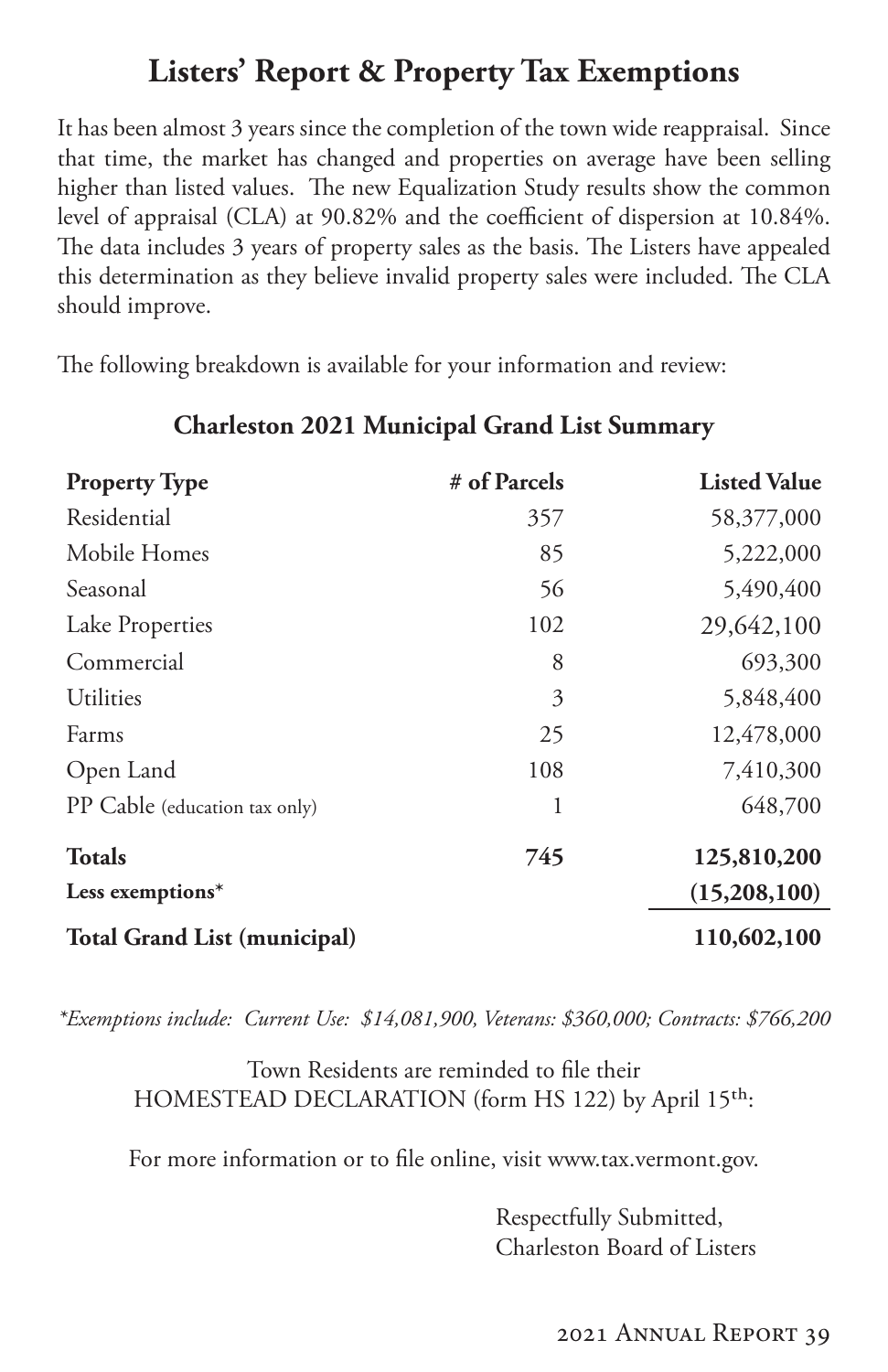### **Listers' Report & Property Tax Exemptions**

<span id="page-40-0"></span>It has been almost 3 years since the completion of the town wide reappraisal. Since that time, the market has changed and properties on average have been selling higher than listed values. The new Equalization Study results show the common level of appraisal (CLA) at 90.82% and the coefficient of dispersion at 10.84%. The data includes 3 years of property sales as the basis. The Listers have appealed this determination as they believe invalid property sales were included. The CLA should improve.

The following breakdown is available for your information and review:

| <b>Property Type</b>                | # of Parcels | <b>Listed Value</b> |
|-------------------------------------|--------------|---------------------|
| Residential                         | 357          | 58,377,000          |
| Mobile Homes                        | 85           | 5,222,000           |
| Seasonal                            | 56           | 5,490,400           |
| Lake Properties                     | 102          | 29,642,100          |
| Commercial                          | 8            | 693,300             |
| Utilities                           | 3            | 5,848,400           |
| Farms                               | 25           | 12,478,000          |
| Open Land                           | 108          | 7,410,300           |
| PP Cable (education tax only)       | 1            | 648,700             |
| <b>Totals</b>                       | 745          | 125,810,200         |
| Less exemptions*                    |              | (15,208,100)        |
| <b>Total Grand List (municipal)</b> |              | 110,602,100         |

### **Charleston 2021 Municipal Grand List Summary**

*\*Exemptions include: Current Use: \$14,081,900, Veterans: \$360,000; Contracts: \$766,200*

Town Residents are reminded to file their HOMESTEAD DECLARATION (form HS 122) by April 15<sup>th</sup>:

For more information or to file online, visit www.tax.vermont.gov.

Respectfully Submitted, Charleston Board of Listers

2021 Annual Report 39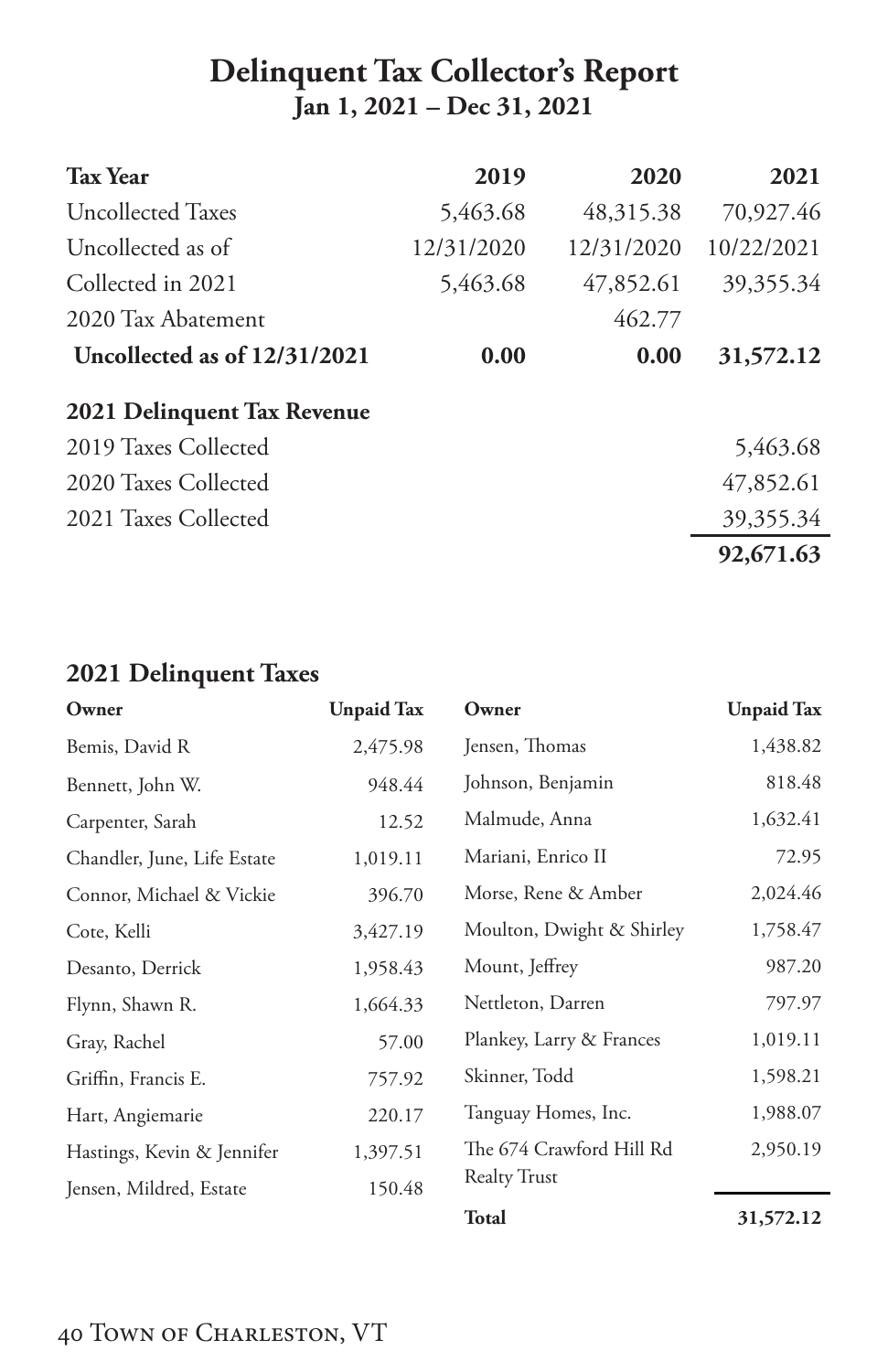### **Delinquent Tax Collector's Report Jan 1, 2021 – Dec 31, 2021**

| <b>Tax Year</b>                | 2019       | 2020       | 2021       |
|--------------------------------|------------|------------|------------|
| <b>Uncollected Taxes</b>       | 5,463.68   | 48,315.38  | 70,927.46  |
| Uncollected as of              | 12/31/2020 | 12/31/2020 | 10/22/2021 |
| Collected in 2021              | 5,463.68   | 47,852.61  | 39,355.34  |
| 2020 Tax Abatement             |            | 462.77     |            |
| Uncollected as of $12/31/2021$ | 0.00       | 0.00       | 31,572.12  |
| 2021 Delinquent Tax Revenue    |            |            |            |
| 2019 Taxes Collected           |            |            | 5,463.68   |
| 2020 Taxes Collected           |            |            | 47,852.61  |
| 2021 Taxes Collected           |            |            | 39,355.34  |
|                                |            |            | 92,671.63  |

### **2021 Delinquent Taxes**

| Owner                                                    | <b>Unpaid Tax</b> | Owner                     | <b>Unpaid Tax</b> |
|----------------------------------------------------------|-------------------|---------------------------|-------------------|
| Bemis, David R                                           | 2,475.98          | Jensen, Thomas            | 1,438.82          |
| Bennett, John W.                                         | 948.44            | Johnson, Benjamin         | 818.48            |
| Carpenter, Sarah                                         | 12.52             | Malmude, Anna             | 1,632.41          |
| Chandler, June, Life Estate                              | 1,019.11          | Mariani, Enrico II        | 72.95             |
| Connor, Michael & Vickie                                 | 396.70            | Morse, Rene & Amber       | 2,024.46          |
| Cote, Kelli                                              | 3,427.19          | Moulton, Dwight & Shirley | 1,758.47          |
| Desanto, Derrick                                         | 1,958.43          | Mount, Jeffrey            | 987.20            |
| Flynn, Shawn R.                                          | 1,664.33          | Nettleton, Darren         | 797.97            |
| Gray, Rachel                                             | 57.00             | Plankey, Larry & Frances  | 1,019.11          |
| Griffin, Francis E.                                      | 757.92            | Skinner, Todd             | 1,598.21          |
| Hart, Angiemarie                                         | 220.17            | Tanguay Homes, Inc.       | 1,988.07          |
| Hastings, Kevin & Jennifer                               | 1,397.51          | The 674 Crawford Hill Rd  | 2,950.19          |
| <b>Realty Trust</b><br>150.48<br>Jensen, Mildred, Estate |                   |                           |                   |
|                                                          |                   | <b>Total</b>              | 31,572.12         |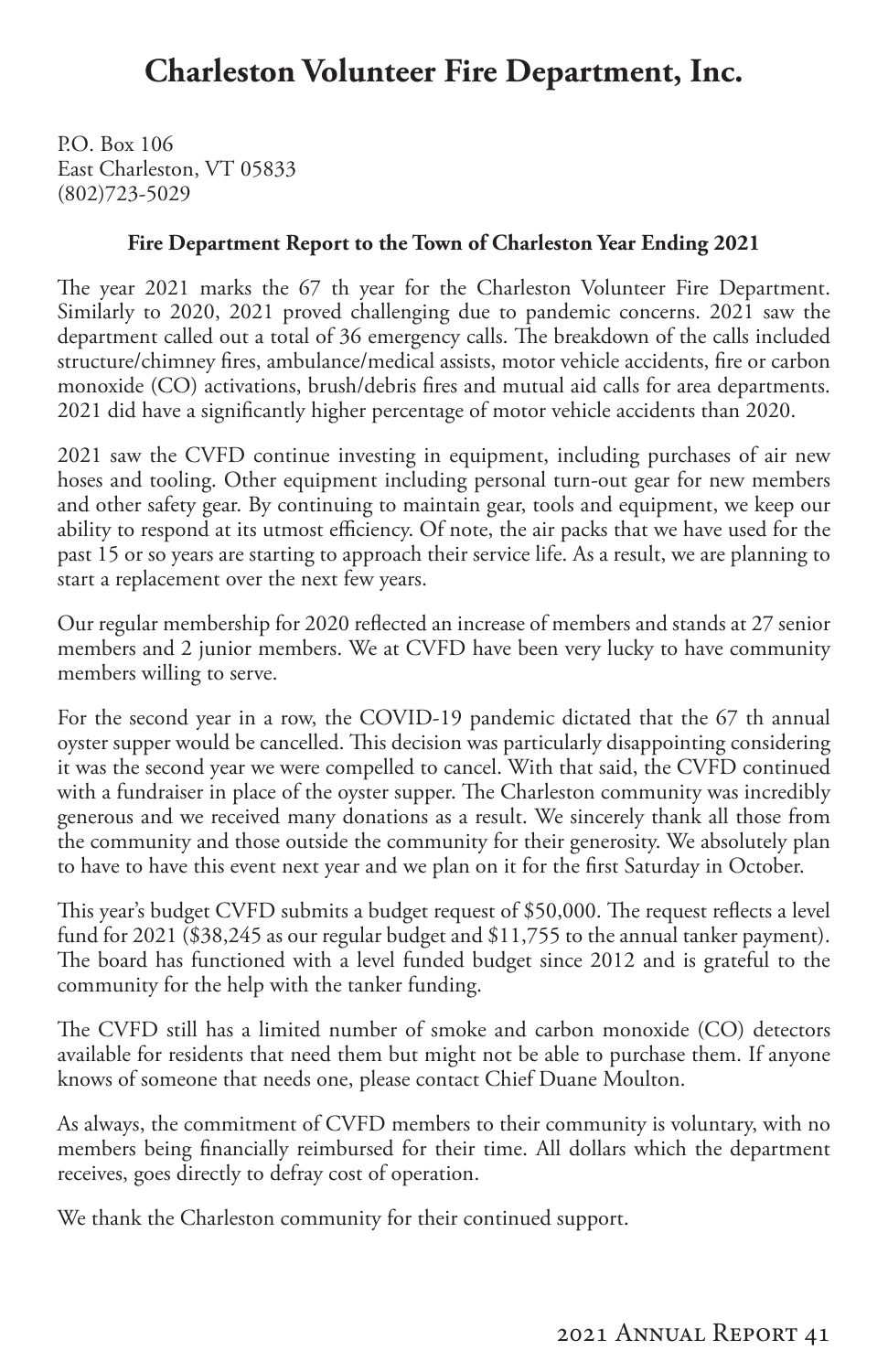### **Charleston Volunteer Fire Department, Inc.**

<span id="page-42-0"></span>P.O. Box 106 East Charleston, VT 05833 (802)723-5029

#### **Fire Department Report to the Town of Charleston Year Ending 2021**

The year 2021 marks the 67 th year for the Charleston Volunteer Fire Department. Similarly to 2020, 2021 proved challenging due to pandemic concerns. 2021 saw the department called out a total of 36 emergency calls. The breakdown of the calls included structure/chimney fires, ambulance/medical assists, motor vehicle accidents, fire or carbon monoxide (CO) activations, brush/debris fires and mutual aid calls for area departments. 2021 did have a significantly higher percentage of motor vehicle accidents than 2020.

2021 saw the CVFD continue investing in equipment, including purchases of air new hoses and tooling. Other equipment including personal turn-out gear for new members and other safety gear. By continuing to maintain gear, tools and equipment, we keep our ability to respond at its utmost efficiency. Of note, the air packs that we have used for the past 15 or so years are starting to approach their service life. As a result, we are planning to start a replacement over the next few years.

Our regular membership for 2020 reflected an increase of members and stands at 27 senior members and 2 junior members. We at CVFD have been very lucky to have community members willing to serve.

For the second year in a row, the COVID-19 pandemic dictated that the 67 th annual oyster supper would be cancelled. This decision was particularly disappointing considering it was the second year we were compelled to cancel. With that said, the CVFD continued with a fundraiser in place of the oyster supper. The Charleston community was incredibly generous and we received many donations as a result. We sincerely thank all those from the community and those outside the community for their generosity. We absolutely plan to have to have this event next year and we plan on it for the first Saturday in October.

This year's budget CVFD submits a budget request of \$50,000. The request reflects a level fund for 2021 (\$38,245 as our regular budget and \$11,755 to the annual tanker payment). The board has functioned with a level funded budget since 2012 and is grateful to the community for the help with the tanker funding.

The CVFD still has a limited number of smoke and carbon monoxide (CO) detectors available for residents that need them but might not be able to purchase them. If anyone knows of someone that needs one, please contact Chief Duane Moulton.

As always, the commitment of CVFD members to their community is voluntary, with no members being financially reimbursed for their time. All dollars which the department receives, goes directly to defray cost of operation.

We thank the Charleston community for their continued support.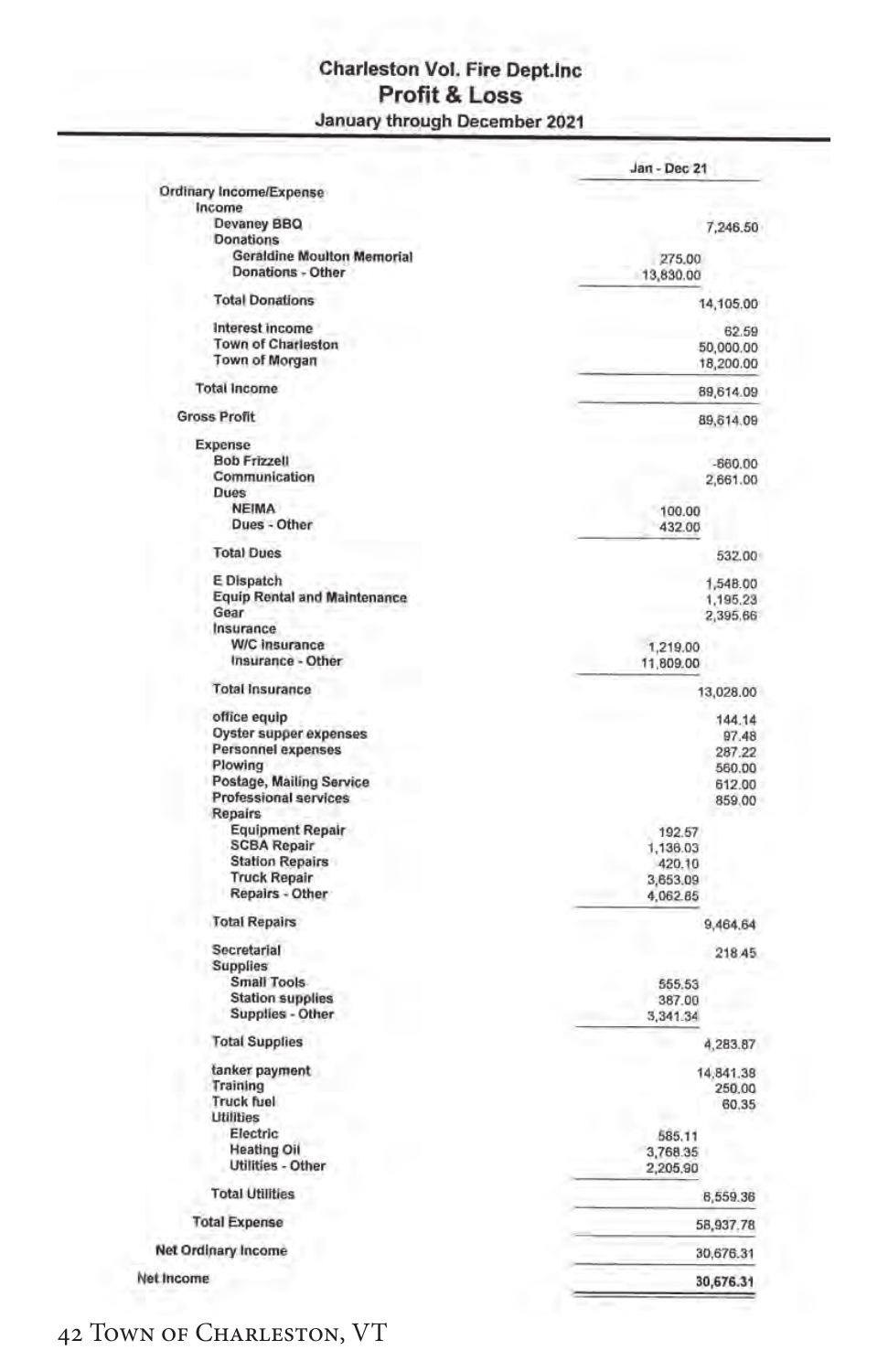#### **Charleston Vol. Fire Dept.inc** Profit & Loss January through December 2021

| Ordinary Income/Expense                                  | Jan - Dec 21           |  |
|----------------------------------------------------------|------------------------|--|
| Income                                                   |                        |  |
| Devaney BBQ                                              | 7,246.50               |  |
| Donations                                                |                        |  |
| <b>Geraldine Moulton Memorial</b><br>Donations - Other   | 275.00<br>13,830.00    |  |
| <b>Total Donations</b>                                   | 14,105.00              |  |
| Interest income                                          | 62.59                  |  |
| <b>Town of Charleston</b><br><b>Town of Morgan</b>       | 50,000.00<br>18,200.00 |  |
| <b>Total Income</b>                                      | 89,614.09              |  |
| <b>Gross Profit</b>                                      | 89,614.09              |  |
| Expense                                                  |                        |  |
| <b>Bob Frizzell</b>                                      | $-660.00$              |  |
| Communication                                            | 2,661.00               |  |
| <b>Dues</b>                                              |                        |  |
| <b>NEIMA</b>                                             | 100.00                 |  |
| Dues - Other                                             | 432.00                 |  |
| <b>Total Dues</b>                                        | 532.00                 |  |
| E Dispatch                                               | 1,548.00               |  |
| <b>Equip Rental and Maintenance</b>                      | 1,195,23               |  |
| Gear                                                     | 2,395.66               |  |
| Insurance                                                |                        |  |
| W/C insurance                                            | 1,219.00               |  |
| Insurance - Other                                        | 11,809.00              |  |
| <b>Total Insurance</b>                                   | 13,028.00              |  |
| office equip                                             | 144.14                 |  |
| Oyster supper expenses                                   | 97.48                  |  |
| Personnel expenses                                       |                        |  |
| Plowing                                                  | 287.22                 |  |
|                                                          | 560.00                 |  |
| Postage, Mailing Service<br><b>Professional services</b> | 612.00<br>859.00       |  |
| <b>Repairs</b>                                           |                        |  |
| <b>Equipment Repair</b>                                  | 192.57                 |  |
| <b>SCBA Repair</b>                                       | 1,136.03               |  |
| <b>Station Repairs</b>                                   | 420.10                 |  |
| <b>Truck Repair</b>                                      | 3,653.09               |  |
| Repairs - Other                                          | 4,062.85               |  |
| <b>Total Repairs</b>                                     | 9,464.64               |  |
| Secretarial                                              | 218.45                 |  |
| <b>Supplies</b>                                          |                        |  |
| Small Tools                                              | 555.53                 |  |
| <b>Station supplies</b>                                  | 387.00                 |  |
| Supplies - Other                                         | 3,341.34               |  |
| <b>Total Supplies</b>                                    | 4,283.87               |  |
| tanker payment                                           | 14,841.38              |  |
| Training                                                 | 250.00                 |  |
| <b>Truck fuel</b>                                        | 60.35                  |  |
| <b>Utilities</b>                                         |                        |  |
| Electric                                                 | 585.11                 |  |
| <b>Heating Oil</b>                                       | 3,768.35               |  |
| Utilities - Other                                        | 2,205.90               |  |
| <b>Total Utilities</b>                                   | 6,559.36               |  |
| <b>Total Expense</b>                                     | 58,937.78              |  |
| Net Ordinary Income                                      | 30,676.31              |  |
|                                                          |                        |  |
| Net Income                                               | 30,676.31              |  |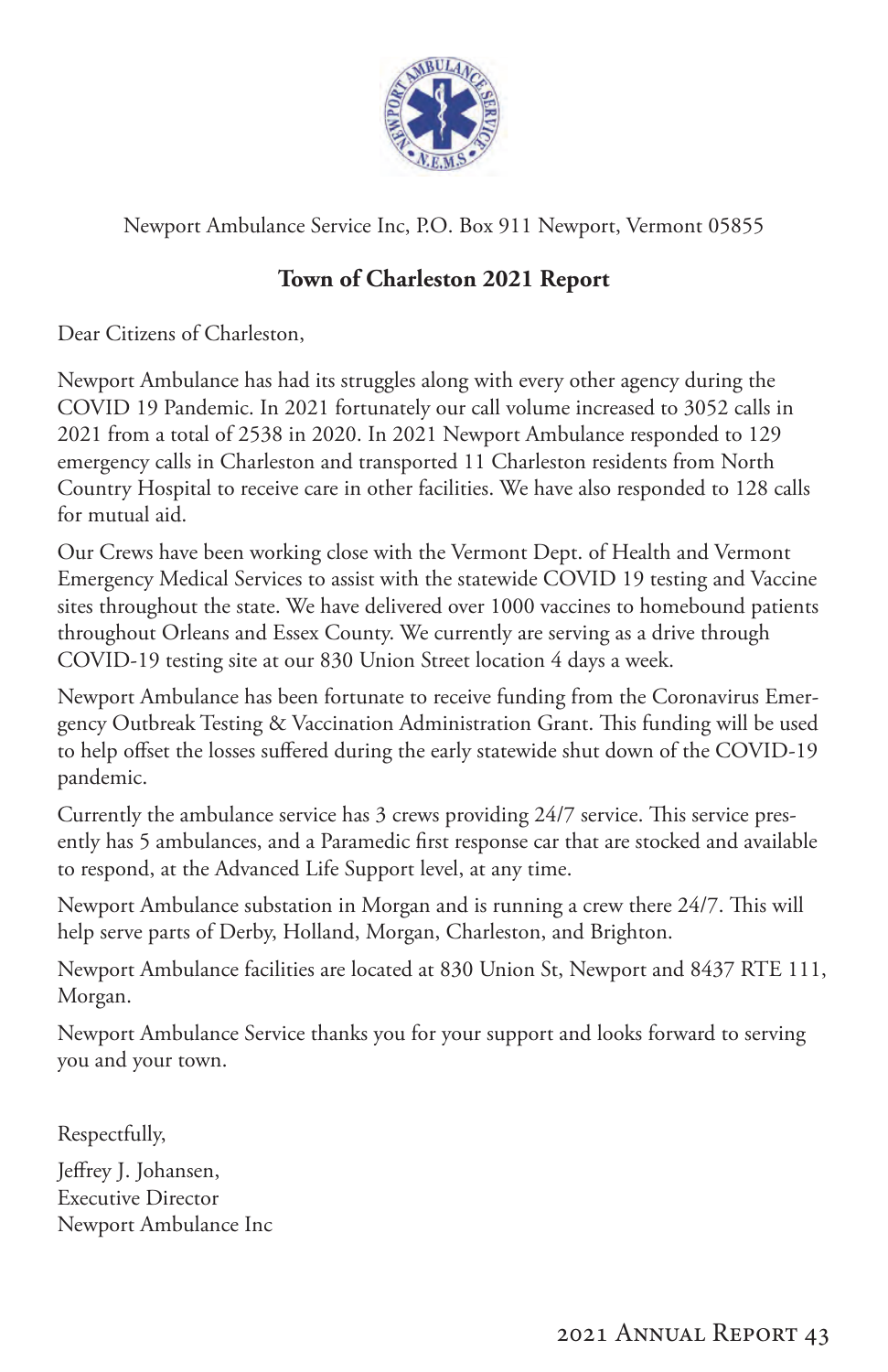

Newport Ambulance Service Inc, P.O. Box 911 Newport, Vermont 05855

### **Town of Charleston 2021 Report**

Dear Citizens of Charleston,

Newport Ambulance has had its struggles along with every other agency during the COVID 19 Pandemic. In 2021 fortunately our call volume increased to 3052 calls in 2021 from a total of 2538 in 2020. In 2021 Newport Ambulance responded to 129 emergency calls in Charleston and transported 11 Charleston residents from North Country Hospital to receive care in other facilities. We have also responded to 128 calls for mutual aid.

Our Crews have been working close with the Vermont Dept. of Health and Vermont Emergency Medical Services to assist with the statewide COVID 19 testing and Vaccine sites throughout the state. We have delivered over 1000 vaccines to homebound patients throughout Orleans and Essex County. We currently are serving as a drive through COVID-19 testing site at our 830 Union Street location 4 days a week.

Newport Ambulance has been fortunate to receive funding from the Coronavirus Emergency Outbreak Testing & Vaccination Administration Grant. This funding will be used to help offset the losses suffered during the early statewide shut down of the COVID-19 pandemic.

Currently the ambulance service has 3 crews providing 24/7 service. This service presently has 5 ambulances, and a Paramedic first response car that are stocked and available to respond, at the Advanced Life Support level, at any time.

Newport Ambulance substation in Morgan and is running a crew there 24/7. This will help serve parts of Derby, Holland, Morgan, Charleston, and Brighton.

Newport Ambulance facilities are located at 830 Union St, Newport and 8437 RTE 111, Morgan.

Newport Ambulance Service thanks you for your support and looks forward to serving you and your town.

Respectfully,

Jeffrey J. Johansen, Executive Director Newport Ambulance Inc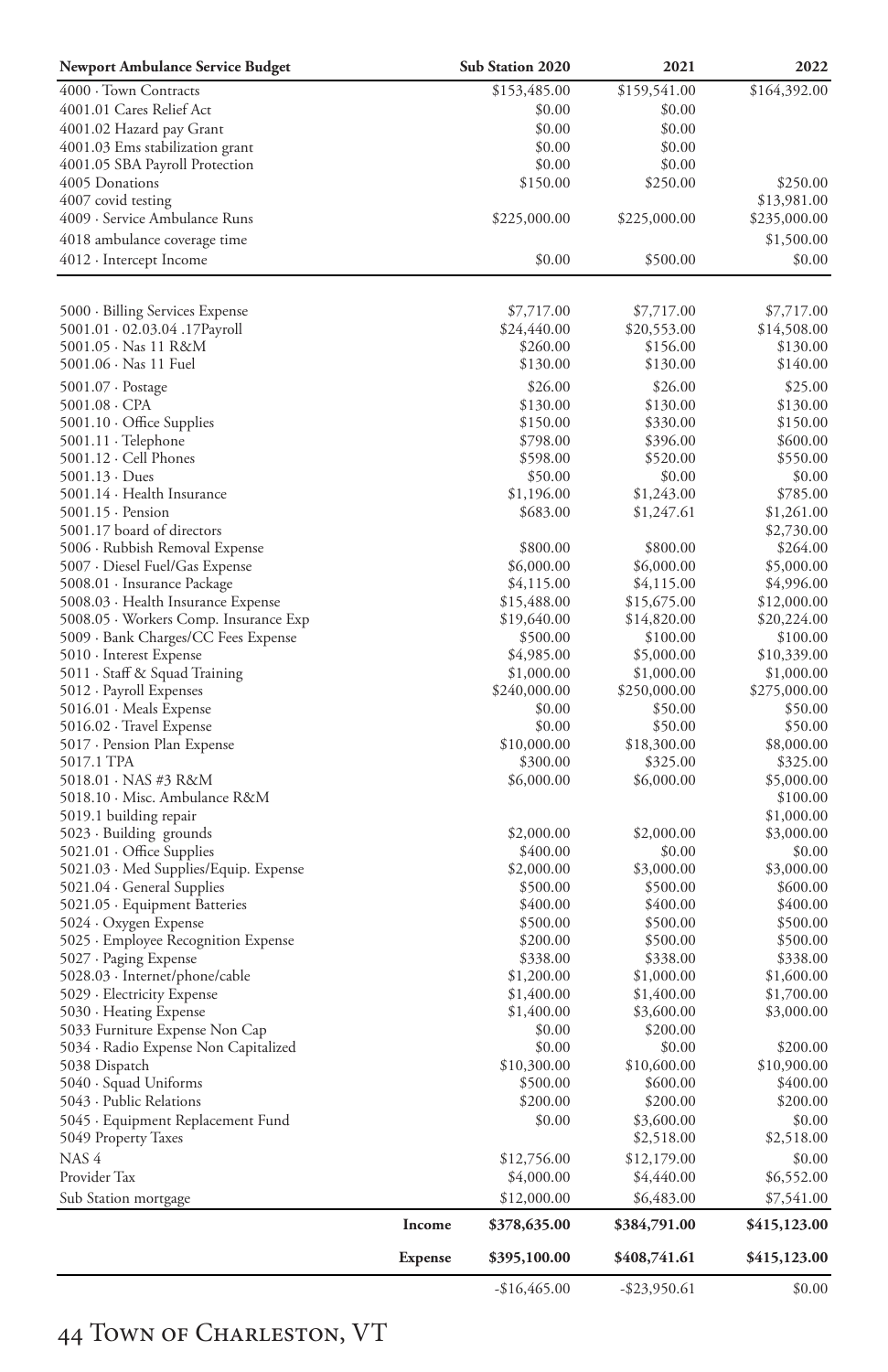| <b>Newport Ambulance Service Budget</b>                  |                | Sub Station 2020       | 2021                     | 2022                     |
|----------------------------------------------------------|----------------|------------------------|--------------------------|--------------------------|
| 4000 · Town Contracts                                    |                | \$153,485.00           | \$159,541.00             | \$164,392.00             |
| 4001.01 Cares Relief Act                                 |                | \$0.00                 | \$0.00                   |                          |
| 4001.02 Hazard pay Grant                                 |                | \$0.00                 | \$0.00                   |                          |
| 4001.03 Ems stabilization grant                          |                | \$0.00                 | \$0.00                   |                          |
| 4001.05 SBA Payroll Protection                           |                | \$0.00                 | \$0.00                   |                          |
| 4005 Donations                                           |                | \$150.00               | \$250.00                 | \$250.00                 |
| 4007 covid testing                                       |                |                        |                          | \$13,981.00              |
| 4009 - Service Ambulance Runs                            |                | \$225,000.00           | \$225,000.00             | \$235,000.00             |
| 4018 ambulance coverage time                             |                |                        |                          | \$1,500.00               |
| 4012 · Intercept Income                                  |                | \$0.00                 | \$500.00                 | \$0.00                   |
|                                                          |                |                        |                          |                          |
| 5000 · Billing Services Expense                          |                | \$7,717.00             | \$7,717.00               | \$7,717.00               |
| 5001.01 · 02.03.04 .17Payroll                            |                | \$24,440.00            | \$20,553.00              | \$14,508.00              |
| 5001.05 · Nas 11 R&M                                     |                | \$260.00               | \$156.00                 | \$130.00                 |
| 5001.06 · Nas 11 Fuel                                    |                | \$130.00               | \$130.00                 | \$140.00                 |
| 5001.07 · Postage                                        |                | \$26.00                | \$26.00                  | \$25.00                  |
| 5001.08 · CPA                                            |                | \$130.00               | \$130.00                 | \$130.00                 |
| $5001.10 \cdot$ Office Supplies                          |                | \$150.00               | \$330.00                 | \$150.00                 |
| $5001.11 \cdot$ Telephone<br>$5001.12 \cdot$ Cell Phones |                | \$798.00<br>\$598.00   | \$396.00                 | \$600.00<br>\$550.00     |
| $5001.13 \cdot Dues$                                     |                | \$50.00                | \$520.00<br>\$0.00       | \$0.00                   |
| 5001.14 · Health Insurance                               |                | \$1,196.00             | \$1,243.00               | \$785.00                 |
| $5001.15 \cdot$ Pension                                  |                | \$683.00               | \$1,247.61               | \$1,261.00               |
| 5001.17 board of directors                               |                |                        |                          | \$2,730.00               |
| 5006 · Rubbish Removal Expense                           |                | \$800.00               | \$800.00                 | \$264.00                 |
| 5007 · Diesel Fuel/Gas Expense                           |                | \$6,000.00             | \$6,000.00               | \$5,000.00               |
| 5008.01 · Insurance Package                              |                | \$4,115.00             | \$4,115.00               | \$4,996.00               |
| 5008.03 · Health Insurance Expense                       |                | \$15,488.00            | \$15,675.00              | \$12,000.00              |
| 5008.05 · Workers Comp. Insurance Exp                    |                | \$19,640.00            | \$14,820.00              | \$20,224.00              |
| 5009 · Bank Charges/CC Fees Expense                      |                | \$500.00               | \$100.00                 | \$100.00                 |
| 5010 · Interest Expense                                  |                | \$4,985.00             | \$5,000.00               | \$10,339.00              |
| 5011 · Staff & Squad Training                            |                | \$1,000.00             | \$1,000.00               | \$1,000.00               |
| 5012 · Payroll Expenses                                  |                | \$240,000.00           | \$250,000.00             | \$275,000.00             |
| 5016.01 · Meals Expense                                  |                | \$0.00                 | \$50.00                  | \$50.00                  |
| 5016.02 · Travel Expense<br>5017 - Pension Plan Expense  |                | \$0.00<br>\$10,000.00  | \$50.00<br>\$18,300.00   | \$50.00<br>\$8,000.00    |
| 5017.1 TPA                                               |                | \$300.00               | \$325.00                 | \$325.00                 |
| 5018.01 · NAS #3 R&M                                     |                | \$6,000.00             | \$6,000.00               | \$5,000.00               |
| 5018.10 · Misc. Ambulance R&M                            |                |                        |                          | \$100.00                 |
| 5019.1 building repair                                   |                |                        |                          | \$1,000.00               |
| 5023 · Building grounds                                  |                | \$2,000.00             | \$2,000.00               | \$3,000.00               |
| $5021.01 \cdot$ Office Supplies                          |                | \$400.00               | \$0.00                   | \$0.00                   |
| 5021.03 · Med Supplies/Equip. Expense                    |                | \$2,000.00             | \$3,000.00               | \$3,000.00               |
| 5021.04 · General Supplies                               |                | \$500.00               | \$500.00                 | \$600.00                 |
| 5021.05 · Equipment Batteries                            |                | \$400.00               | \$400.00                 | \$400.00                 |
| 5024 · Oxygen Expense                                    |                | \$500.00               | \$500.00                 | \$500.00                 |
| 5025 · Employee Recognition Expense                      |                | \$200.00               | \$500.00                 | \$500.00                 |
| 5027 · Paging Expense                                    |                | \$338.00<br>\$1,200.00 | \$338.00                 | \$338.00                 |
| 5028.03 · Internet/phone/cable                           |                | \$1,400.00             | \$1,000.00<br>\$1,400.00 | \$1,600.00<br>\$1,700.00 |
| 5029 · Electricity Expense<br>5030 · Heating Expense     |                | \$1,400.00             | \$3,600.00               | \$3,000.00               |
| 5033 Furniture Expense Non Cap                           |                | \$0.00                 | \$200.00                 |                          |
| 5034 · Radio Expense Non Capitalized                     |                | \$0.00                 | \$0.00                   | \$200.00                 |
| 5038 Dispatch                                            |                | \$10,300.00            | \$10,600.00              | \$10,900.00              |
| 5040 · Squad Uniforms                                    |                | \$500.00               | \$600.00                 | \$400.00                 |
| 5043 - Public Relations                                  |                | \$200.00               | \$200.00                 | \$200.00                 |
| 5045 · Equipment Replacement Fund                        |                | \$0.00                 | \$3,600.00               | \$0.00                   |
| 5049 Property Taxes                                      |                |                        | \$2,518.00               | \$2,518.00               |
| NAS <sup>4</sup>                                         |                | \$12,756.00            | \$12,179.00              | \$0.00                   |
| Provider Tax                                             |                | \$4,000.00             | \$4,440.00               | \$6,552.00               |
| Sub Station mortgage                                     |                | \$12,000.00            | \$6,483.00               | \$7,541.00               |
|                                                          | Income         | \$378,635.00           | \$384,791.00             | \$415,123.00             |
|                                                          | <b>Expense</b> | \$395,100.00           | \$408,741.61             | \$415,123.00             |
|                                                          |                | $-$16,465.00$          | $-$ \$23,950.61          | \$0.00                   |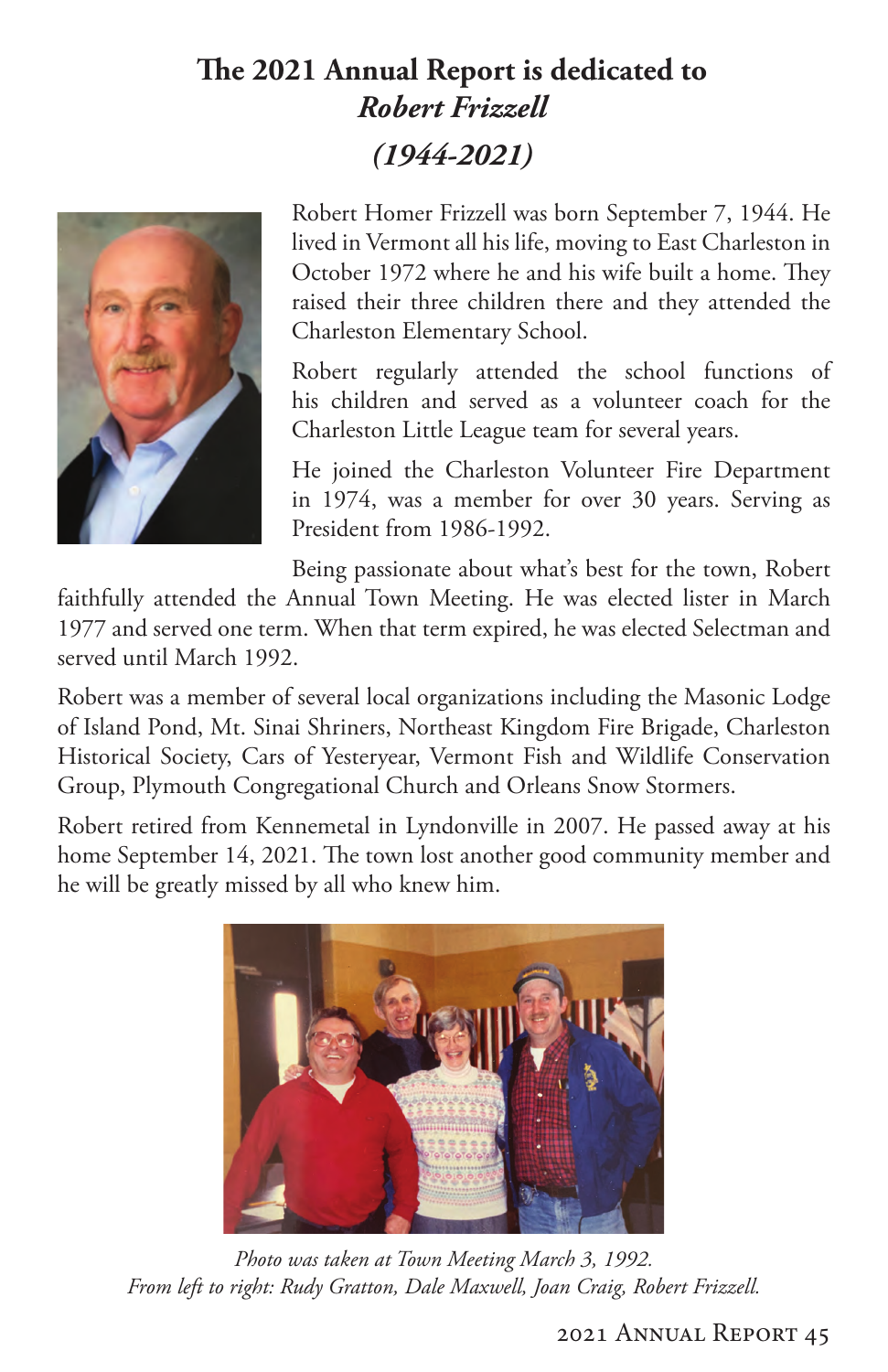# **The 2021 Annual Report is dedicated to** *Robert Frizzell (1944-2021)*



Robert Homer Frizzell was born September 7, 1944. He lived in Vermont all his life, moving to East Charleston in October 1972 where he and his wife built a home. They raised their three children there and they attended the Charleston Elementary School.

Robert regularly attended the school functions of his children and served as a volunteer coach for the Charleston Little League team for several years.

He joined the Charleston Volunteer Fire Department in 1974, was a member for over 30 years. Serving as President from 1986-1992.

Being passionate about what's best for the town, Robert

faithfully attended the Annual Town Meeting. He was elected lister in March 1977 and served one term. When that term expired, he was elected Selectman and served until March 1992.

Robert was a member of several local organizations including the Masonic Lodge of Island Pond, Mt. Sinai Shriners, Northeast Kingdom Fire Brigade, Charleston Historical Society, Cars of Yesteryear, Vermont Fish and Wildlife Conservation Group, Plymouth Congregational Church and Orleans Snow Stormers.

Robert retired from Kennemetal in Lyndonville in 2007. He passed away at his home September 14, 2021. The town lost another good community member and he will be greatly missed by all who knew him.



*Photo was taken at Town Meeting March 3, 1992. From left to right: Rudy Gratton, Dale Maxwell, Joan Craig, Robert Frizzell.*